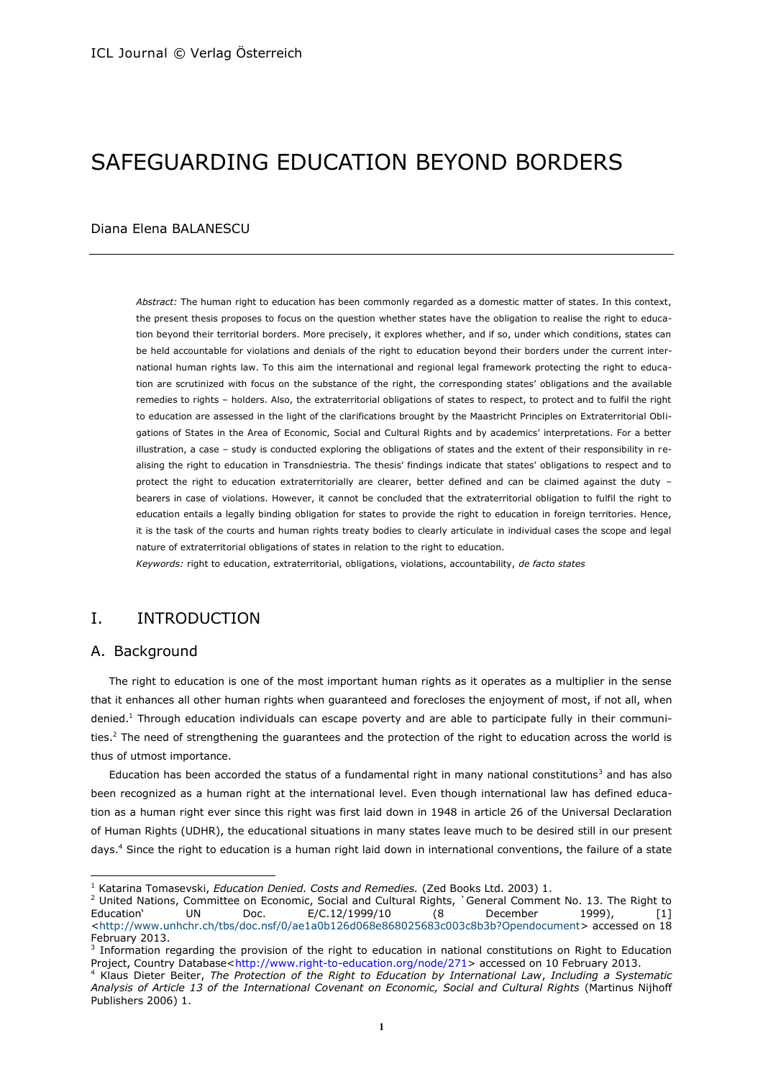# SAFEGUARDING EDUCATION BEYOND BORDERS

#### Diana Elena BALANESCU

*Abstract:* The human right to education has been commonly regarded as a domestic matter of states. In this context, the present thesis proposes to focus on the question whether states have the obligation to realise the right to education beyond their territorial borders. More precisely, it explores whether, and if so, under which conditions, states can be held accountable for violations and denials of the right to education beyond their borders under the current international human rights law. To this aim the international and regional legal framework protecting the right to education are scrutinized with focus on the substance of the right, the corresponding states' obligations and the available remedies to rights – holders. Also, the extraterritorial obligations of states to respect, to protect and to fulfil the right to education are assessed in the light of the clarifications brought by the Maastricht Principles on Extraterritorial Obligations of States in the Area of Economic, Social and Cultural Rights and by academics' interpretations. For a better illustration, a case – study is conducted exploring the obligations of states and the extent of their responsibility in realising the right to education in Transdniestria. The thesis' findings indicate that states' obligations to respect and to protect the right to education extraterritorially are clearer, better defined and can be claimed against the duty – bearers in case of violations. However, it cannot be concluded that the extraterritorial obligation to fulfil the right to education entails a legally binding obligation for states to provide the right to education in foreign territories. Hence, it is the task of the courts and human rights treaty bodies to clearly articulate in individual cases the scope and legal nature of extraterritorial obligations of states in relation to the right to education.

*Keywords:* right to education, extraterritorial, obligations, violations, accountability, *de facto states*

# I. INTRODUCTION

### A. Background

 $\overline{\phantom{a}}$ 

The right to education is one of the most important human rights as it operates as a multiplier in the sense that it enhances all other human rights when guaranteed and forecloses the enjoyment of most, if not all, when denied.<sup>1</sup> Through education individuals can escape poverty and are able to participate fully in their communities.<sup>2</sup> The need of strengthening the guarantees and the protection of the right to education across the world is thus of utmost importance.

Education has been accorded the status of a fundamental right in many national constitutions<sup>3</sup> and has also been recognized as a human right at the international level. Even though international law has defined education as a human right ever since this right was first laid down in 1948 in article 26 of the Universal Declaration of Human Rights (UDHR), the educational situations in many states leave much to be desired still in our present days.<sup>4</sup> Since the right to education is a human right laid down in international conventions, the failure of a state

<sup>1</sup> Katarina Tomasevski, *Education Denied. Costs and Remedies.* (Zed Books Ltd. 2003) 1.

<sup>&</sup>lt;sup>2</sup> United Nations, Committee on Economic, Social and Cultural Rights, `General Comment No. 13. The Right to Education' UN Doc. E/C.12/1999/10 (8 December 1999), [1] [<http://www.unhchr.ch/tbs/doc.nsf/0/ae1a0b126d068e868025683c003c8b3b?Opendocument>](http://www.unhchr.ch/tbs/doc.nsf/0/ae1a0b126d068e868025683c003c8b3b?Opendocument) accessed on 18 February 2013.

<sup>&</sup>lt;sup>3</sup> Information regarding the provision of the right to education in national constitutions on Right to Education Project, Country Database[<http://www.right-to-education.org/node/271>](http://www.right-to-education.org/node/271) accessed on 10 February 2013.

<sup>4</sup> Klaus Dieter Beiter, *The Protection of the Right to Education by International Law*, *Including a Systematic Analysis of Article 13 of the International Covenant on Economic, Social and Cultural Rights* (Martinus Nijhoff Publishers 2006) 1.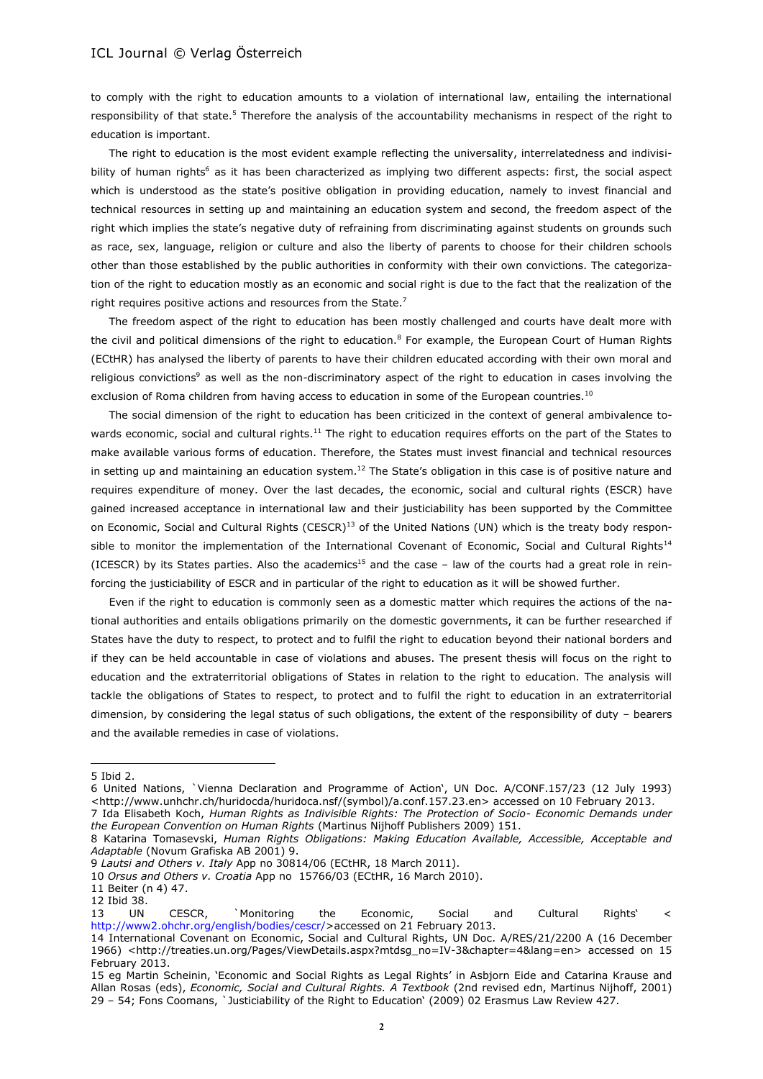to comply with the right to education amounts to a violation of international law, entailing the international responsibility of that state.<sup>5</sup> Therefore the analysis of the accountability mechanisms in respect of the right to education is important.

The right to education is the most evident example reflecting the universality, interrelatedness and indivisibility of human rights<sup>6</sup> as it has been characterized as implying two different aspects: first, the social aspect which is understood as the state's positive obligation in providing education, namely to invest financial and technical resources in setting up and maintaining an education system and second, the freedom aspect of the right which implies the state's negative duty of refraining from discriminating against students on grounds such as race, sex, language, religion or culture and also the liberty of parents to choose for their children schools other than those established by the public authorities in conformity with their own convictions. The categorization of the right to education mostly as an economic and social right is due to the fact that the realization of the right requires positive actions and resources from the State.<sup>7</sup>

The freedom aspect of the right to education has been mostly challenged and courts have dealt more with the civil and political dimensions of the right to education.<sup>8</sup> For example, the European Court of Human Rights (ECtHR) has analysed the liberty of parents to have their children educated according with their own moral and religious convictions<sup>9</sup> as well as the non-discriminatory aspect of the right to education in cases involving the exclusion of Roma children from having access to education in some of the European countries.<sup>10</sup>

The social dimension of the right to education has been criticized in the context of general ambivalence towards economic, social and cultural rights.<sup>11</sup> The right to education requires efforts on the part of the States to make available various forms of education. Therefore, the States must invest financial and technical resources in setting up and maintaining an education system.<sup>12</sup> The State's obligation in this case is of positive nature and requires expenditure of money. Over the last decades, the economic, social and cultural rights (ESCR) have gained increased acceptance in international law and their justiciability has been supported by the Committee on Economic, Social and Cultural Rights (CESCR)<sup>13</sup> of the United Nations (UN) which is the treaty body responsible to monitor the implementation of the International Covenant of Economic, Social and Cultural Rights<sup>14</sup> (ICESCR) by its States parties. Also the academics<sup>15</sup> and the case – law of the courts had a great role in reinforcing the justiciability of ESCR and in particular of the right to education as it will be showed further.

Even if the right to education is commonly seen as a domestic matter which requires the actions of the national authorities and entails obligations primarily on the domestic governments, it can be further researched if States have the duty to respect, to protect and to fulfil the right to education beyond their national borders and if they can be held accountable in case of violations and abuses. The present thesis will focus on the right to education and the extraterritorial obligations of States in relation to the right to education. The analysis will tackle the obligations of States to respect, to protect and to fulfil the right to education in an extraterritorial dimension, by considering the legal status of such obligations, the extent of the responsibility of duty – bearers and the available remedies in case of violations.

l

<sup>5</sup> Ibid 2.

<sup>6</sup> United Nations, `Vienna Declaration and Programme of Action', UN Doc. A/CONF.157/23 (12 July 1993) [<http://www.unhchr.ch/huridocda/huridoca.nsf/\(symbol\)/a.conf.157.23.en>](http://www.unhchr.ch/huridocda/huridoca.nsf/(symbol)/a.conf.157.23.en) accessed on 10 February 2013.

<sup>7</sup> Ida Elisabeth Koch, *Human Rights as Indivisible Rights: The Protection of Socio- Economic Demands under the European Convention on Human Rights* (Martinus Nijhoff Publishers 2009) 151.

<sup>8</sup> Katarina Tomasevski, *Human Rights Obligations: Making Education Available, Accessible, Acceptable and Adaptable* (Novum Grafiska AB 2001) 9.

<sup>9</sup> *Lautsi and Others v. Italy* App no 30814/06 (ECtHR, 18 March 2011).

<sup>10</sup> *Orsus and Others v. Croatia* App no [15766/03](http://hudoc.echr.coe.int/sites/eng/pages/search.aspx#{"appno":["15766/03"]}) (ECtHR, 16 March 2010).

<sup>11</sup> Beiter (n 4) 47.

<sup>12</sup> Ibid 38.

<sup>13</sup> UN CESCR, `Monitoring the Economic, Social and Cultural Rights' < [http://www2.ohchr.org/english/bodies/cescr/>](http://www2.ohchr.org/english/bodies/cescr/)accessed on 21 February 2013.

<sup>14</sup> International Covenant on Economic, Social and Cultural Rights, UN Doc. A/RES/21/2200 A (16 December 1966) [<http://treaties.un.org/Pages/ViewDetails.aspx?mtdsg\\_no=IV-3&chapter=4&lang=en>](http://treaties.un.org/Pages/ViewDetails.aspx?mtdsg_no=IV-3&chapter=4&lang=en) accessed on 15 February 2013.

<sup>15</sup> eg Martin Scheinin, 'Economic and Social Rights as Legal Rights' in Asbjorn Eide and Catarina Krause and Allan Rosas (eds), *Economic, Social and Cultural Rights. A Textbook* (2nd revised edn, Martinus Nijhoff, 2001) 29 – 54; Fons Coomans, `Justiciability of the Right to Education' (2009) 02 Erasmus Law Review 427.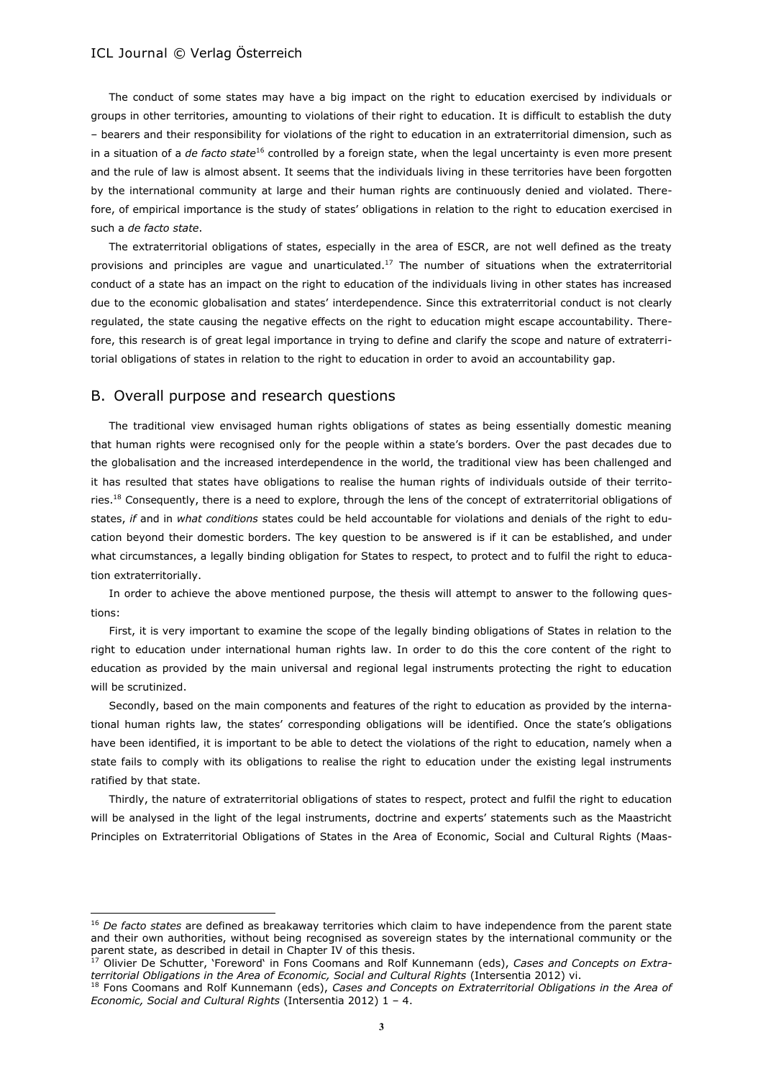The conduct of some states may have a big impact on the right to education exercised by individuals or groups in other territories, amounting to violations of their right to education. It is difficult to establish the duty – bearers and their responsibility for violations of the right to education in an extraterritorial dimension, such as in a situation of a *de facto state*<sup>16</sup> controlled by a foreign state, when the legal uncertainty is even more present and the rule of law is almost absent. It seems that the individuals living in these territories have been forgotten by the international community at large and their human rights are continuously denied and violated. Therefore, of empirical importance is the study of states' obligations in relation to the right to education exercised in such a *de facto state*.

The extraterritorial obligations of states, especially in the area of ESCR, are not well defined as the treaty provisions and principles are vague and unarticulated.<sup>17</sup> The number of situations when the extraterritorial conduct of a state has an impact on the right to education of the individuals living in other states has increased due to the economic globalisation and states' interdependence. Since this extraterritorial conduct is not clearly regulated, the state causing the negative effects on the right to education might escape accountability. Therefore, this research is of great legal importance in trying to define and clarify the scope and nature of extraterritorial obligations of states in relation to the right to education in order to avoid an accountability gap.

#### B. Overall purpose and research questions

 $\overline{\phantom{a}}$ 

The traditional view envisaged human rights obligations of states as being essentially domestic meaning that human rights were recognised only for the people within a state's borders. Over the past decades due to the globalisation and the increased interdependence in the world, the traditional view has been challenged and it has resulted that states have obligations to realise the human rights of individuals outside of their territories.<sup>18</sup> Consequently, there is a need to explore, through the lens of the concept of extraterritorial obligations of states, *if* and in *what conditions* states could be held accountable for violations and denials of the right to education beyond their domestic borders. The key question to be answered is if it can be established, and under what circumstances, a legally binding obligation for States to respect, to protect and to fulfil the right to education extraterritorially.

In order to achieve the above mentioned purpose, the thesis will attempt to answer to the following questions:

First, it is very important to examine the scope of the legally binding obligations of States in relation to the right to education under international human rights law. In order to do this the core content of the right to education as provided by the main universal and regional legal instruments protecting the right to education will be scrutinized.

Secondly, based on the main components and features of the right to education as provided by the international human rights law, the states' corresponding obligations will be identified. Once the state's obligations have been identified, it is important to be able to detect the violations of the right to education, namely when a state fails to comply with its obligations to realise the right to education under the existing legal instruments ratified by that state.

Thirdly, the nature of extraterritorial obligations of states to respect, protect and fulfil the right to education will be analysed in the light of the legal instruments, doctrine and experts' statements such as the Maastricht Principles on Extraterritorial Obligations of States in the Area of Economic, Social and Cultural Rights (Maas-

<sup>16</sup> *De facto states* are defined as breakaway territories which claim to have independence from the parent state and their own authorities, without being recognised as sovereign states by the international community or the parent state, as described in detail in Chapter IV of this thesis.

<sup>17</sup> Olivier De Schutter, 'Foreword' in Fons Coomans and Rolf Kunnemann (eds), *Cases and Concepts on Extraterritorial Obligations in the Area of Economic, Social and Cultural Rights* (Intersentia 2012) vi.

<sup>18</sup> Fons Coomans and Rolf Kunnemann (eds), *Cases and Concepts on Extraterritorial Obligations in the Area of Economic, Social and Cultural Rights* (Intersentia 2012) 1 – 4.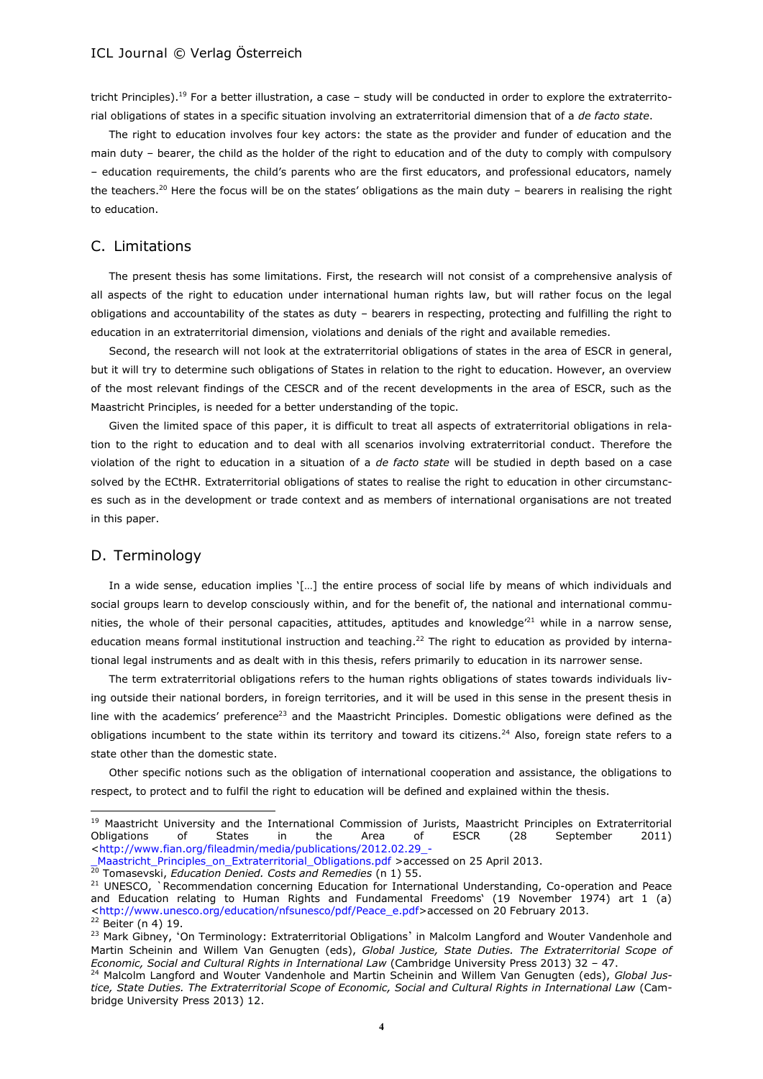tricht Principles).<sup>19</sup> For a better illustration, a case – study will be conducted in order to explore the extraterritorial obligations of states in a specific situation involving an extraterritorial dimension that of a *de facto state*.

The right to education involves four key actors: the state as the provider and funder of education and the main duty – bearer, the child as the holder of the right to education and of the duty to comply with compulsory – education requirements, the child's parents who are the first educators, and professional educators, namely the teachers.<sup>20</sup> Here the focus will be on the states' obligations as the main duty - bearers in realising the right to education.

# C. Limitations

The present thesis has some limitations. First, the research will not consist of a comprehensive analysis of all aspects of the right to education under international human rights law, but will rather focus on the legal obligations and accountability of the states as duty – bearers in respecting, protecting and fulfilling the right to education in an extraterritorial dimension, violations and denials of the right and available remedies.

Second, the research will not look at the extraterritorial obligations of states in the area of ESCR in general, but it will try to determine such obligations of States in relation to the right to education. However, an overview of the most relevant findings of the CESCR and of the recent developments in the area of ESCR, such as the Maastricht Principles, is needed for a better understanding of the topic.

Given the limited space of this paper, it is difficult to treat all aspects of extraterritorial obligations in relation to the right to education and to deal with all scenarios involving extraterritorial conduct. Therefore the violation of the right to education in a situation of a *de facto state* will be studied in depth based on a case solved by the ECtHR. Extraterritorial obligations of states to realise the right to education in other circumstances such as in the development or trade context and as members of international organisations are not treated in this paper.

# D. Terminology

l

In a wide sense, education implies '[…] the entire process of social life by means of which individuals and social groups learn to develop consciously within, and for the benefit of, the national and international communities, the whole of their personal capacities, attitudes, aptitudes and knowledge $^{21}$  while in a narrow sense, education means formal institutional instruction and teaching.<sup>22</sup> The right to education as provided by international legal instruments and as dealt with in this thesis, refers primarily to education in its narrower sense.

The term extraterritorial obligations refers to the human rights obligations of states towards individuals living outside their national borders, in foreign territories, and it will be used in this sense in the present thesis in line with the academics' preference<sup>23</sup> and the Maastricht Principles. Domestic obligations were defined as the obligations incumbent to the state within its territory and toward its citizens.<sup>24</sup> Also, foreign state refers to a state other than the domestic state.

Other specific notions such as the obligation of international cooperation and assistance, the obligations to respect, to protect and to fulfil the right to education will be defined and explained within the thesis.

<sup>&</sup>lt;sup>19</sup> Maastricht University and the International Commission of Jurists, Maastricht Principles on Extraterritorial<br>Obligations of States in the Area of ESCR (28 Sentember 2011) Obligations of States in the Area of ESCR (28 September 2011) [<http://www.fian.org/fileadmin/media/publications/2012.02.29\\_-](http://www.fian.org/fileadmin/media/publications/2012.02.29_-_Maastricht_Principles_on_Extraterritorial_Obligations.pdf)

[\\_Maastricht\\_Principles\\_on\\_Extraterritorial\\_Obligations.pdf](http://www.fian.org/fileadmin/media/publications/2012.02.29_-_Maastricht_Principles_on_Extraterritorial_Obligations.pdf) >accessed on 25 April 2013. <sup>20</sup> Tomasevski, *Education Denied. Costs and Remedies* (n 1) 55.

<sup>&</sup>lt;sup>21</sup> UNESCO, `Recommendation concerning Education for International Understanding, Co-operation and Peace and Education relating to Human Rights and Fundamental Freedoms' (19 November 1974) art 1 (a) [<http://www.unesco.org/education/nfsunesco/pdf/Peace\\_e.pdf>](http://www.unesco.org/education/nfsunesco/pdf/Peace_e.pdf)accessed on 20 February 2013. <sup>22</sup> Beiter (n 4) 19.

<sup>&</sup>lt;sup>23</sup> Mark Gibney, 'On Terminology: Extraterritorial Obligations' in Malcolm Langford and Wouter Vandenhole and Martin Scheinin and Willem Van Genugten (eds), *Global Justice, State Duties. The Extraterritorial Scope of Economic, Social and Cultural Rights in International Law* (Cambridge University Press 2013) 32 – 47.

<sup>24</sup> Malcolm Langford and Wouter Vandenhole and Martin Scheinin and Willem Van Genugten (eds), *Global Justice, State Duties. The Extraterritorial Scope of Economic, Social and Cultural Rights in International Law* (Cambridge University Press 2013) 12.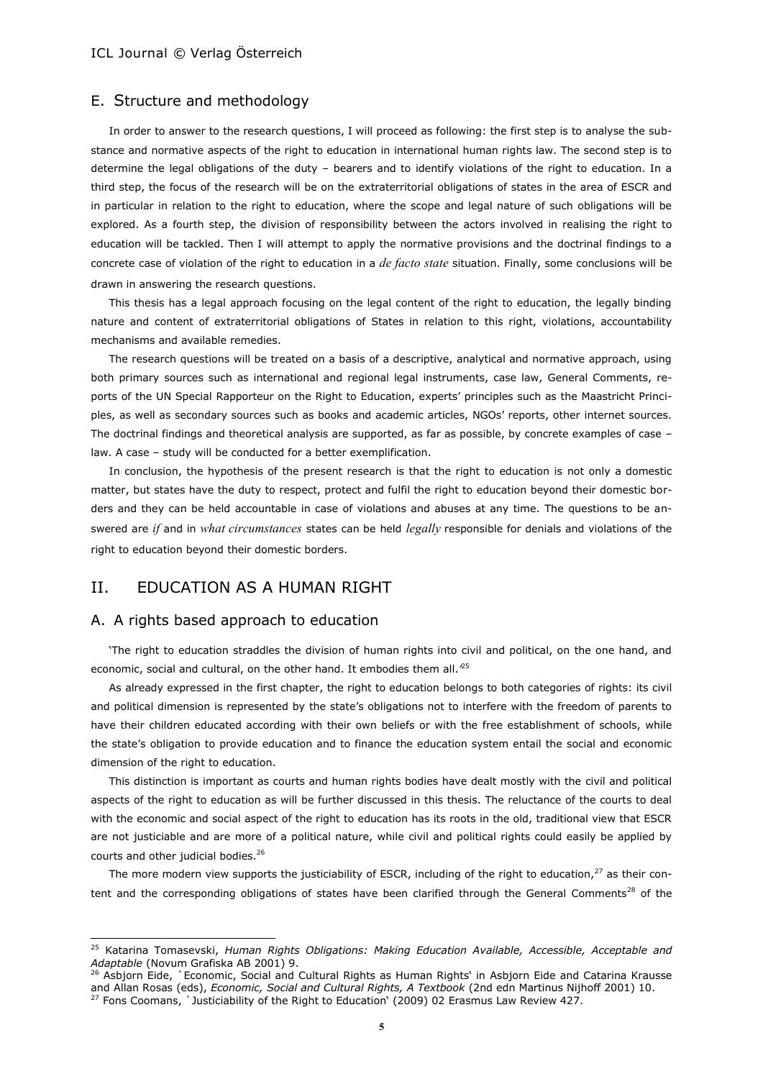# E. Structure and methodology

In order to answer to the research questions, I will proceed as following: the first step is to analyse the substance and normative aspects of the right to education in international human rights law. The second step is to determine the legal obligations of the duty – bearers and to identify violations of the right to education. In a third step, the focus of the research will be on the extraterritorial obligations of states in the area of ESCR and in particular in relation to the right to education, where the scope and legal nature of such obligations will be explored. As a fourth step, the division of responsibility between the actors involved in realising the right to education will be tackled. Then I will attempt to apply the normative provisions and the doctrinal findings to a concrete case of violation of the right to education in a *de facto state* situation. Finally, some conclusions will be drawn in answering the research questions.

This thesis has a legal approach focusing on the legal content of the right to education, the legally binding nature and content of extraterritorial obligations of States in relation to this right, violations, accountability mechanisms and available remedies.

The research questions will be treated on a basis of a descriptive, analytical and normative approach, using both primary sources such as international and regional legal instruments, case law, General Comments, reports of the UN Special Rapporteur on the Right to Education, experts' principles such as the Maastricht Principles, as well as secondary sources such as books and academic articles, NGOs' reports, other internet sources. The doctrinal findings and theoretical analysis are supported, as far as possible, by concrete examples of case – law. A case – study will be conducted for a better exemplification.

In conclusion, the hypothesis of the present research is that the right to education is not only a domestic matter, but states have the duty to respect, protect and fulfil the right to education beyond their domestic borders and they can be held accountable in case of violations and abuses at any time. The questions to be answered are *if* and in *what circumstances* states can be held *legally* responsible for denials and violations of the right to education beyond their domestic borders.

# II. EDUCATION AS A HUMAN RIGHT

#### A. A rights based approach to education

 $\overline{\phantom{a}}$ 

'The right to education straddles the division of human rights into civil and political, on the one hand, and economic, social and cultural, on the other hand. It embodies them all.*'* 25

As already expressed in the first chapter, the right to education belongs to both categories of rights: its civil and political dimension is represented by the state's obligations not to interfere with the freedom of parents to have their children educated according with their own beliefs or with the free establishment of schools, while the state's obligation to provide education and to finance the education system entail the social and economic dimension of the right to education.

This distinction is important as courts and human rights bodies have dealt mostly with the civil and political aspects of the right to education as will be further discussed in this thesis. The reluctance of the courts to deal with the economic and social aspect of the right to education has its roots in the old, traditional view that ESCR are not justiciable and are more of a political nature, while civil and political rights could easily be applied by courts and other judicial bodies.<sup>26</sup>

The more modern view supports the justiciability of ESCR, including of the right to education, $27$  as their content and the corresponding obligations of states have been clarified through the General Comments<sup>28</sup> of the

<sup>25</sup> Katarina Tomasevski, *Human Rights Obligations: Making Education Available, Accessible, Acceptable and Adaptable* (Novum Grafiska AB 2001) 9.

<sup>&</sup>lt;sup>26</sup> Asbiorn Eide, `Economic, Social and Cultural Rights as Human Rights' in Asbiorn Eide and Catarina Krausse and Allan Rosas (eds), *Economic, Social and Cultural Rights, A Textbook* (2nd edn Martinus Nijhoff 2001) 10.  $27$  Fons Coomans, Iusticiability of the Right to Education' (2009) 02 Erasmus Law Review 427.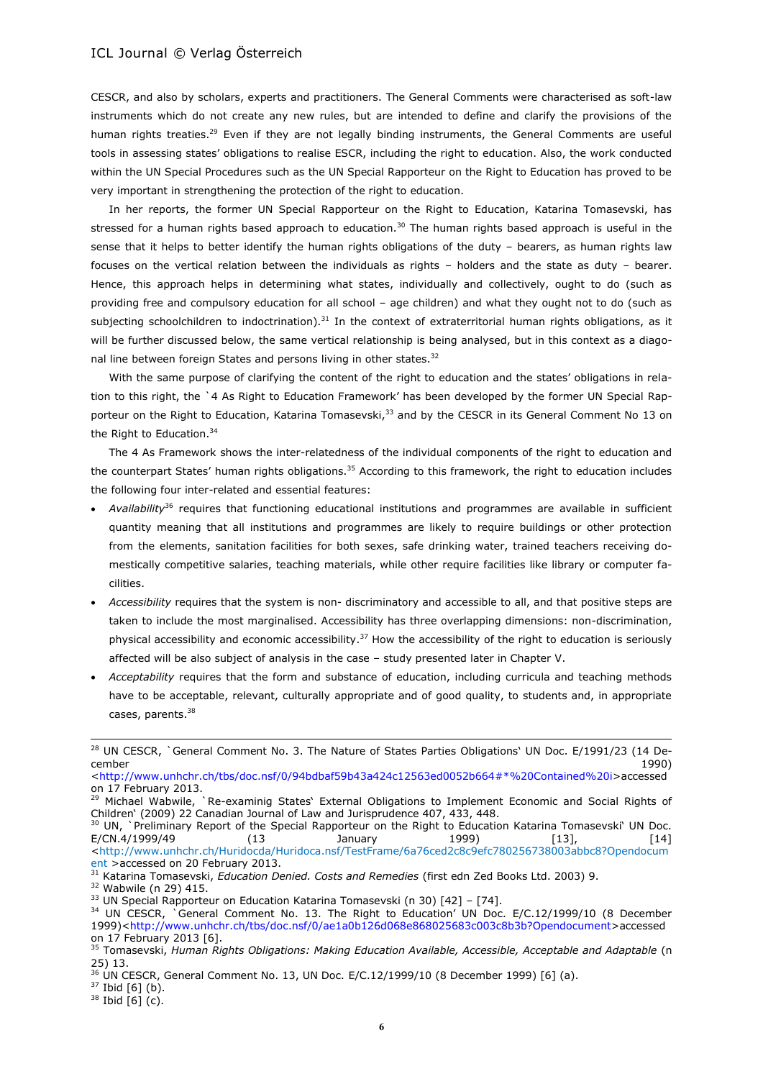CESCR, and also by scholars, experts and practitioners. The General Comments were characterised as soft-law instruments which do not create any new rules, but are intended to define and clarify the provisions of the human rights treaties.<sup>29</sup> Even if they are not legally binding instruments, the General Comments are useful tools in assessing states' obligations to realise ESCR, including the right to education. Also, the work conducted within the UN Special Procedures such as the UN Special Rapporteur on the Right to Education has proved to be very important in strengthening the protection of the right to education.

In her reports, the former UN Special Rapporteur on the Right to Education, Katarina Tomasevski, has stressed for a human rights based approach to education.<sup>30</sup> The human rights based approach is useful in the sense that it helps to better identify the human rights obligations of the duty – bearers, as human rights law focuses on the vertical relation between the individuals as rights – holders and the state as duty – bearer. Hence, this approach helps in determining what states, individually and collectively, ought to do (such as providing free and compulsory education for all school – age children) and what they ought not to do (such as subjecting schoolchildren to indoctrination). $31$  In the context of extraterritorial human rights obligations, as it will be further discussed below, the same vertical relationship is being analysed, but in this context as a diagonal line between foreign States and persons living in other states.<sup>32</sup>

With the same purpose of clarifying the content of the right to education and the states' obligations in relation to this right, the `4 As Right to Education Framework' has been developed by the former UN Special Rapporteur on the Right to Education, Katarina Tomasevski,<sup>33</sup> and by the CESCR in its General Comment No 13 on the Right to Education.<sup>34</sup>

The 4 As Framework shows the inter-relatedness of the individual components of the right to education and the counterpart States' human rights obligations.<sup>35</sup> According to this framework, the right to education includes the following four inter-related and essential features:

- *Availability*<sup>36</sup> requires that functioning educational institutions and programmes are available in sufficient quantity meaning that all institutions and programmes are likely to require buildings or other protection from the elements, sanitation facilities for both sexes, safe drinking water, trained teachers receiving domestically competitive salaries, teaching materials, while other require facilities like library or computer facilities.
- *Accessibility* requires that the system is non- discriminatory and accessible to all, and that positive steps are taken to include the most marginalised. Accessibility has three overlapping dimensions: non-discrimination, physical accessibility and economic accessibility.<sup>37</sup> How the accessibility of the right to education is seriously affected will be also subject of analysis in the case – study presented later in Chapter V.
- *Acceptability* requires that the form and substance of education, including curricula and teaching methods have to be acceptable, relevant, culturally appropriate and of good quality, to students and, in appropriate cases, parents.<sup>38</sup>

<sup>&</sup>lt;sup>28</sup> UN CESCR, `General Comment No. 3. The Nature of States Parties Obligations' UN Doc. E/1991/23 (14 December 1990)

[<sup>&</sup>lt;http://www.unhchr.ch/tbs/doc.nsf/0/94bdbaf59b43a424c12563ed0052b664#\\*%20Contained%20i>](http://www.unhchr.ch/tbs/doc.nsf/0/94bdbaf59b43a424c12563ed0052b664#*%20Contained%20i)accessed on 17 February 2013.

<sup>&</sup>lt;sup>29</sup> Michael Wabwile, `Re-examinig States' External Obligations to Implement Economic and Social Rights of Children' (2009) 22 Canadian Journal of Law and Jurisprudence 407, 433, 448.

<sup>30</sup> UN, `Preliminary Report of the Special Rapporteur on the Right to Education Katarina Tomasevski' UN Doc. E/CN.4/1999/49 (13 January 1999) [13], [14] [<http://www.unhchr.ch/Huridocda/Huridoca.nsf/TestFrame/6a76ced2c8c9efc780256738003abbc8?Opendocum](http://www.unhchr.ch/Huridocda/Huridoca.nsf/TestFrame/6a76ced2c8c9efc780256738003abbc8?Opendocument) [ent](http://www.unhchr.ch/Huridocda/Huridoca.nsf/TestFrame/6a76ced2c8c9efc780256738003abbc8?Opendocument) >accessed on 20 February 2013.

<sup>31</sup> Katarina Tomasevski, *Education Denied. Costs and Remedies* (first edn Zed Books Ltd. 2003) 9.

<sup>32</sup> Wabwile (n 29) 415.

<sup>&</sup>lt;sup>33</sup> UN Special Rapporteur on Education Katarina Tomasevski (n 30) [42] - [74].

<sup>&</sup>lt;sup>34</sup> UN CESCR, `General Comment No. 13. The Right to Education' UN Doc. E/C.12/1999/10 (8 December 1999)[<http://www.unhchr.ch/tbs/doc.nsf/0/ae1a0b126d068e868025683c003c8b3b?Opendocument>](http://www.unhchr.ch/tbs/doc.nsf/0/ae1a0b126d068e868025683c003c8b3b?Opendocument%3eaccessed)accessed on 17 February 2013 [6].

<sup>35</sup> Tomasevski, *Human Rights Obligations: Making Education Available, Accessible, Acceptable and Adaptable* (n 25) 13.

 $36$  UN CESCR, General Comment No. 13, UN Doc. E/C.12/1999/10 (8 December 1999) [6] (a).

 $37$  Ibid [6] (b).

 $38$  Ibid [6] (c).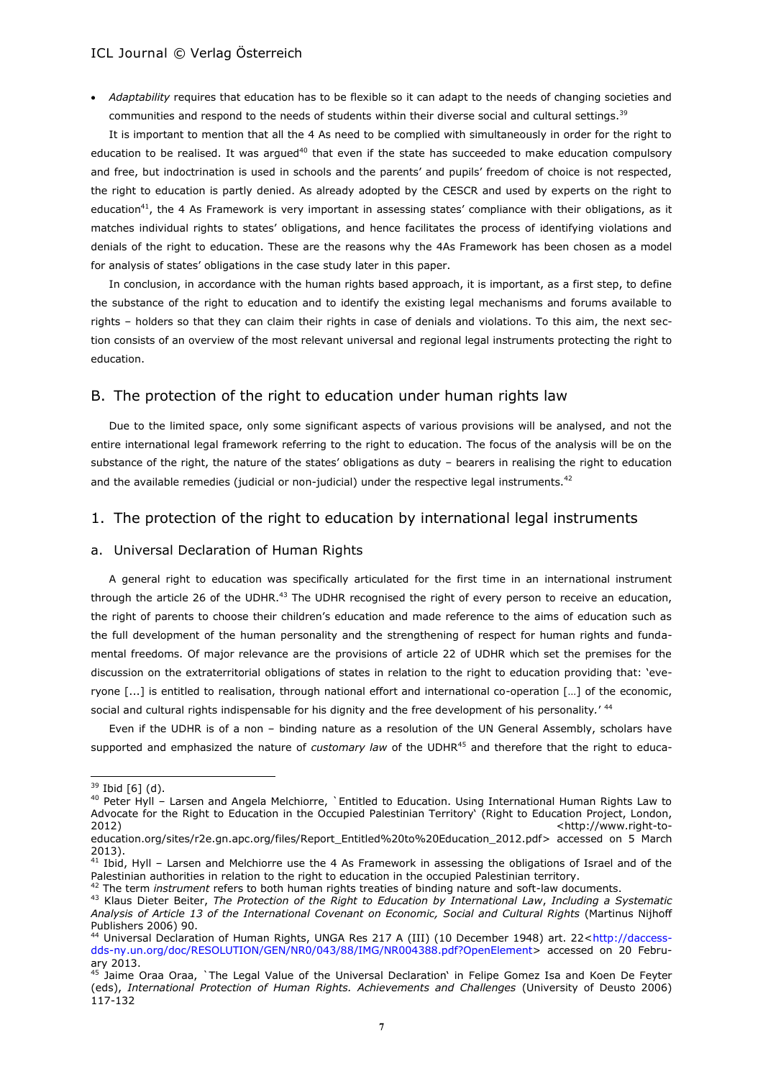*Adaptability* requires that education has to be flexible so it can adapt to the needs of changing societies and communities and respond to the needs of students within their diverse social and cultural settings.<sup>39</sup>

It is important to mention that all the 4 As need to be complied with simultaneously in order for the right to education to be realised. It was argued<sup>40</sup> that even if the state has succeeded to make education compulsory and free, but indoctrination is used in schools and the parents' and pupils' freedom of choice is not respected, the right to education is partly denied. As already adopted by the CESCR and used by experts on the right to education<sup>41</sup>, the 4 As Framework is very important in assessing states' compliance with their obligations, as it matches individual rights to states' obligations, and hence facilitates the process of identifying violations and denials of the right to education. These are the reasons why the 4As Framework has been chosen as a model for analysis of states' obligations in the case study later in this paper.

In conclusion, in accordance with the human rights based approach, it is important, as a first step, to define the substance of the right to education and to identify the existing legal mechanisms and forums available to rights – holders so that they can claim their rights in case of denials and violations. To this aim, the next section consists of an overview of the most relevant universal and regional legal instruments protecting the right to education.

### B. The protection of the right to education under human rights law

Due to the limited space, only some significant aspects of various provisions will be analysed, and not the entire international legal framework referring to the right to education. The focus of the analysis will be on the substance of the right, the nature of the states' obligations as duty – bearers in realising the right to education and the available remedies (judicial or non-judicial) under the respective legal instruments.<sup>42</sup>

# 1. The protection of the right to education by international legal instruments

#### a. Universal Declaration of Human Rights

A general right to education was specifically articulated for the first time in an international instrument through the article 26 of the UDHR.<sup>43</sup> The UDHR recognised the right of every person to receive an education, the right of parents to choose their children's education and made reference to the aims of education such as the full development of the human personality and the strengthening of respect for human rights and fundamental freedoms. Of major relevance are the provisions of article 22 of UDHR which set the premises for the discussion on the extraterritorial obligations of states in relation to the right to education providing that: 'everyone [...] is entitled to realisation, through national effort and international co-operation […] of the economic, social and cultural rights indispensable for his dignity and the free development of his personality*.*' 44

Even if the UDHR is of a non – binding nature as a resolution of the UN General Assembly, scholars have supported and emphasized the nature of *customary law* of the UDHR<sup>45</sup> and therefore that the right to educa-

l

 $39$  Ibid [6] (d).

<sup>40</sup> Peter Hyll – Larsen and Angela Melchiorre, `Entitled to Education. Using International Human Rights Law to Advocate for the Right to Education in the Occupied Palestinian Territory' (Right to Education Project, London, 2012) [<http://www.right-to-](http://www.right-to-education.org/sites/r2e.gn.apc.org/files/Report_Entitled%20to%20Education_2012.pdf)

[education.org/sites/r2e.gn.apc.org/files/Report\\_Entitled%20to%20Education\\_2012.pdf>](http://www.right-to-education.org/sites/r2e.gn.apc.org/files/Report_Entitled%20to%20Education_2012.pdf) accessed on 5 March 2013).

<sup>41</sup> Ibid, Hyll – Larsen and Melchiorre use the 4 As Framework in assessing the obligations of Israel and of the Palestinian authorities in relation to the right to education in the occupied Palestinian territory.

<sup>42</sup> The term *instrument* refers to both human rights treaties of binding nature and soft-law documents.

<sup>43</sup> Klaus Dieter Beiter, *The Protection of the Right to Education by International Law*, *Including a Systematic Analysis of Article 13 of the International Covenant on Economic, Social and Cultural Rights* (Martinus Nijhoff Publishers 2006) 90.

<sup>44</sup> Universal Declaration of Human Rights, UNGA Res 217 A (III) (10 December 1948) art. 22[<http://daccess](http://daccess-dds-ny.un.org/doc/RESOLUTION/GEN/NR0/043/88/IMG/NR004388.pdf?OpenElement)[dds-ny.un.org/doc/RESOLUTION/GEN/NR0/043/88/IMG/NR004388.pdf?OpenElement>](http://daccess-dds-ny.un.org/doc/RESOLUTION/GEN/NR0/043/88/IMG/NR004388.pdf?OpenElement) accessed on 20 February 2013.

<sup>&</sup>lt;sup>45</sup> Jaime Oraa Oraa, `The Legal Value of the Universal Declaration' in Felipe Gomez Isa and Koen De Feyter (eds), *International Protection of Human Rights. Achievements and Challenges* (University of Deusto 2006)  $117 - 132$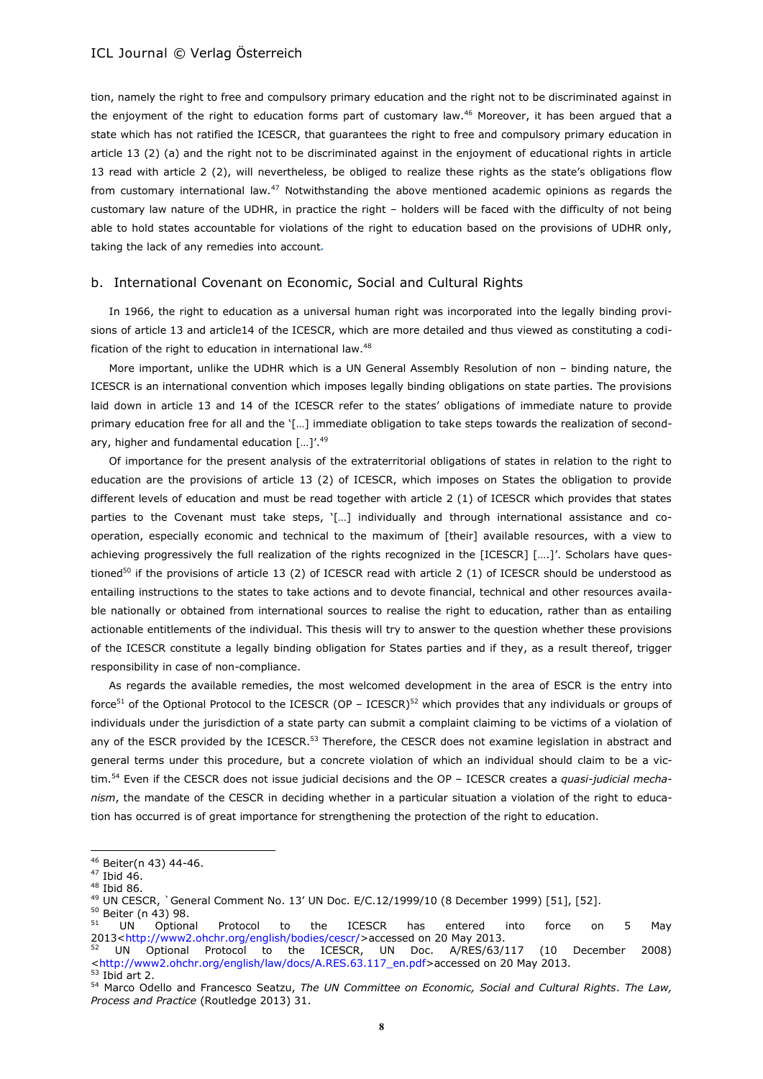tion, namely the right to free and compulsory primary education and the right not to be discriminated against in the enjoyment of the right to education forms part of customary law.<sup>46</sup> Moreover, it has been argued that a state which has not ratified the ICESCR, that guarantees the right to free and compulsory primary education in article 13 (2) (a) and the right not to be discriminated against in the enjoyment of educational rights in article 13 read with article 2 (2), will nevertheless, be obliged to realize these rights as the state's obligations flow from customary international law*.* <sup>47</sup> Notwithstanding the above mentioned academic opinions as regards the customary law nature of the UDHR, in practice the right – holders will be faced with the difficulty of not being able to hold states accountable for violations of the right to education based on the provisions of UDHR only, taking the lack of any remedies into account*.*

#### b. International Covenant on Economic, Social and Cultural Rights

In 1966, the right to education as a universal human right was incorporated into the legally binding provisions of article 13 and article14 of the ICESCR, which are more detailed and thus viewed as constituting a codification of the right to education in international law.<sup>48</sup>

More important, unlike the UDHR which is a UN General Assembly Resolution of non – binding nature, the ICESCR is an international convention which imposes legally binding obligations on state parties. The provisions laid down in article 13 and 14 of the ICESCR refer to the states' obligations of immediate nature to provide primary education free for all and the '[...] immediate obligation to take steps towards the realization of secondary, higher and fundamental education [...]'.<sup>49</sup>

Of importance for the present analysis of the extraterritorial obligations of states in relation to the right to education are the provisions of article 13 (2) of ICESCR, which imposes on States the obligation to provide different levels of education and must be read together with article 2 (1) of ICESCR which provides that states parties to the Covenant must take steps, '[...] individually and through international assistance and cooperation, especially economic and technical to the maximum of [their] available resources, with a view to achieving progressively the full realization of the rights recognized in the [ICESCR] [....]'. Scholars have questioned<sup>50</sup> if the provisions of article 13 (2) of ICESCR read with article 2 (1) of ICESCR should be understood as entailing instructions to the states to take actions and to devote financial, technical and other resources available nationally or obtained from international sources to realise the right to education, rather than as entailing actionable entitlements of the individual. This thesis will try to answer to the question whether these provisions of the ICESCR constitute a legally binding obligation for States parties and if they, as a result thereof, trigger responsibility in case of non-compliance.

As regards the available remedies, the most welcomed development in the area of ESCR is the entry into force<sup>51</sup> of the Optional Protocol to the ICESCR (OP – ICESCR)<sup>52</sup> which provides that any individuals or groups of individuals under the jurisdiction of a state party can submit a complaint claiming to be victims of a violation of any of the ESCR provided by the ICESCR.<sup>53</sup> Therefore, the CESCR does not examine legislation in abstract and general terms under this procedure, but a concrete violation of which an individual should claim to be a victim.<sup>54</sup> Even if the CESCR does not issue judicial decisions and the OP – ICESCR creates a *quasi-judicial mechanism*, the mandate of the CESCR in deciding whether in a particular situation a violation of the right to education has occurred is of great importance for strengthening the protection of the right to education.

 $\overline{\phantom{a}}$ 

 $^{50}$  Beiter (n 43) 98.

<sup>46</sup> Beiter(n 43) 44-46.

<sup>47</sup> Ibid 46.

<sup>48</sup> Ibid 86.

<sup>49</sup> UN CESCR, `General Comment No. 13' UN Doc. E/C.12/1999/10 (8 December 1999) [51], [52].

<sup>&</sup>lt;sup>51</sup> UN Optional Protocol to the ICESCR has entered into force on 5 May 2013[<http://www2.ohchr.org/english/bodies/cescr/>](http://www2.ohchr.org/english/bodies/cescr/)accessed on 20 May 2013.

UN Optional Protocol to the ICESCR, UN Doc. A/RES/63/117 (10 December 2008) [<http://www2.ohchr.org/english/law/docs/A.RES.63.117\\_en.pdf>](http://www2.ohchr.org/english/law/docs/A.RES.63.117_en.pdf)accessed on 20 May 2013.

 $53$  Ibid art 2.

<sup>54</sup> Marco Odello and Francesco Seatzu, *The UN Committee on Economic, Social and Cultural Rights*. *The Law, Process and Practice* (Routledge 2013) 31.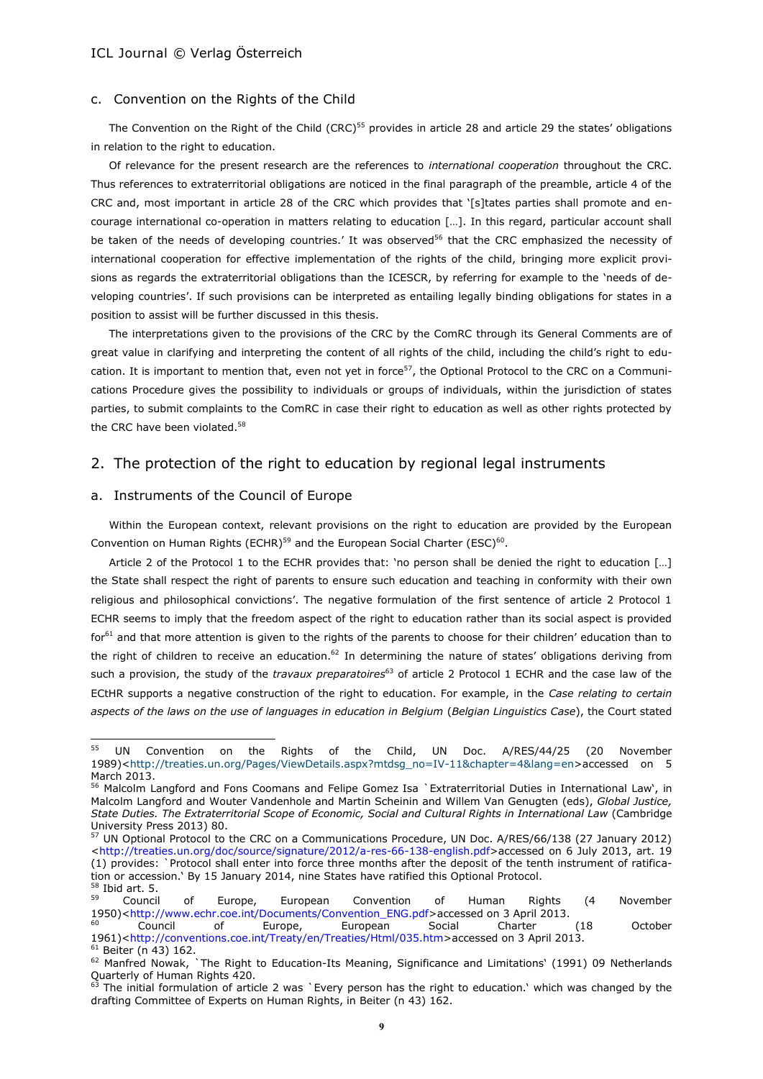## c. Convention on the Rights of the Child

The Convention on the Right of the Child (CRC)<sup>55</sup> provides in article 28 and article 29 the states' obligations in relation to the right to education.

Of relevance for the present research are the references to *international cooperation* throughout the CRC. Thus references to extraterritorial obligations are noticed in the final paragraph of the preamble, article 4 of the CRC and, most important in article 28 of the CRC which provides that '[s]tates parties shall promote and encourage international co-operation in matters relating to education […]. In this regard, particular account shall be taken of the needs of developing countries.' It was observed<sup>56</sup> that the CRC emphasized the necessity of international cooperation for effective implementation of the rights of the child, bringing more explicit provisions as regards the extraterritorial obligations than the ICESCR, by referring for example to the 'needs of developing countries'. If such provisions can be interpreted as entailing legally binding obligations for states in a position to assist will be further discussed in this thesis.

The interpretations given to the provisions of the CRC by the ComRC through its General Comments are of great value in clarifying and interpreting the content of all rights of the child, including the child's right to education. It is important to mention that, even not yet in force $57$ , the Optional Protocol to the CRC on a Communications Procedure gives the possibility to individuals or groups of individuals, within the jurisdiction of states parties, to submit complaints to the ComRC in case their right to education as well as other rights protected by the CRC have been violated.<sup>58</sup>

# 2. The protection of the right to education by regional legal instruments

#### a. Instruments of the Council of Europe

Within the European context, relevant provisions on the right to education are provided by the European Convention on Human Rights (ECHR)<sup>59</sup> and the European Social Charter (ESC)<sup>60</sup>.

Article 2 of the Protocol 1 to the ECHR provides that: 'no person shall be denied the right to education […] the State shall respect the right of parents to ensure such education and teaching in conformity with their own religious and philosophical convictions'. The negative formulation of the first sentence of article 2 Protocol 1 ECHR seems to imply that the freedom aspect of the right to education rather than its social aspect is provided for<sup>61</sup> and that more attention is given to the rights of the parents to choose for their children' education than to the right of children to receive an education.<sup>62</sup> In determining the nature of states' obligations deriving from such a provision, the study of the *travaux preparatoires* <sup>63</sup> of article 2 Protocol 1 ECHR and the case law of the ECtHR supports a negative construction of the right to education. For example, in the *Case relating to certain aspects of the laws on the use of languages in education in Belgium* (*Belgian Linguistics Case*), the Court stated

<sup>55</sup> UN Convention on the Rights of the Child, UN Doc. A/RES/44/25 (20 November 1989)[<http://treaties.un.org/Pages/ViewDetails.aspx?mtdsg\\_no=IV-11&chapter=4&lang=en>](http://treaties.un.org/Pages/ViewDetails.aspx?mtdsg_no=IV-11&chapter=4&lang=en)accessed on 5 March 2013.

<sup>56</sup> Malcolm Langford and Fons Coomans and Felipe Gomez Isa `Extraterritorial Duties in International Law', in Malcolm Langford and Wouter Vandenhole and Martin Scheinin and Willem Van Genugten (eds), *Global Justice, State Duties. The Extraterritorial Scope of Economic, Social and Cultural Rights in International Law* (Cambridge University Press 2013) 80.

<sup>57</sup> UN Optional Protocol to the CRC on a Communications Procedure, UN Doc. A/RES/66/138 (27 January 2012) [<http://treaties.un.org/doc/source/signature/2012/a-res-66-138-english.pdf>](http://treaties.un.org/doc/source/signature/2012/a-res-66-138-english.pdf)accessed on 6 July 2013, art. 19 (1) provides: `Protocol shall enter into force three months after the deposit of the tenth instrument of ratification or accession.' By 15 January 2014, nine States have ratified this Optional Protocol.

 $\frac{58}{59}$  Ibid art. 5. <sup>59</sup> Council of Europe, European Convention of Human Rights (4 November 1950)[<http://www.echr.coe.int/Documents/Convention\\_ENG.pdf>](http://www.echr.coe.int/Documents/Convention_ENG.pdf)accessed on 3 April 2013.

<sup>&</sup>lt;sup>60</sup> Council of Europe, European Social Charter (18 October 1961)[<http://conventions.coe.int/Treaty/en/Treaties/Html/035.htm>](http://conventions.coe.int/Treaty/en/Treaties/Html/035.htm)accessed on 3 April 2013.

<sup>61</sup> Beiter (n 43) 162.

 $62$  Manfred Nowak, `The Right to Education-Its Meaning, Significance and Limitations' (1991) 09 Netherlands Quarterly of Human Rights 420.

<sup>63</sup> The initial formulation of article 2 was `Every person has the right to education.' which was changed by the drafting Committee of Experts on Human Rights, in Beiter (n 43) 162.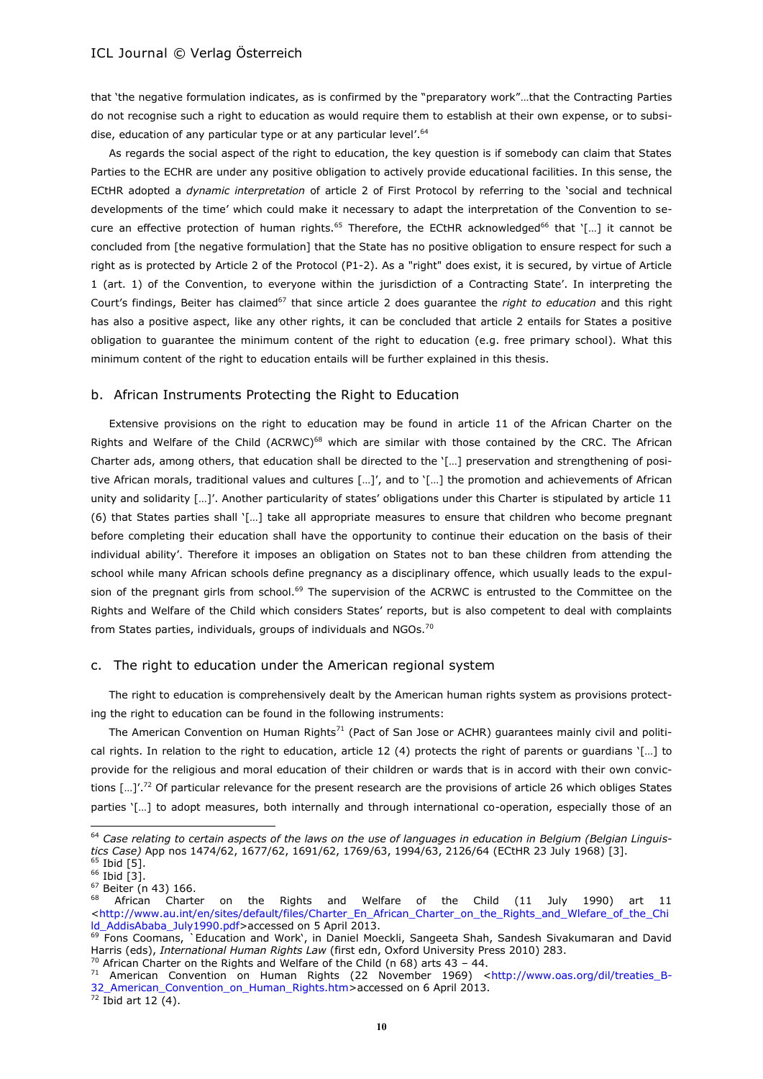that 'the negative formulation indicates, as is confirmed by the "preparatory work"…that the Contracting Parties do not recognise such a right to education as would require them to establish at their own expense, or to subsidise, education of any particular type or at any particular level'.<sup>64</sup>

As regards the social aspect of the right to education, the key question is if somebody can claim that States Parties to the ECHR are under any positive obligation to actively provide educational facilities. In this sense, the ECtHR adopted a *dynamic interpretation* of article 2 of First Protocol by referring to the 'social and technical developments of the time' which could make it necessary to adapt the interpretation of the Convention to secure an effective protection of human rights.<sup>65</sup> Therefore, the ECtHR acknowledged<sup>66</sup> that '[...] it cannot be concluded from [the negative formulation] that the State has no positive obligation to ensure respect for such a right as is protected by Article 2 of the Protocol (P1-2). As a "right" does exist, it is secured, by virtue of Article 1 (art. 1) of the Convention, to everyone within the jurisdiction of a Contracting State'. In interpreting the Court's findings, Beiter has claimed<sup>67</sup> that since article 2 does guarantee the *right to education* and this right has also a positive aspect, like any other rights, it can be concluded that article 2 entails for States a positive obligation to guarantee the minimum content of the right to education (e.g. free primary school). What this minimum content of the right to education entails will be further explained in this thesis.

#### b. African Instruments Protecting the Right to Education

Extensive provisions on the right to education may be found in article 11 of the African Charter on the Rights and Welfare of the Child (ACRWC)<sup>68</sup> which are similar with those contained by the CRC. The African Charter ads, among others, that education shall be directed to the '[…] preservation and strengthening of positive African morals, traditional values and cultures [...]', and to '[...] the promotion and achievements of African unity and solidarity […]'. Another particularity of states' obligations under this Charter is stipulated by article 11 (6) that States parties shall '[…] take all appropriate measures to ensure that children who become pregnant before completing their education shall have the opportunity to continue their education on the basis of their individual ability'. Therefore it imposes an obligation on States not to ban these children from attending the school while many African schools define pregnancy as a disciplinary offence, which usually leads to the expulsion of the pregnant girls from school.<sup>69</sup> The supervision of the ACRWC is entrusted to the Committee on the Rights and Welfare of the Child which considers States' reports, but is also competent to deal with complaints from States parties, individuals, groups of individuals and NGOs.<sup>70</sup>

#### c. The right to education under the American regional system

The right to education is comprehensively dealt by the American human rights system as provisions protecting the right to education can be found in the following instruments:

The American Convention on Human Rights<sup>71</sup> (Pact of San Jose or ACHR) guarantees mainly civil and political rights. In relation to the right to education, article 12 (4) protects the right of parents or guardians '[…] to provide for the religious and moral education of their children or wards that is in accord with their own convictions  $\left[\ldots\right]^{7.72}$  Of particular relevance for the present research are the provisions of article 26 which obliges States parties '[…] to adopt measures, both internally and through international co-operation, especially those of an

<sup>&</sup>lt;sup>64</sup> Case relating to certain aspects of the laws on the use of languages in education in Belgium (Belgian Linguis*tics Case)* App nos 1474/62, 1677/62, 1691/62, 1769/63, 1994/63, 2126/64 (ECtHR 23 July 1968) [3].  $65$  Ibid [5].

<sup>&</sup>lt;sup>66</sup> Ibid [3]. <sup>67</sup> Beiter (n 43) 166.

African Charter on the Rights and Welfare of the Child (11 July 1990) art 11 [<http://www.au.int/en/sites/default/files/Charter\\_En\\_African\\_Charter\\_on\\_the\\_Rights\\_and\\_Wlefare\\_of\\_the\\_Chi](http://www.au.int/en/sites/default/files/Charter_En_African_Charter_on_the_Rights_and_Wlefare_of_the_Child_AddisAbaba_July1990.pdf) [ld\\_AddisAbaba\\_July1990.pdf>](http://www.au.int/en/sites/default/files/Charter_En_African_Charter_on_the_Rights_and_Wlefare_of_the_Child_AddisAbaba_July1990.pdf)accessed on 5 April 2013.

<sup>&</sup>lt;sup>69</sup> Fons Coomans, **Calucation and Work', in Daniel Moeckli**, Sangeeta Shah, Sandesh Sivakumaran and David Harris (eds), *International Human Rights Law* (first edn, Oxford University Press 2010) 283.

 $70$  African Charter on the Rights and Welfare of the Child (n 68) arts 43 - 44.

<sup>&</sup>lt;sup>71</sup> American Convention on Human Rights (22 November 1969) <http://www.oas.org/dil/treaties B-[32\\_American\\_Convention\\_on\\_Human\\_Rights.htm>](http://www.oas.org/dil/treaties_B-32_American_Convention_on_Human_Rights.htm)accessed on 6 April 2013.

 $72$  Ibid art 12 (4).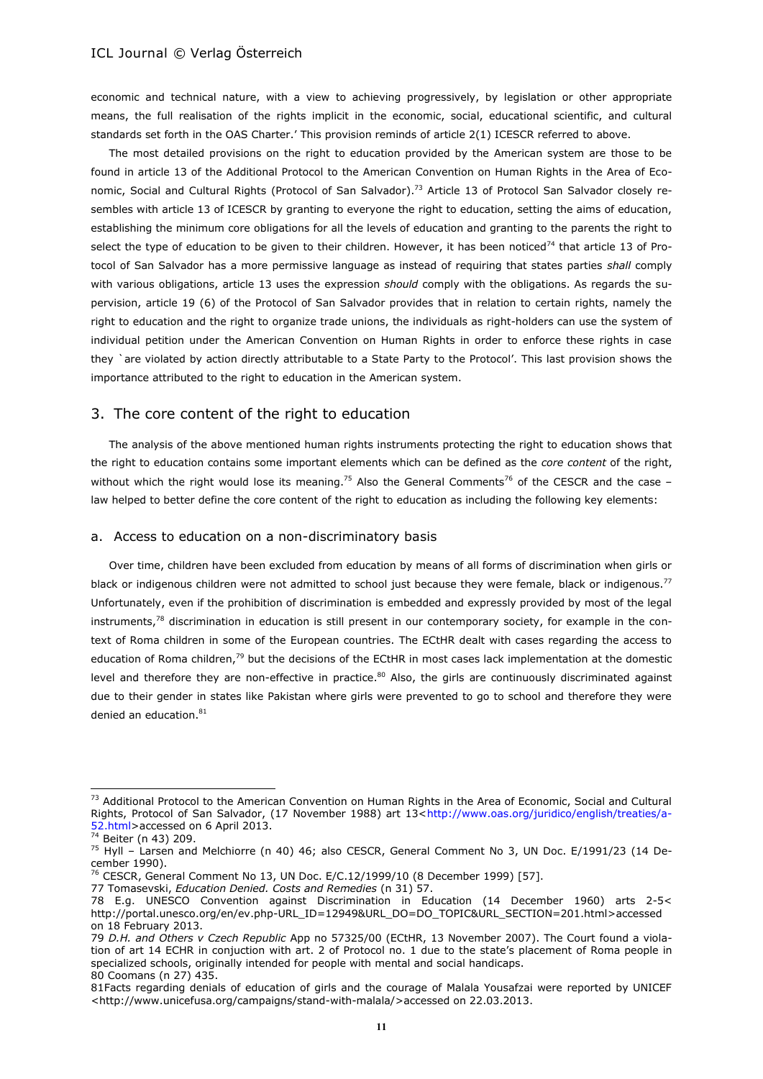economic and technical nature, with a view to achieving progressively, by legislation or other appropriate means, the full realisation of the rights implicit in the economic, social, educational scientific, and cultural standards set forth in the OAS Charter.' This provision reminds of article 2(1) ICESCR referred to above.

The most detailed provisions on the right to education provided by the American system are those to be found in article 13 of the Additional Protocol to the American Convention on Human Rights in the Area of Economic, Social and Cultural Rights (Protocol of San Salvador).<sup>73</sup> Article 13 of Protocol San Salvador closely resembles with article 13 of ICESCR by granting to everyone the right to education, setting the aims of education, establishing the minimum core obligations for all the levels of education and granting to the parents the right to select the type of education to be given to their children. However, it has been noticed<sup>74</sup> that article 13 of Protocol of San Salvador has a more permissive language as instead of requiring that states parties *shall* comply with various obligations, article 13 uses the expression *should* comply with the obligations. As regards the supervision, article 19 (6) of the Protocol of San Salvador provides that in relation to certain rights, namely the right to education and the right to organize trade unions, the individuals as right-holders can use the system of individual petition under the American Convention on Human Rights in order to enforce these rights in case they `are violated by action directly attributable to a State Party to the Protocol'. This last provision shows the importance attributed to the right to education in the American system.

# 3. The core content of the right to education

The analysis of the above mentioned human rights instruments protecting the right to education shows that the right to education contains some important elements which can be defined as the *core content* of the right, without which the right would lose its meaning.<sup>75</sup> Also the General Comments<sup>76</sup> of the CESCR and the case – law helped to better define the core content of the right to education as including the following key elements:

#### a. Access to education on a non-discriminatory basis

Over time, children have been excluded from education by means of all forms of discrimination when girls or black or indigenous children were not admitted to school just because they were female, black or indigenous.<sup>77</sup> Unfortunately, even if the prohibition of discrimination is embedded and expressly provided by most of the legal instruments,<sup>78</sup> discrimination in education is still present in our contemporary society, for example in the context of Roma children in some of the European countries. The ECtHR dealt with cases regarding the access to education of Roma children,<sup>79</sup> but the decisions of the ECtHR in most cases lack implementation at the domestic level and therefore they are non-effective in practice.<sup>80</sup> Also, the girls are continuously discriminated against due to their gender in states like Pakistan where girls were prevented to go to school and therefore they were denied an education.<sup>81</sup>

<sup>&</sup>lt;sup>73</sup> Additional Protocol to the American Convention on Human Rights in the Area of Economic, Social and Cultural Rights, Protocol of San Salvador, (17 November 1988) art 13[<http://www.oas.org/juridico/english/treaties/a-](http://www.oas.org/juridico/english/treaties/a-52.html)[52.html>](http://www.oas.org/juridico/english/treaties/a-52.html)accessed on 6 April 2013.

 $\frac{52.161117}{74}$  Beiter (n 43) 209.

<sup>75</sup> Hyll – Larsen and Melchiorre (n 40) 46; also CESCR, General Comment No 3, UN Doc. E/1991/23 (14 December 1990).

<sup>&</sup>lt;sup>76</sup> CESCR, General Comment No 13, UN Doc. E/C.12/1999/10 (8 December 1999) [57].

<sup>77</sup> Tomasevski, *Education Denied. Costs and Remedies* (n 31) 57.

<sup>78</sup> E.g. UNESCO Convention against Discrimination in Education (14 December 1960) arts 2-5< [http://portal.unesco.org/en/ev.php-URL\\_ID=12949&URL\\_DO=DO\\_TOPIC&URL\\_SECTION=201.html>](http://portal.unesco.org/en/ev.php-URL_ID=12949&URL_DO=DO_TOPIC&URL_SECTION=201.html)accessed on 18 February 2013.

<sup>79</sup> *D.H. and Others v Czech Republic* App no [57325/00](http://hudoc.echr.coe.int/sites/eng/pages/search.aspx#{"appno":["57325/00"]}) (ECtHR, 13 November 2007). The Court found a violation of art 14 ECHR in conjuction with art. 2 of Protocol no. 1 due to the state's placement of Roma people in specialized schools, originally intended for people with mental and social handicaps. 80 Coomans (n 27) 435.

<sup>81</sup>Facts regarding denials of education of girls and the courage of Malala Yousafzai were reported by UNICEF [<http://www.unicefusa.org/campaigns/stand-with-malala/>](http://www.unicefusa.org/campaigns/stand-with-malala/)accessed on 22.03.2013.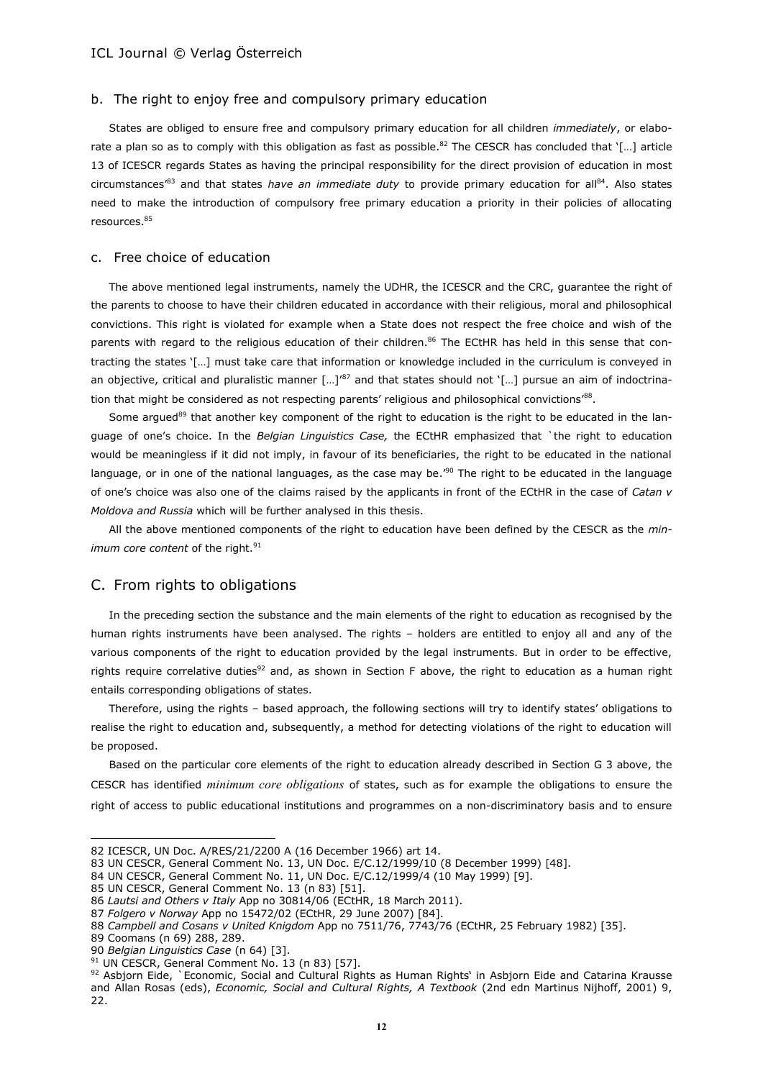#### b. The right to enjoy free and compulsory primary education

States are obliged to ensure free and compulsory primary education for all children *immediately*, or elaborate a plan so as to comply with this obligation as fast as possible.<sup>82</sup> The CESCR has concluded that '[...] article 13 of ICESCR regards States as having the principal responsibility for the direct provision of education in most circumstances'<sup>83</sup> and that states *have an immediate duty* to provide primary education for all<sup>84</sup> . Also states need to make the introduction of compulsory free primary education a priority in their policies of allocating resources.<sup>85</sup>

#### c. Free choice of education

The above mentioned legal instruments, namely the UDHR, the ICESCR and the CRC, guarantee the right of the parents to choose to have their children educated in accordance with their religious, moral and philosophical convictions. This right is violated for example when a State does not respect the free choice and wish of the parents with regard to the religious education of their children.<sup>86</sup> The ECtHR has held in this sense that contracting the states '[…] must take care that information or knowledge included in the curriculum is conveyed in an objective, critical and pluralistic manner [...]<sup>'87</sup> and that states should not '[...] pursue an aim of indoctrination that might be considered as not respecting parents' religious and philosophical convictions' $^{88}$ .

Some argued<sup>89</sup> that another key component of the right to education is the right to be educated in the language of one's choice. In the *Belgian Linguistics Case,* the ECtHR emphasized that `the right to education would be meaningless if it did not imply, in favour of its beneficiaries, the right to be educated in the national language, or in one of the national languages, as the case may be.<sup>'90</sup> The right to be educated in the language of one's choice was also one of the claims raised by the applicants in front of the ECtHR in the case of *Catan v Moldova and Russia* which will be further analysed in this thesis.

All the above mentioned components of the right to education have been defined by the CESCR as the *minimum core content* of the right.<sup>91</sup>

# C. From rights to obligations

In the preceding section the substance and the main elements of the right to education as recognised by the human rights instruments have been analysed. The rights – holders are entitled to enjoy all and any of the various components of the right to education provided by the legal instruments. But in order to be effective, rights require correlative duties<sup>92</sup> and, as shown in Section F above, the right to education as a human right entails corresponding obligations of states.

Therefore, using the rights – based approach, the following sections will try to identify states' obligations to realise the right to education and, subsequently, a method for detecting violations of the right to education will be proposed.

Based on the particular core elements of the right to education already described in Section G 3 above, the CESCR has identified *minimum core obligations* of states, such as for example the obligations to ensure the right of access to public educational institutions and programmes on a non-discriminatory basis and to ensure

<sup>82</sup> ICESCR, UN Doc. A/RES/21/2200 A (16 December 1966) art 14.

<sup>83</sup> UN CESCR, General Comment No. 13, UN Doc. E/C.12/1999/10 (8 December 1999) [48].

<sup>84</sup> UN CESCR, General Comment No. 11, UN Doc. E/C.12/1999/4 (10 May 1999) [9].

<sup>85</sup> UN CESCR, General Comment No. 13 (n 83) [51].

<sup>86</sup> *Lautsi and Others v Italy* App no 30814/06 (ECtHR, 18 March 2011).

<sup>87</sup> *Folgero v Norway* App no 15472/02 (ECtHR, 29 June 2007) [84].

<sup>88</sup> *Campbell and Cosans v United Knigdom* App no 7511/76, 7743/76 (ECtHR, 25 February 1982) [35].

<sup>89</sup> Coomans (n 69) 288, 289.

<sup>90</sup> *Belgian Linguistics Case* (n 64) [3].

 $91$  UN CESCR, General Comment No. 13 (n 83) [57].

<sup>92</sup> Asbjorn Eide, `Economic, Social and Cultural Rights as Human Rights' in Asbiorn Eide and Catarina Krausse and Allan Rosas (eds), *Economic, Social and Cultural Rights, A Textbook* (2nd edn Martinus Nijhoff, 2001) 9, 22.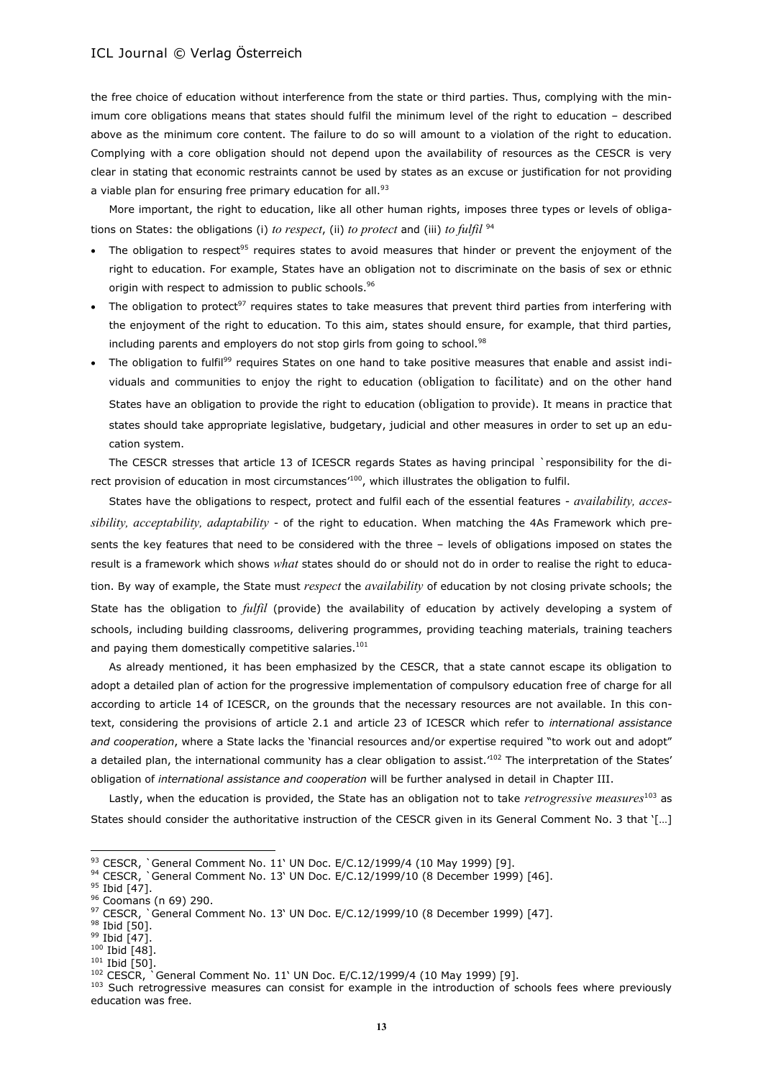the free choice of education without interference from the state or third parties. Thus, complying with the minimum core obligations means that states should fulfil the minimum level of the right to education – described above as the minimum core content. The failure to do so will amount to a violation of the right to education. Complying with a core obligation should not depend upon the availability of resources as the CESCR is very clear in stating that economic restraints cannot be used by states as an excuse or justification for not providing a viable plan for ensuring free primary education for all.<sup>93</sup>

More important, the right to education, like all other human rights, imposes three types or levels of obligations on States: the obligations (i) *to respect*, (ii) *to protect* and (iii) *to fulfil* <sup>94</sup>

- The obligation to respect<sup>95</sup> requires states to avoid measures that hinder or prevent the enjoyment of the right to education. For example, States have an obligation not to discriminate on the basis of sex or ethnic origin with respect to admission to public schools.<sup>96</sup>
- The obligation to protect<sup>97</sup> requires states to take measures that prevent third parties from interfering with the enjoyment of the right to education. To this aim, states should ensure, for example, that third parties, including parents and employers do not stop girls from going to school.<sup>98</sup>
- The obligation to fulfil<sup>99</sup> requires States on one hand to take positive measures that enable and assist individuals and communities to enjoy the right to education (obligation to facilitate) and on the other hand States have an obligation to provide the right to education (obligation to provide). It means in practice that states should take appropriate legislative, budgetary, judicial and other measures in order to set up an education system.

The CESCR stresses that article 13 of ICESCR regards States as having principal `responsibility for the direct provision of education in most circumstances' <sup>100</sup>, which illustrates the obligation to fulfil.

States have the obligations to respect, protect and fulfil each of the essential features - *availability, accessibility, acceptability, adaptability* - of the right to education. When matching the 4As Framework which presents the key features that need to be considered with the three – levels of obligations imposed on states the result is a framework which shows *what* states should do or should not do in order to realise the right to education. By way of example, the State must *respect* the *availability* of education by not closing private schools; the State has the obligation to *fulfil* (provide) the availability of education by actively developing a system of schools, including building classrooms, delivering programmes, providing teaching materials, training teachers and paying them domestically competitive salaries.<sup>101</sup>

As already mentioned, it has been emphasized by the CESCR, that a state cannot escape its obligation to adopt a detailed plan of action for the progressive implementation of compulsory education free of charge for all according to article 14 of ICESCR, on the grounds that the necessary resources are not available. In this context, considering the provisions of article 2.1 and article 23 of ICESCR which refer to *international assistance and cooperation*, where a State lacks the 'financial resources and/or expertise required "to work out and adopt" a detailed plan, the international community has a clear obligation to assist.<sup>102</sup> The interpretation of the States' obligation of *international assistance and cooperation* will be further analysed in detail in Chapter III.

Lastly, when the education is provided, the State has an obligation not to take *retrogressive measures*<sup>103</sup> as States should consider the authoritative instruction of the CESCR given in its General Comment No. 3 that '[…]

 $^{93}$  CESCR, `General Comment No. 11` UN Doc. E/C.12/1999/4 (10 May 1999) [9].

 $94$  CESCR, `General Comment No. 13' UN Doc. E/C.12/1999/10 (8 December 1999) [46].

<sup>&</sup>lt;sup>95</sup> Ibid [47].

<sup>96</sup> Coomans (n 69) 290.

 $97$  CESCR, `General Comment No. 13' UN Doc. E/C.12/1999/10 (8 December 1999) [47].

<sup>&</sup>lt;sup>98</sup> Ibid [50].

<sup>&</sup>lt;sup>99</sup> Ibid [47].

 $100$  Ibid [48].  $101$  Ibid [50].

<sup>102</sup> CESCR, `General Comment No. 11' UN Doc. E/C.12/1999/4 (10 May 1999) [9].

<sup>&</sup>lt;sup>103</sup> Such retrogressive measures can consist for example in the introduction of schools fees where previously education was free.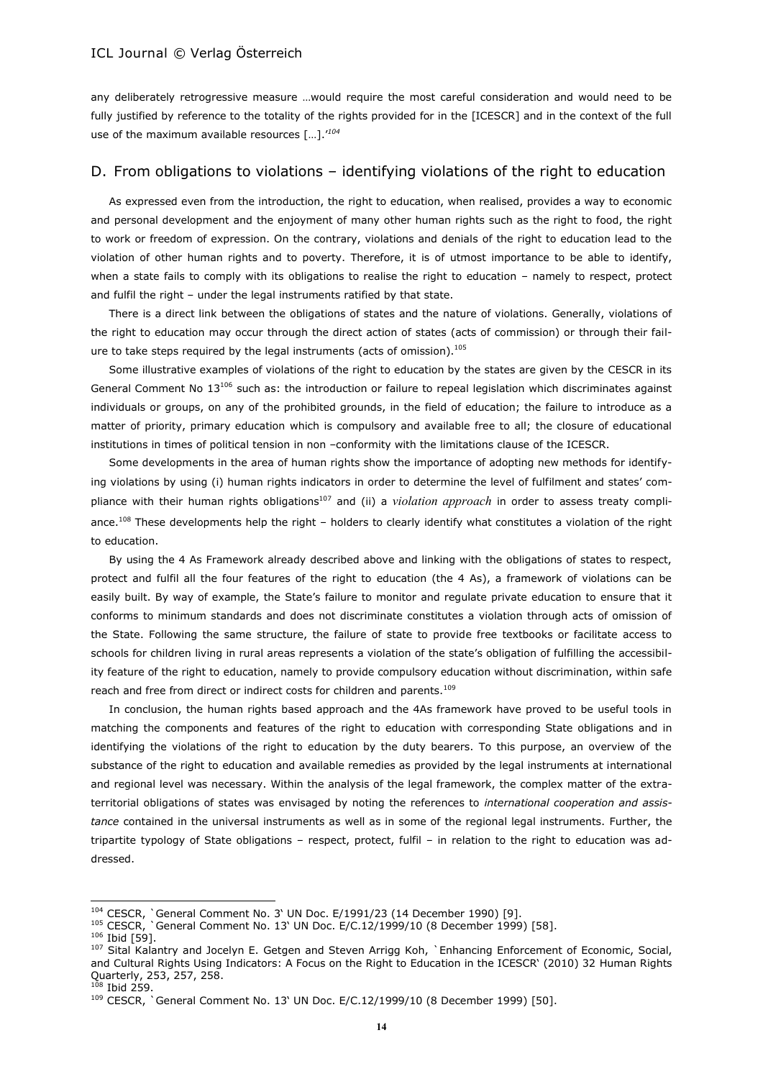any deliberately retrogressive measure …would require the most careful consideration and would need to be fully justified by reference to the totality of the rights provided for in the [ICESCR] and in the context of the full use of the maximum available resources […].'*<sup>104</sup>*

## D. From obligations to violations – identifying violations of the right to education

As expressed even from the introduction, the right to education, when realised, provides a way to economic and personal development and the enjoyment of many other human rights such as the right to food, the right to work or freedom of expression. On the contrary, violations and denials of the right to education lead to the violation of other human rights and to poverty. Therefore, it is of utmost importance to be able to identify, when a state fails to comply with its obligations to realise the right to education – namely to respect, protect and fulfil the right – under the legal instruments ratified by that state.

There is a direct link between the obligations of states and the nature of violations. Generally, violations of the right to education may occur through the direct action of states (acts of commission) or through their failure to take steps required by the legal instruments (acts of omission).<sup>105</sup>

Some illustrative examples of violations of the right to education by the states are given by the CESCR in its General Comment No  $13^{106}$  such as: the introduction or failure to repeal legislation which discriminates against individuals or groups, on any of the prohibited grounds, in the field of education; the failure to introduce as a matter of priority, primary education which is compulsory and available free to all; the closure of educational institutions in times of political tension in non –conformity with the limitations clause of the ICESCR.

Some developments in the area of human rights show the importance of adopting new methods for identifying violations by using (i) human rights indicators in order to determine the level of fulfilment and states' compliance with their human rights obligations<sup>107</sup> and (ii) a *violation approach* in order to assess treaty compliance.<sup>108</sup> These developments help the right – holders to clearly identify what constitutes a violation of the right to education.

By using the 4 As Framework already described above and linking with the obligations of states to respect, protect and fulfil all the four features of the right to education (the 4 As), a framework of violations can be easily built. By way of example, the State's failure to monitor and regulate private education to ensure that it conforms to minimum standards and does not discriminate constitutes a violation through acts of omission of the State. Following the same structure, the failure of state to provide free textbooks or facilitate access to schools for children living in rural areas represents a violation of the state's obligation of fulfilling the accessibility feature of the right to education, namely to provide compulsory education without discrimination, within safe reach and free from direct or indirect costs for children and parents.<sup>109</sup>

In conclusion, the human rights based approach and the 4As framework have proved to be useful tools in matching the components and features of the right to education with corresponding State obligations and in identifying the violations of the right to education by the duty bearers. To this purpose, an overview of the substance of the right to education and available remedies as provided by the legal instruments at international and regional level was necessary. Within the analysis of the legal framework, the complex matter of the extraterritorial obligations of states was envisaged by noting the references to *international cooperation and assistance* contained in the universal instruments as well as in some of the regional legal instruments. Further, the tripartite typology of State obligations – respect, protect, fulfil – in relation to the right to education was addressed.

<sup>104</sup> CESCR, `General Comment No. 3' UN Doc. E/1991/23 (14 December 1990) [9].

<sup>&</sup>lt;sup>105</sup> CESCR, `General Comment No. 13` UN Doc. E/C.12/1999/10 (8 December 1999) [58].

<sup>106</sup> Ibid [59].

<sup>&</sup>lt;sup>107</sup> Sital [Kalantry](http://muse.jhu.edu/results?section1=author&search1=Sital%20Kalantry) and Jocelyn E. [Getgen](http://muse.jhu.edu/results?section1=author&search1=Jocelyn%20E.%20Getgen) and Steven Arrigg [Koh,](http://muse.jhu.edu/results?section1=author&search1=Steven%20Arrigg%20Koh) `Enhancing Enforcement of Economic, Social, and Cultural Rights Using Indicators: A Focus on the Right to Education in the ICESCR' (2010) 32 [Human Rights](http://muse.jhu.edu/journals/human_rights_quarterly)  [Quarterly,](http://muse.jhu.edu/journals/human_rights_quarterly) 253, 257, 258.

<sup>108</sup> Ibid 259.

<sup>109</sup> CESCR, `General Comment No. 13' UN Doc. E/C.12/1999/10 (8 December 1999) [50].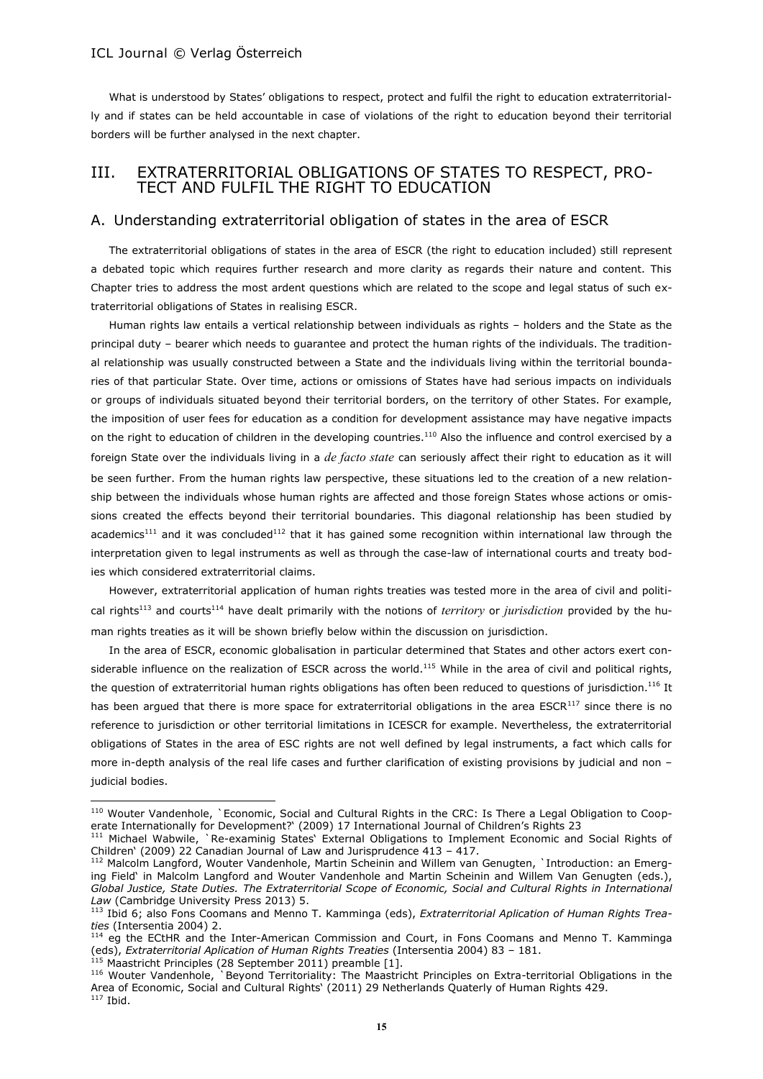What is understood by States' obligations to respect, protect and fulfil the right to education extraterritorially and if states can be held accountable in case of violations of the right to education beyond their territorial borders will be further analysed in the next chapter.

# III. EXTRATERRITORIAL OBLIGATIONS OF STATES TO RESPECT, PRO-TECT AND FULFIL THE RIGHT TO EDUCATION

### A. Understanding extraterritorial obligation of states in the area of ESCR

The extraterritorial obligations of states in the area of ESCR (the right to education included) still represent a debated topic which requires further research and more clarity as regards their nature and content. This Chapter tries to address the most ardent questions which are related to the scope and legal status of such extraterritorial obligations of States in realising ESCR.

Human rights law entails a vertical relationship between individuals as rights – holders and the State as the principal duty – bearer which needs to guarantee and protect the human rights of the individuals. The traditional relationship was usually constructed between a State and the individuals living within the territorial boundaries of that particular State. Over time, actions or omissions of States have had serious impacts on individuals or groups of individuals situated beyond their territorial borders, on the territory of other States. For example, the imposition of user fees for education as a condition for development assistance may have negative impacts on the right to education of children in the developing countries.<sup>110</sup> Also the influence and control exercised by a foreign State over the individuals living in a *de facto state* can seriously affect their right to education as it will be seen further. From the human rights law perspective, these situations led to the creation of a new relationship between the individuals whose human rights are affected and those foreign States whose actions or omissions created the effects beyond their territorial boundaries. This diagonal relationship has been studied by academics<sup>111</sup> and it was concluded<sup>112</sup> that it has gained some recognition within international law through the interpretation given to legal instruments as well as through the case-law of international courts and treaty bodies which considered extraterritorial claims.

However, extraterritorial application of human rights treaties was tested more in the area of civil and political rights <sup>113</sup> and courts<sup>114</sup> have dealt primarily with the notions of *territory* or *jurisdiction* provided by the human rights treaties as it will be shown briefly below within the discussion on jurisdiction.

In the area of ESCR, economic globalisation in particular determined that States and other actors exert considerable influence on the realization of ESCR across the world.<sup>115</sup> While in the area of civil and political rights, the question of extraterritorial human rights obligations has often been reduced to questions of jurisdiction.<sup>116</sup> It has been argued that there is more space for extraterritorial obligations in the area ESCR<sup>117</sup> since there is no reference to jurisdiction or other territorial limitations in ICESCR for example. Nevertheless, the extraterritorial obligations of States in the area of ESC rights are not well defined by legal instruments, a fact which calls for more in-depth analysis of the real life cases and further clarification of existing provisions by judicial and non judicial bodies.

<sup>&</sup>lt;sup>110</sup> Wouter Vandenhole, `Economic, Social and Cultural Rights in the CRC: Is There a Legal Obligation to Cooperate Internationally for Development?' (2009) 17 International Journal of Children's Rights 23

<sup>111</sup> Michael Wabwile, `Re-examinig States' External Obligations to Implement Economic and Social Rights of Children' (2009) 22 Canadian Journal of Law and Jurisprudence 413 – 417.

<sup>&</sup>lt;sup>112</sup> Malcolm Langford, Wouter Vandenhole, Martin Scheinin and Willem van Genugten, `Introduction: an Emerging Field' in Malcolm Langford and Wouter Vandenhole and Martin Scheinin and Willem Van Genugten (eds.), Global Justice, State Duties. The Extraterritorial Scope of Economic, Social and Cultural Rights in International *Law* (Cambridge University Press 2013) 5.

<sup>113</sup> Ibid 6; also Fons Coomans and Menno T. Kamminga (eds), *Extraterritorial Aplication of Human Rights Treaties* (Intersentia 2004) 2.

<sup>&</sup>lt;sup>114</sup> eg the ECtHR and the Inter-American Commission and Court, in Fons Coomans and Menno T. Kamminga (eds), *Extraterritorial Aplication of Human Rights Treaties* (Intersentia 2004) 83 – 181.

<sup>115</sup> Maastricht Principles (28 September 2011) preamble [1].

<sup>116</sup> Wouter Vandenhole, `Beyond Territoriality: The Maastricht Principles on Extra-territorial Obligations in the Area of Economic, Social and Cultural Rights' (2011) 29 Netherlands Quaterly of Human Rights 429.

 $117$  Ibid.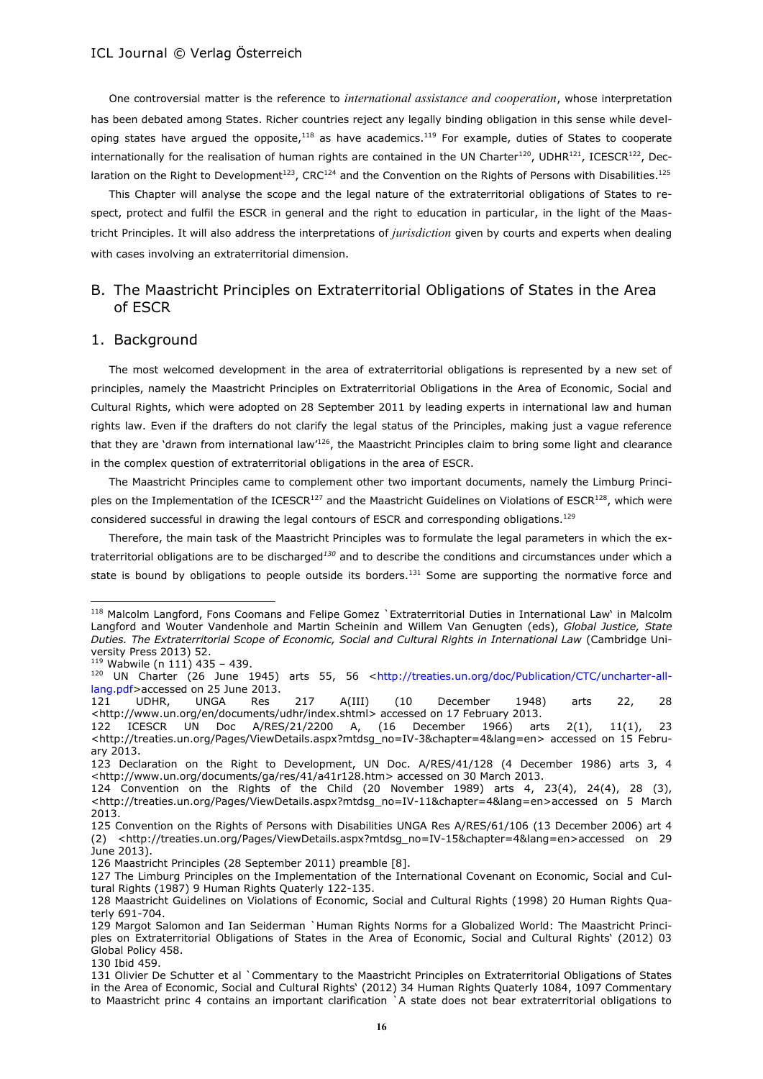One controversial matter is the reference to *international assistance and cooperation*, whose interpretation has been debated among States. Richer countries reject any legally binding obligation in this sense while developing states have argued the opposite,<sup>118</sup> as have academics.<sup>119</sup> For example, duties of States to cooperate internationally for the realisation of human rights are contained in the UN Charter<sup>120</sup>, UDHR<sup>121</sup>, ICESCR<sup>122</sup>, Declaration on the Right to Development<sup>123</sup>, CRC<sup>124</sup> and the Convention on the Rights of Persons with Disabilities.<sup>125</sup>

This Chapter will analyse the scope and the legal nature of the extraterritorial obligations of States to respect, protect and fulfil the ESCR in general and the right to education in particular, in the light of the Maastricht Principles. It will also address the interpretations of *jurisdiction* given by courts and experts when dealing with cases involving an extraterritorial dimension.

# B. The Maastricht Principles on Extraterritorial Obligations of States in the Area of ESCR

#### 1. Background

The most welcomed development in the area of extraterritorial obligations is represented by a new set of principles, namely the Maastricht Principles on Extraterritorial Obligations in the Area of Economic, Social and Cultural Rights, which were adopted on 28 September 2011 by leading experts in international law and human rights law. Even if the drafters do not clarify the legal status of the Principles, making just a vague reference that they are 'drawn from international law<sup>126</sup>, the Maastricht Principles claim to bring some light and clearance in the complex question of extraterritorial obligations in the area of ESCR.

The Maastricht Principles came to complement other two important documents, namely the Limburg Principles on the Implementation of the ICESCR<sup>127</sup> and the Maastricht Guidelines on Violations of ESCR<sup>128</sup>, which were considered successful in drawing the legal contours of ESCR and corresponding obligations.<sup>129</sup>

Therefore, the main task of the Maastricht Principles was to formulate the legal parameters in which the extraterritorial obligations are to be discharged*<sup>130</sup>* and to describe the conditions and circumstances under which a state is bound by obligations to people outside its borders.<sup>131</sup> Some are supporting the normative force and

<sup>118</sup> Malcolm Langford, Fons Coomans and Felipe Gomez `Extraterritorial Duties in International Law' in Malcolm Langford and Wouter Vandenhole and Martin Scheinin and Willem Van Genugten (eds), *Global Justice, State Duties. The Extraterritorial Scope of Economic, Social and Cultural Rights in International Law* (Cambridge University Press 2013) 52.

 $119$  Wabwile (n 111) 435 - 439.

<sup>&</sup>lt;sup>120</sup> UN Charter (26 June 1945) arts 55, 56 [<http://treaties.un.org/doc/Publication/CTC/uncharter-all](http://treaties.un.org/doc/Publication/CTC/uncharter-all-lang.pdf)[lang.pdf>](http://treaties.un.org/doc/Publication/CTC/uncharter-all-lang.pdf)accessed on 25 June 2013.<br>121 UDHR, UNGA Res

<sup>121</sup> UDHR, UNGA Res 217 A(III) (10 December 1948) arts 22, 28 [<http://www.un.org/en/documents/udhr/index.shtml>](http://www.un.org/en/documents/udhr/index.shtml) accessed on 17 February 2013.

<sup>122</sup> ICESCR UN Doc A/RES/21/2200 A, (16 December 1966) arts 2(1), 11(1), 23 [<http://treaties.un.org/Pages/ViewDetails.aspx?mtdsg\\_no=IV-3&chapter=4&lang=en>](http://treaties.un.org/Pages/ViewDetails.aspx?mtdsg_no=IV-3&chapter=4&lang=en) accessed on 15 February 2013.

<sup>123</sup> Declaration on the Right to Development, UN Doc. A/RES/41/128 (4 December 1986) arts 3, 4 [<http://www.un.org/documents/ga/res/41/a41r128.htm>](http://www.un.org/documents/ga/res/41/a41r128.htm) accessed on 30 March 2013.

<sup>124</sup> Convention on the Rights of the Child (20 November 1989) arts 4, 23(4), 24(4), 28 (3), [<http://treaties.un.org/Pages/ViewDetails.aspx?mtdsg\\_no=IV-11&chapter=4&lang=en>](http://treaties.un.org/Pages/ViewDetails.aspx?mtdsg_no=IV-11&chapter=4&lang=en)accessed on 5 March 2013.

<sup>125</sup> Convention on the Rights of Persons with Disabilities UNGA Res A/RES/61/106 (13 December 2006) art 4 (2) [<http://treaties.un.org/Pages/ViewDetails.aspx?mtdsg\\_no=IV-15&chapter=4&lang=en>](http://treaties.un.org/Pages/ViewDetails.aspx?mtdsg_no=IV-15&chapter=4&lang=en)accessed on 29 June 2013).

<sup>126</sup> Maastricht Principles (28 September 2011) preamble [8].

<sup>127</sup> The Limburg Principles on the Implementation of the International Covenant on Economic, Social and Cultural Rights (1987) 9 Human Rights Quaterly 122-135.

<sup>128</sup> Maastricht Guidelines on Violations of Economic, Social and Cultural Rights (1998) 20 Human Rights Quaterly 691-704.

<sup>129</sup> Margot Salomon and Ian Seiderman `Human Rights Norms for a Globalized World: The Maastricht Principles on Extraterritorial Obligations of States in the Area of Economic, Social and Cultural Rights' (2012) 03 Global Policy 458.

<sup>130</sup> Ibid 459.

<sup>131</sup> Olivier De Schutter et al `Commentary to the Maastricht Principles on Extraterritorial Obligations of States in the Area of Economic, Social and Cultural Rights' (2012) 34 Human Rights Quaterly 1084, 1097 Commentary to Maastricht princ 4 contains an important clarification `A state does not bear extraterritorial obligations to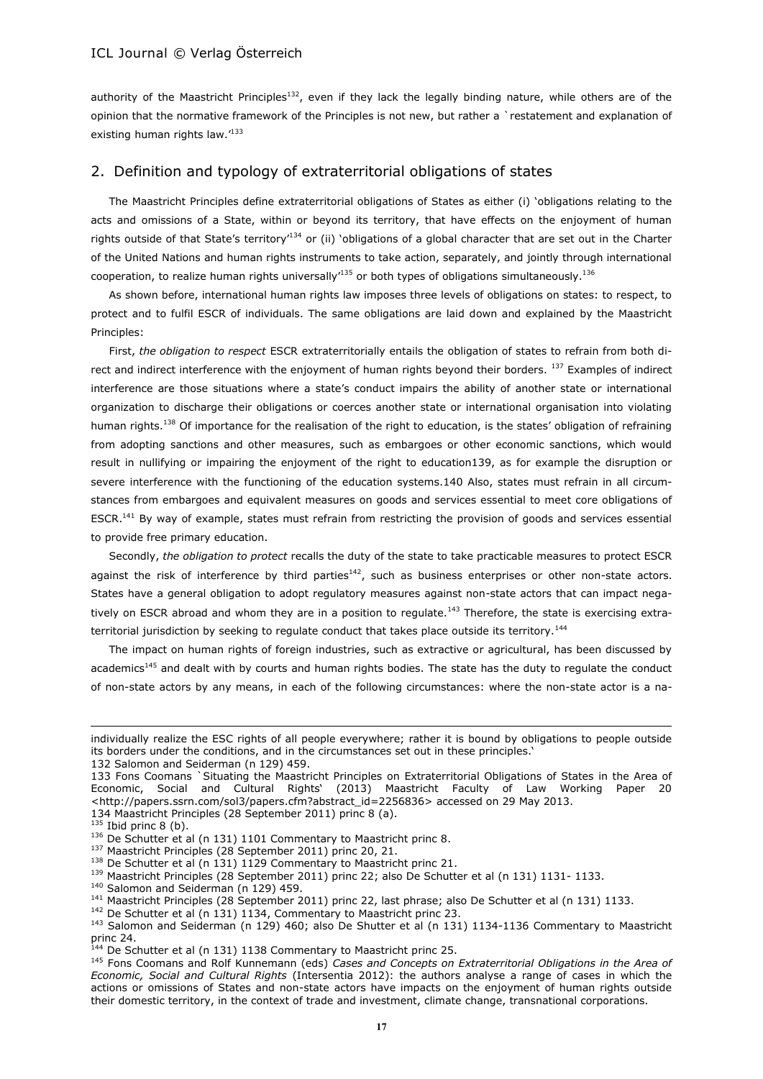authority of the Maastricht Principles<sup>132</sup>, even if they lack the legally binding nature, while others are of the opinion that the normative framework of the Principles is not new, but rather a `restatement and explanation of existing human rights law.<sup>133</sup>

### 2. Definition and typology of extraterritorial obligations of states

The Maastricht Principles define extraterritorial obligations of States as either (i) 'obligations relating to the acts and omissions of a State, within or beyond its territory, that have effects on the enjoyment of human rights outside of that State's territory<sup>134</sup> or (ii) 'obligations of a global character that are set out in the Charter of the United Nations and human rights instruments to take action, separately, and jointly through international cooperation, to realize human rights universally<sup>135</sup> or both types of obligations simultaneously.<sup>136</sup>

As shown before, international human rights law imposes three levels of obligations on states: to respect, to protect and to fulfil ESCR of individuals. The same obligations are laid down and explained by the Maastricht Principles:

First, *the obligation to respect* ESCR extraterritorially entails the obligation of states to refrain from both direct and indirect interference with the enjoyment of human rights beyond their borders. 137 Examples of indirect interference are those situations where a state's conduct impairs the ability of another state or international organization to discharge their obligations or coerces another state or international organisation into violating human rights.<sup>138</sup> Of importance for the realisation of the right to education, is the states' obligation of refraining from adopting sanctions and other measures, such as embargoes or other economic sanctions, which would result in nullifying or impairing the enjoyment of the right to education139, as for example the disruption or severe interference with the functioning of the education systems.140 Also, states must refrain in all circumstances from embargoes and equivalent measures on goods and services essential to meet core obligations of ESCR.<sup>141</sup> By way of example, states must refrain from restricting the provision of goods and services essential to provide free primary education.

Secondly, *the obligation to protect* recalls the duty of the state to take practicable measures to protect ESCR against the risk of interference by third parties<sup>142</sup>, such as business enterprises or other non-state actors. States have a general obligation to adopt regulatory measures against non-state actors that can impact negatively on ESCR abroad and whom they are in a position to regulate.<sup>143</sup> Therefore, the state is exercising extraterritorial jurisdiction by seeking to regulate conduct that takes place outside its territory.<sup>144</sup>

The impact on human rights of foreign industries, such as extractive or agricultural, has been discussed by academics<sup>145</sup> and dealt with by courts and human rights bodies. The state has the duty to regulate the conduct of non-state actors by any means, in each of the following circumstances: where the non-state actor is a na-

 $\overline{a}$ 

<sup>142</sup> De Schutter et al (n 131) 1134, Commentary to Maastricht princ 23.

individually realize the ESC rights of all people everywhere; rather it is bound by obligations to people outside its borders under the conditions, and in the circumstances set out in these principles.'

<sup>132</sup> Salomon and Seiderman (n 129) 459.

<sup>133</sup> Fons Coomans `Situating the Maastricht Principles on Extraterritorial Obligations of States in the Area of Economic, Social and Cultural Rights' (2013) Maastricht Faculty of Law Working Paper 20 [<http://papers.ssrn.com/sol3/papers.cfm?abstract\\_id=2256836>](http://papers.ssrn.com/sol3/papers.cfm?abstract_id=2256836) accessed on 29 May 2013.

<sup>134</sup> Maastricht Principles (28 September 2011) princ 8 (a).

 $135$  Ibid princ 8 (b).

<sup>&</sup>lt;sup>136</sup> De Schutter et al (n 131) 1101 Commentary to Maastricht princ 8.

<sup>&</sup>lt;sup>137</sup> Maastricht Principles (28 September 2011) princ 20, 21.

<sup>&</sup>lt;sup>138</sup> De Schutter et al (n 131) 1129 Commentary to Maastricht princ 21.

<sup>&</sup>lt;sup>139</sup> Maastricht Principles (28 September 2011) princ 22; also De Schutter et al (n 131) 1131- 1133.

<sup>140</sup> Salomon and Seiderman (n 129) 459.

<sup>&</sup>lt;sup>141</sup> Maastricht Principles (28 September 2011) princ 22, last phrase; also De Schutter et al (n 131) 1133.

<sup>&</sup>lt;sup>143</sup> Salomon and Seiderman (n 129) 460; also De Shutter et al (n 131) 1134-1136 Commentary to Maastricht princ 24.

 $144$  De Schutter et al (n 131) 1138 Commentary to Maastricht princ 25.

<sup>145</sup> Fons Coomans and Rolf Kunnemann (eds) *Cases and Concepts on Extraterritorial Obligations in the Area of Economic, Social and Cultural Rights* (Intersentia 2012): the authors analyse a range of cases in which the actions or omissions of States and non-state actors have impacts on the enjoyment of human rights outside their domestic territory, in the context of trade and investment, climate change, transnational corporations.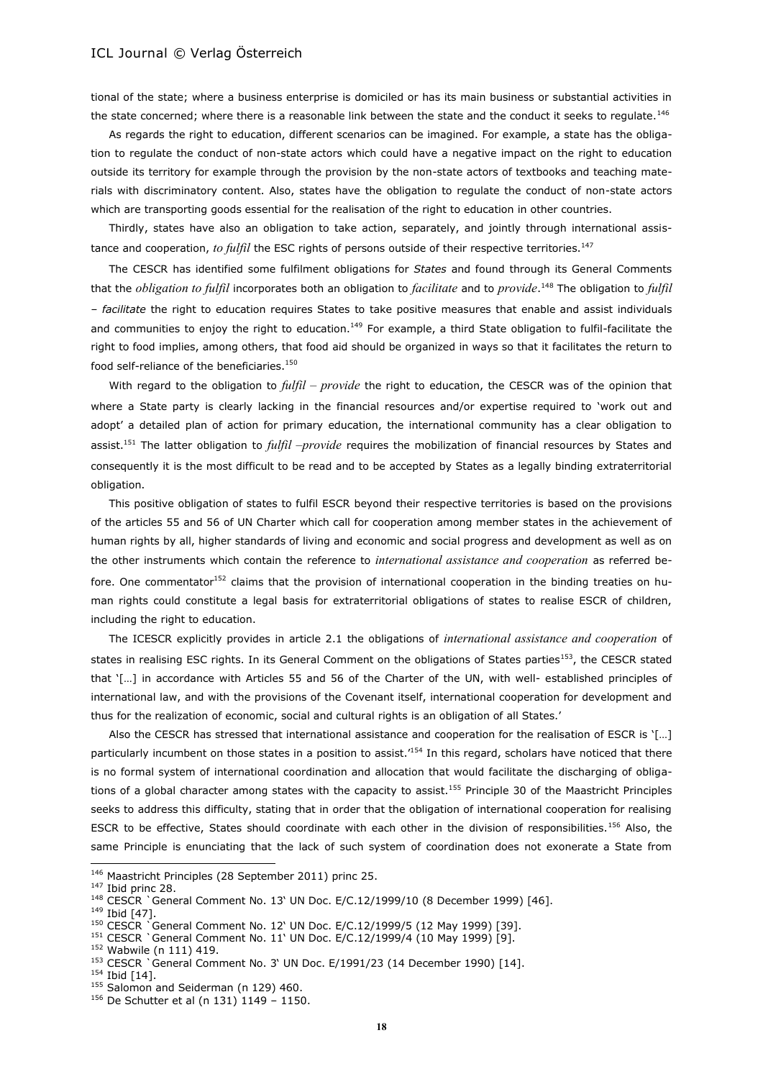tional of the state; where a business enterprise is domiciled or has its main business or substantial activities in the state concerned; where there is a reasonable link between the state and the conduct it seeks to regulate.<sup>146</sup>

As regards the right to education, different scenarios can be imagined. For example, a state has the obligation to regulate the conduct of non-state actors which could have a negative impact on the right to education outside its territory for example through the provision by the non-state actors of textbooks and teaching materials with discriminatory content. Also, states have the obligation to regulate the conduct of non-state actors which are transporting goods essential for the realisation of the right to education in other countries.

Thirdly, states have also an obligation to take action, separately, and jointly through international assistance and cooperation, *to fulfil* the ESC rights of persons outside of their respective territories.<sup>147</sup>

The CESCR has identified some fulfilment obligations for *States* and found through its General Comments that the *obligation to fulfil* incorporates both an obligation to *facilitate* and to *provide*. <sup>148</sup> The obligation to *fulfil – facilitate* the right to education requires States to take positive measures that enable and assist individuals and communities to enjoy the right to education.<sup>149</sup> For example, a third State obligation to fulfil-facilitate the right to food implies, among others, that food aid should be organized in ways so that it facilitates the return to food self-reliance of the beneficiaries. $150$ 

With regard to the obligation to *fulfil – provide* the right to education, the CESCR was of the opinion that where a State party is clearly lacking in the financial resources and/or expertise required to 'work out and adopt' a detailed plan of action for primary education, the international community has a clear obligation to assist.<sup>151</sup> The latter obligation to *fulfil –provide* requires the mobilization of financial resources by States and consequently it is the most difficult to be read and to be accepted by States as a legally binding extraterritorial obligation.

This positive obligation of states to fulfil ESCR beyond their respective territories is based on the provisions of the articles 55 and 56 of UN Charter which call for cooperation among member states in the achievement of human rights by all, higher standards of living and economic and social progress and development as well as on the other instruments which contain the reference to *international assistance and cooperation* as referred before. One commentator<sup>152</sup> claims that the provision of international cooperation in the binding treaties on human rights could constitute a legal basis for extraterritorial obligations of states to realise ESCR of children, including the right to education.

The ICESCR explicitly provides in article 2.1 the obligations of *international assistance and cooperation* of states in realising ESC rights. In its General Comment on the obligations of States parties<sup>153</sup>, the CESCR stated that '[…] in accordance with Articles 55 and 56 of the Charter of the UN, with well- established principles of international law, and with the provisions of the Covenant itself, international cooperation for development and thus for the realization of economic, social and cultural rights is an obligation of all States.'

Also the CESCR has stressed that international assistance and cooperation for the realisation of ESCR is '[…] particularly incumbent on those states in a position to assist.<sup>154</sup> In this regard, scholars have noticed that there is no formal system of international coordination and allocation that would facilitate the discharging of obligations of a global character among states with the capacity to assist.<sup>155</sup> Principle 30 of the Maastricht Principles seeks to address this difficulty, stating that in order that the obligation of international cooperation for realising ESCR to be effective, States should coordinate with each other in the division of responsibilities.<sup>156</sup> Also, the same Principle is enunciating that the lack of such system of coordination does not exonerate a State from

<sup>146</sup> Maastricht Principles (28 September 2011) princ 25.

<sup>147</sup> Ibid princ 28.

<sup>148</sup> CESCR `General Comment No. 13' UN Doc. E/C.12/1999/10 (8 December 1999) [46].

<sup>149</sup> Ibid [47].

<sup>150</sup> CESCR `General Comment No. 12' UN Doc. E/C.12/1999/5 (12 May 1999) [39].

<sup>151</sup> CESCR `General Comment No. 11' UN Doc. E/C.12/1999/4 (10 May 1999) [9].

<sup>152</sup> Wabwile (n 111) 419.

<sup>153</sup> CESCR `General Comment No. 3' UN Doc. E/1991/23 (14 December 1990) [14].

<sup>&</sup>lt;sup>154</sup> Ibid [14].

<sup>&</sup>lt;sup>155</sup> Salomon and Seiderman (n 129) 460.

 $156$  De Schutter et al (n 131) 1149 - 1150.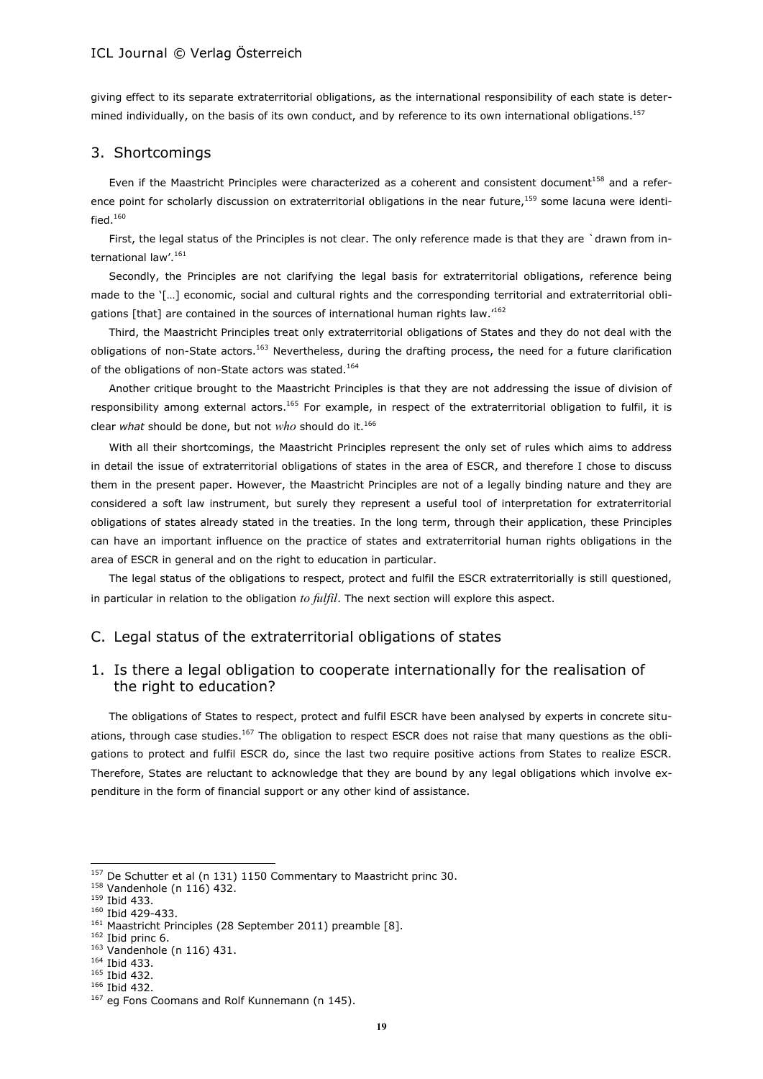giving effect to its separate extraterritorial obligations, as the international responsibility of each state is determined individually, on the basis of its own conduct, and by reference to its own international obligations.<sup>157</sup>

### 3. Shortcomings

Even if the Maastricht Principles were characterized as a coherent and consistent document<sup>158</sup> and a reference point for scholarly discussion on extraterritorial obligations in the near future,<sup>159</sup> some lacuna were identified. $160$ 

First, the legal status of the Principles is not clear. The only reference made is that they are `drawn from international law'.<sup>161</sup>

Secondly, the Principles are not clarifying the legal basis for extraterritorial obligations, reference being made to the '[…] economic, social and cultural rights and the corresponding territorial and extraterritorial obligations [that] are contained in the sources of international human rights law.'<sup>162</sup>

Third, the Maastricht Principles treat only extraterritorial obligations of States and they do not deal with the obligations of non-State actors.<sup>163</sup> Nevertheless, during the drafting process, the need for a future clarification of the obligations of non-State actors was stated.<sup>164</sup>

Another critique brought to the Maastricht Principles is that they are not addressing the issue of division of responsibility among external actors.<sup>165</sup> For example, in respect of the extraterritorial obligation to fulfil, it is clear *what* should be done, but not *who* should do it.<sup>166</sup>

With all their shortcomings, the Maastricht Principles represent the only set of rules which aims to address in detail the issue of extraterritorial obligations of states in the area of ESCR, and therefore I chose to discuss them in the present paper. However, the Maastricht Principles are not of a legally binding nature and they are considered a soft law instrument, but surely they represent a useful tool of interpretation for extraterritorial obligations of states already stated in the treaties. In the long term, through their application, these Principles can have an important influence on the practice of states and extraterritorial human rights obligations in the area of ESCR in general and on the right to education in particular.

The legal status of the obligations to respect, protect and fulfil the ESCR extraterritorially is still questioned, in particular in relation to the obligation *to fulfil*. The next section will explore this aspect.

# C. Legal status of the extraterritorial obligations of states

# 1. Is there a legal obligation to cooperate internationally for the realisation of the right to education?

The obligations of States to respect, protect and fulfil ESCR have been analysed by experts in concrete situations, through case studies.<sup>167</sup> The obligation to respect ESCR does not raise that many questions as the obligations to protect and fulfil ESCR do, since the last two require positive actions from States to realize ESCR. Therefore, States are reluctant to acknowledge that they are bound by any legal obligations which involve expenditure in the form of financial support or any other kind of assistance.

<sup>&</sup>lt;sup>157</sup> De Schutter et al (n 131) 1150 Commentary to Maastricht princ 30.

<sup>158</sup> Vandenhole (n 116) 432.

<sup>159</sup> Ibid 433.

<sup>160</sup> Ibid 429-433.

<sup>&</sup>lt;sup>161</sup> Maastricht Principles (28 September 2011) preamble [8].

 $162$  Ibid princ 6.

<sup>163</sup> Vandenhole (n 116) 431.

<sup>164</sup> Ibid 433.

<sup>165</sup> Ibid 432.

<sup>166</sup> Ibid 432.

<sup>&</sup>lt;sup>167</sup> eg Fons Coomans and Rolf Kunnemann (n 145).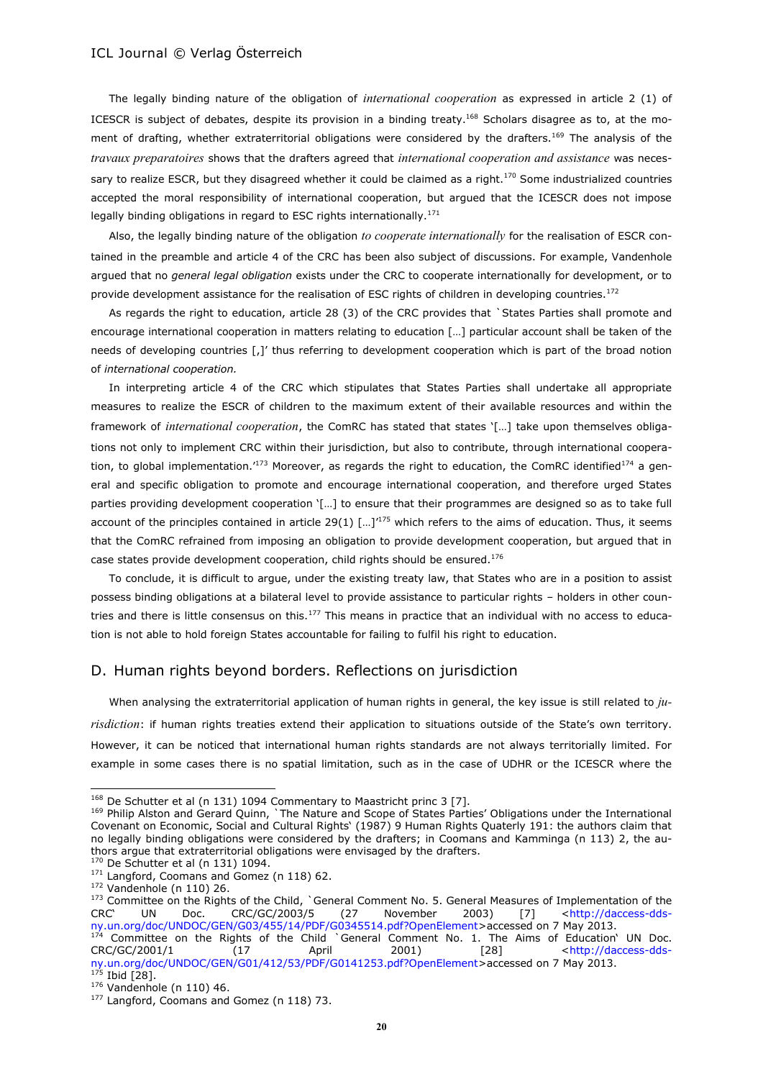The legally binding nature of the obligation of *international cooperation* as expressed in article 2 (1) of ICESCR is subject of debates, despite its provision in a binding treaty.<sup>168</sup> Scholars disagree as to, at the moment of drafting, whether extraterritorial obligations were considered by the drafters.<sup>169</sup> The analysis of the *travaux preparatoires* shows that the drafters agreed that *international cooperation and assistance* was necessary to realize ESCR, but they disagreed whether it could be claimed as a right.<sup>170</sup> Some industrialized countries accepted the moral responsibility of international cooperation, but argued that the ICESCR does not impose legally binding obligations in regard to ESC rights internationally.<sup>171</sup>

Also, the legally binding nature of the obligation *to cooperate internationally* for the realisation of ESCR contained in the preamble and article 4 of the CRC has been also subject of discussions. For example, Vandenhole argued that no *general legal obligation* exists under the CRC to cooperate internationally for development, or to provide development assistance for the realisation of ESC rights of children in developing countries.<sup>172</sup>

As regards the right to education, article 28 (3) of the CRC provides that `States Parties shall promote and encourage international cooperation in matters relating to education […] particular account shall be taken of the needs of developing countries [,]' thus referring to development cooperation which is part of the broad notion of *international cooperation.*

In interpreting article 4 of the CRC which stipulates that States Parties shall undertake all appropriate measures to realize the ESCR of children to the maximum extent of their available resources and within the framework of *international cooperation*, the ComRC has stated that states '[…] take upon themselves obligations not only to implement CRC within their jurisdiction, but also to contribute, through international cooperation, to global implementation.<sup>'173</sup> Moreover, as regards the right to education, the ComRC identified<sup>174</sup> a general and specific obligation to promote and encourage international cooperation, and therefore urged States parties providing development cooperation '[…] to ensure that their programmes are designed so as to take full account of the principles contained in article 29(1)  $\left[\ldots\right]^{175}$  which refers to the aims of education. Thus, it seems that the ComRC refrained from imposing an obligation to provide development cooperation, but argued that in case states provide development cooperation, child rights should be ensured.<sup>176</sup>

To conclude, it is difficult to argue, under the existing treaty law, that States who are in a position to assist possess binding obligations at a bilateral level to provide assistance to particular rights – holders in other countries and there is little consensus on this.<sup>177</sup> This means in practice that an individual with no access to education is not able to hold foreign States accountable for failing to fulfil his right to education.

#### D. Human rights beyond borders. Reflections on jurisdiction

When analysing the extraterritorial application of human rights in general, the key issue is still related to *jurisdiction*: if human rights treaties extend their application to situations outside of the State's own territory. However, it can be noticed that international human rights standards are not always territorially limited. For example in some cases there is no spatial limitation, such as in the case of UDHR or the ICESCR where the

<sup>&</sup>lt;sup>168</sup> De Schutter et al (n 131) 1094 Commentary to Maastricht princ 3 [7].

<sup>169</sup> Philip Alston and Gerard Quinn, `The Nature and Scope of States Parties' Obligations under the International Covenant on Economic, Social and Cultural Rights' (1987) 9 Human Rights Quaterly 191: the authors claim that no legally binding obligations were considered by the drafters; in Coomans and Kamminga (n 113) 2, the authors argue that extraterritorial obligations were envisaged by the drafters.

 $170$  De Schutter et al (n 131) 1094. 171 Langford, Coomans and Gomez (n 118) 62.

<sup>172</sup> Vandenhole (n 110) 26.

<sup>173</sup> Committee on the Rights of the Child, `General Comment No. 5. General Measures of Implementation of the CRC' UN Doc. CRC/GC/2003/5 (27 November 2003) [7] [<http://daccess-dds](http://daccess-dds-ny.un.org/doc/UNDOC/GEN/G03/455/14/PDF/G0345514.pdf?OpenElement)[ny.un.org/doc/UNDOC/GEN/G03/455/14/PDF/G0345514.pdf?OpenElement>](http://daccess-dds-ny.un.org/doc/UNDOC/GEN/G03/455/14/PDF/G0345514.pdf?OpenElement)accessed on 7 May 2013.

 $174$  Committee on the Rights of the Child `General Comment No. 1. The Aims of Education' UN Doc. CRC/GC/2001/1 (17 April 2001) [28] [<http://daccess-dds](http://daccess-dds-ny.un.org/doc/UNDOC/GEN/G01/412/53/PDF/G0141253.pdf?OpenElement)[ny.un.org/doc/UNDOC/GEN/G01/412/53/PDF/G0141253.pdf?OpenElement>](http://daccess-dds-ny.un.org/doc/UNDOC/GEN/G01/412/53/PDF/G0141253.pdf?OpenElement)accessed on 7 May 2013.  $175$  Ibid [28].

<sup>176</sup> Vandenhole (n 110) 46.

 $177$  Langford, Coomans and Gomez (n 118) 73.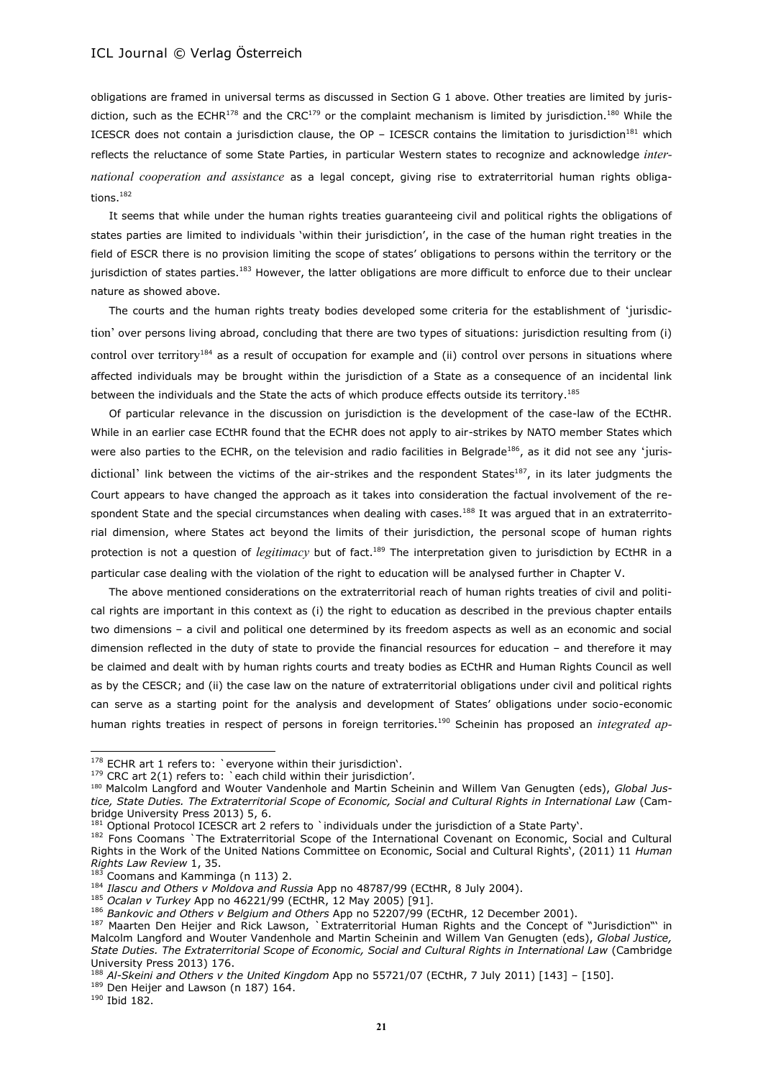obligations are framed in universal terms as discussed in Section G 1 above. Other treaties are limited by jurisdiction, such as the ECHR<sup>178</sup> and the CRC<sup>179</sup> or the complaint mechanism is limited by jurisdiction.<sup>180</sup> While the ICESCR does not contain a jurisdiction clause, the  $OP - ICESCR$  contains the limitation to jurisdiction<sup>181</sup> which reflects the reluctance of some State Parties, in particular Western states to recognize and acknowledge *international cooperation and assistance* as a legal concept, giving rise to extraterritorial human rights obligations.<sup>182</sup>

It seems that while under the human rights treaties guaranteeing civil and political rights the obligations of states parties are limited to individuals 'within their jurisdiction', in the case of the human right treaties in the field of ESCR there is no provision limiting the scope of states' obligations to persons within the territory or the jurisdiction of states parties.<sup>183</sup> However, the latter obligations are more difficult to enforce due to their unclear nature as showed above.

The courts and the human rights treaty bodies developed some criteria for the establishment of 'jurisdiction' over persons living abroad, concluding that there are two types of situations: jurisdiction resulting from (i) control over territory<sup>184</sup> as a result of occupation for example and (ii) control over persons in situations where affected individuals may be brought within the jurisdiction of a State as a consequence of an incidental link between the individuals and the State the acts of which produce effects outside its territory.<sup>185</sup>

Of particular relevance in the discussion on jurisdiction is the development of the case-law of the ECtHR. While in an earlier case ECtHR found that the ECHR does not apply to air-strikes by NATO member States which were also parties to the ECHR, on the television and radio facilities in Belgrade<sup>186</sup>, as it did not see any 'jurisdictional' link between the victims of the air-strikes and the respondent States<sup>187</sup>, in its later judgments the Court appears to have changed the approach as it takes into consideration the factual involvement of the respondent State and the special circumstances when dealing with cases.<sup>188</sup> It was argued that in an extraterritorial dimension, where States act beyond the limits of their jurisdiction, the personal scope of human rights protection is not a question of *legitimacy* but of fact.<sup>189</sup> The interpretation given to jurisdiction by ECtHR in a particular case dealing with the violation of the right to education will be analysed further in Chapter V.

The above mentioned considerations on the extraterritorial reach of human rights treaties of civil and political rights are important in this context as (i) the right to education as described in the previous chapter entails two dimensions – a civil and political one determined by its freedom aspects as well as an economic and social dimension reflected in the duty of state to provide the financial resources for education – and therefore it may be claimed and dealt with by human rights courts and treaty bodies as ECtHR and Human Rights Council as well as by the CESCR; and (ii) the case law on the nature of extraterritorial obligations under civil and political rights can serve as a starting point for the analysis and development of States' obligations under socio-economic human rights treaties in respect of persons in foreign territories.<sup>190</sup> Scheinin has proposed an *integrated ap-*

 $178$  ECHR art 1 refers to: `everyone within their jurisdiction'.

<sup>&</sup>lt;sup>179</sup> CRC art 2(1) refers to: `each child within their jurisdiction'.

<sup>180</sup> Malcolm Langford and Wouter Vandenhole and Martin Scheinin and Willem Van Genugten (eds), *Global Justice, State Duties. The Extraterritorial Scope of Economic, Social and Cultural Rights in International Law* (Cambridge University Press 2013) 5, 6.

<sup>181</sup> Optional Protocol ICESCR art 2 refers to `individuals under the jurisdiction of a State Party'.

<sup>182</sup> Fons Coomans `The Extraterritorial Scope of the International Covenant on Economic, Social and Cultural Rights in the Work of the United Nations Committee on Economic, Social and Cultural Rights', (2011) 11 *Human Rights Law Review* 1, 35.

Coomans and Kamminga (n 113) 2.

<sup>184</sup> *Ilascu and Others v Moldova and Russia* App no 48787/99 (ECtHR, 8 July 2004).

<sup>185</sup> *Ocalan v Turkey* App no 46221/99 (ECtHR, 12 May 2005) [91].

<sup>186</sup> *Bankovic and Others v Belgium and Others* App no 52207/99 (ECtHR, 12 December 2001).

<sup>187</sup> Maarten Den Heijer and Rick Lawson, `Extraterritorial Human Rights and the Concept of "Jurisdiction"' in Malcolm Langford and Wouter Vandenhole and Martin Scheinin and Willem Van Genugten (eds), *Global Justice, State Duties. The Extraterritorial Scope of Economic, Social and Cultural Rights in International Law* (Cambridge University Press 2013) 176.

<sup>188</sup> *Al-Skeini and Others v the United Kingdom* App no 55721/07 (ECtHR, 7 July 2011) [143] – [150].

<sup>&</sup>lt;sup>189</sup> Den Heijer and Lawson (n 187) 164.

<sup>190</sup> Ibid 182.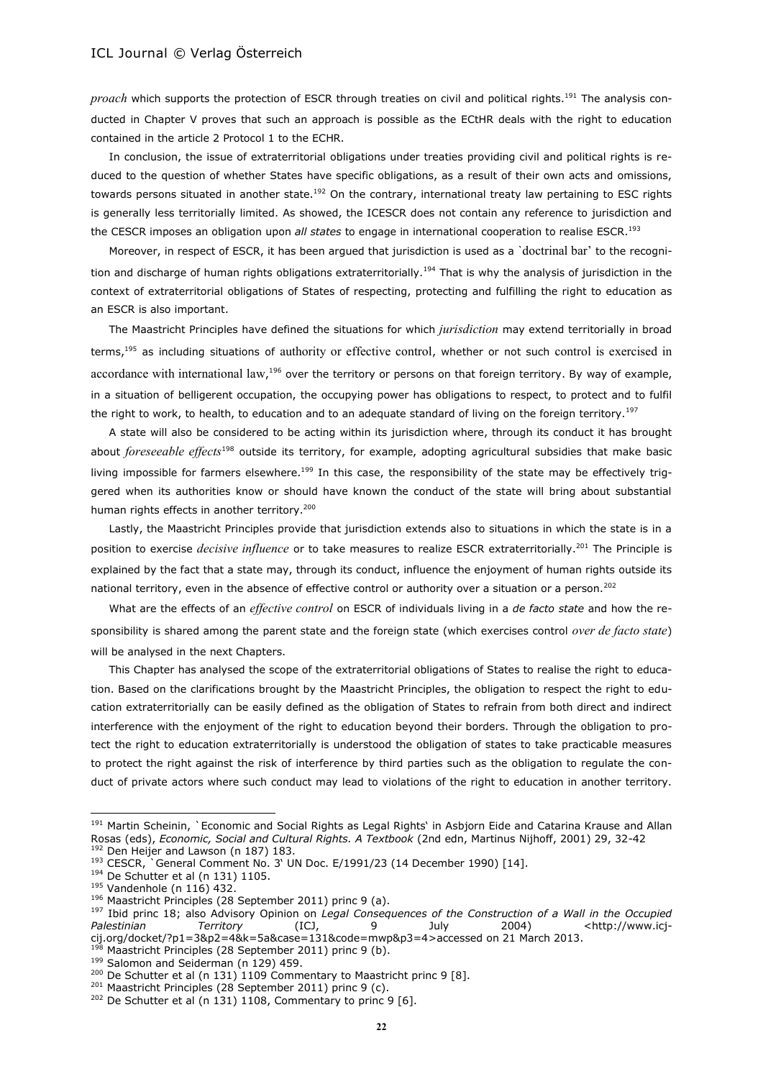*proach* which supports the protection of ESCR through treaties on civil and political rights.<sup>191</sup> The analysis conducted in Chapter V proves that such an approach is possible as the ECtHR deals with the right to education contained in the article 2 Protocol 1 to the ECHR.

In conclusion, the issue of extraterritorial obligations under treaties providing civil and political rights is reduced to the question of whether States have specific obligations, as a result of their own acts and omissions, towards persons situated in another state.<sup>192</sup> On the contrary, international treaty law pertaining to ESC rights is generally less territorially limited. As showed, the ICESCR does not contain any reference to jurisdiction and the CESCR imposes an obligation upon *all states* to engage in international cooperation to realise ESCR.<sup>193</sup>

Moreover, in respect of ESCR, it has been argued that jurisdiction is used as a `doctrinal bar' to the recognition and discharge of human rights obligations extraterritorially.<sup>194</sup> That is why the analysis of jurisdiction in the context of extraterritorial obligations of States of respecting, protecting and fulfilling the right to education as an ESCR is also important.

The Maastricht Principles have defined the situations for which *jurisdiction* may extend territorially in broad terms,<sup>195</sup> as including situations of authority or effective control, whether or not such control is exercised in accordance with international law,<sup>196</sup> over the territory or persons on that foreign territory. By way of example, in a situation of belligerent occupation, the occupying power has obligations to respect, to protect and to fulfil the right to work, to health, to education and to an adequate standard of living on the foreign territory.<sup>197</sup>

A state will also be considered to be acting within its jurisdiction where, through its conduct it has brought about *foreseeable effects*<sup>198</sup> outside its territory, for example, adopting agricultural subsidies that make basic living impossible for farmers elsewhere.<sup>199</sup> In this case, the responsibility of the state may be effectively triggered when its authorities know or should have known the conduct of the state will bring about substantial human rights effects in another territory.<sup>200</sup>

Lastly, the Maastricht Principles provide that jurisdiction extends also to situations in which the state is in a position to exercise *decisive influence* or to take measures to realize ESCR extraterritorially.<sup>201</sup> The Principle is explained by the fact that a state may, through its conduct, influence the enjoyment of human rights outside its national territory, even in the absence of effective control or authority over a situation or a person.<sup>202</sup>

What are the effects of an *effective control* on ESCR of individuals living in a *de facto state* and how the responsibility is shared among the parent state and the foreign state (which exercises control *over de facto state*) will be analysed in the next Chapters.

This Chapter has analysed the scope of the extraterritorial obligations of States to realise the right to education. Based on the clarifications brought by the Maastricht Principles, the obligation to respect the right to education extraterritorially can be easily defined as the obligation of States to refrain from both direct and indirect interference with the enjoyment of the right to education beyond their borders. Through the obligation to protect the right to education extraterritorially is understood the obligation of states to take practicable measures to protect the right against the risk of interference by third parties such as the obligation to regulate the conduct of private actors where such conduct may lead to violations of the right to education in another territory.

<sup>&</sup>lt;sup>191</sup> Martin Scheinin, `Economic and Social Rights as Legal Rights' in Asbjorn Eide and Catarina Krause and Allan Rosas (eds), *Economic, Social and Cultural Rights. A Textbook* (2nd edn, Martinus Nijhoff, 2001) 29, 32-42

<sup>&</sup>lt;sup>192</sup> Den Heijer and Lawson (n 187) 183.

<sup>&</sup>lt;sup>193</sup> CESCR, General Comment No. 3' UN Doc. E/1991/23 (14 December 1990) [14].

<sup>194</sup> De Schutter et al (n 131) 1105.

<sup>195</sup> Vandenhole (n 116) 432.

<sup>196</sup> Maastricht Principles (28 September 2011) princ 9 (a).

<sup>197</sup> Ibid princ 18; also Advisory Opinion on *Legal Consequences of the Construction of a Wall in the Occupied*  Palestinian Territory (ICJ, 9 July 2004) [<http://www.icj](http://www.icj-cij.org/docket/?p1=3&p2=4&k=5a&case=131&code=mwp&p3=4)[cij.org/docket/?p1=3&p2=4&k=5a&case=131&code=mwp&p3=4>](http://www.icj-cij.org/docket/?p1=3&p2=4&k=5a&case=131&code=mwp&p3=4)accessed on 21 March 2013.

Maastricht Principles (28 September 2011) princ 9 (b).

<sup>&</sup>lt;sup>199</sup> Salomon and Seiderman (n 129) 459.

<sup>&</sup>lt;sup>200</sup> De Schutter et al (n 131) 1109 Commentary to Maastricht princ 9 [8].

<sup>&</sup>lt;sup>201</sup> Maastricht Principles (28 September 2011) princ 9 (c).

 $202$  De Schutter et al (n 131) 1108, Commentary to princ 9 [6].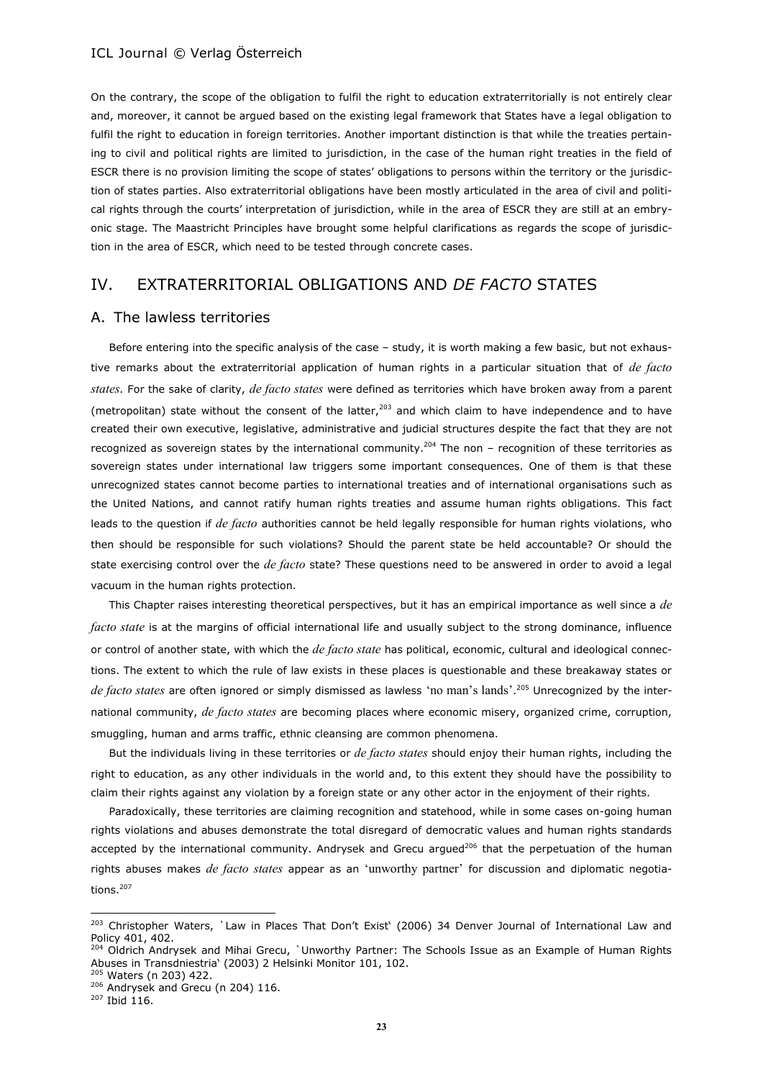On the contrary, the scope of the obligation to fulfil the right to education extraterritorially is not entirely clear and, moreover, it cannot be argued based on the existing legal framework that States have a legal obligation to fulfil the right to education in foreign territories. Another important distinction is that while the treaties pertaining to civil and political rights are limited to jurisdiction, in the case of the human right treaties in the field of ESCR there is no provision limiting the scope of states' obligations to persons within the territory or the jurisdiction of states parties. Also extraterritorial obligations have been mostly articulated in the area of civil and political rights through the courts' interpretation of jurisdiction, while in the area of ESCR they are still at an embryonic stage. The Maastricht Principles have brought some helpful clarifications as regards the scope of jurisdiction in the area of ESCR, which need to be tested through concrete cases.

# IV. EXTRATERRITORIAL OBLIGATIONS AND *DE FACTO* STATES

# A. The lawless territories

Before entering into the specific analysis of the case – study, it is worth making a few basic, but not exhaustive remarks about the extraterritorial application of human rights in a particular situation that of *de facto states.* For the sake of clarity, *de facto states* were defined as territories which have broken away from a parent (metropolitan) state without the consent of the latter,<sup>203</sup> and which claim to have independence and to have created their own executive, legislative, administrative and judicial structures despite the fact that they are not recognized as sovereign states by the international community.<sup>204</sup> The non – recognition of these territories as sovereign states under international law triggers some important consequences. One of them is that these unrecognized states cannot become parties to international treaties and of international organisations such as the United Nations, and cannot ratify human rights treaties and assume human rights obligations. This fact leads to the question if *de facto* authorities cannot be held legally responsible for human rights violations, who then should be responsible for such violations? Should the parent state be held accountable? Or should the state exercising control over the *de facto* state? These questions need to be answered in order to avoid a legal vacuum in the human rights protection.

This Chapter raises interesting theoretical perspectives, but it has an empirical importance as well since a *de facto state* is at the margins of official international life and usually subject to the strong dominance, influence or control of another state, with which the *de facto state* has political, economic, cultural and ideological connections. The extent to which the rule of law exists in these places is questionable and these breakaway states or *de facto states* are often ignored or simply dismissed as lawless 'no man's lands'. <sup>205</sup> Unrecognized by the international community, *de facto states* are becoming places where economic misery, organized crime, corruption, smuggling, human and arms traffic, ethnic cleansing are common phenomena.

But the individuals living in these territories or *de facto states* should enjoy their human rights, including the right to education, as any other individuals in the world and, to this extent they should have the possibility to claim their rights against any violation by a foreign state or any other actor in the enjoyment of their rights.

Paradoxically, these territories are claiming recognition and statehood, while in some cases on-going human rights violations and abuses demonstrate the total disregard of democratic values and human rights standards accepted by the international community. Andrysek and Grecu argued<sup>206</sup> that the perpetuation of the human rights abuses makes *de facto states* appear as an 'unworthy partner' for discussion and diplomatic negotiations.<sup>207</sup>

<sup>&</sup>lt;sup>203</sup> Christopher Waters, `Law in Places That Don't Exist' (2006) 34 Denver Journal of International Law and Policy 401, 402.

<sup>204</sup> Oldrich Andrysek and Mihai Grecu, `Unworthy Partner: The Schools Issue as an Example of Human Rights Abuses in Transdniestria' (2003) 2 Helsinki Monitor 101, 102. <sup>205</sup> Waters (n 203) 422.

<sup>&</sup>lt;sup>206</sup> Andrysek and Grecu (n 204) 116.

 $207$  Ibid 116.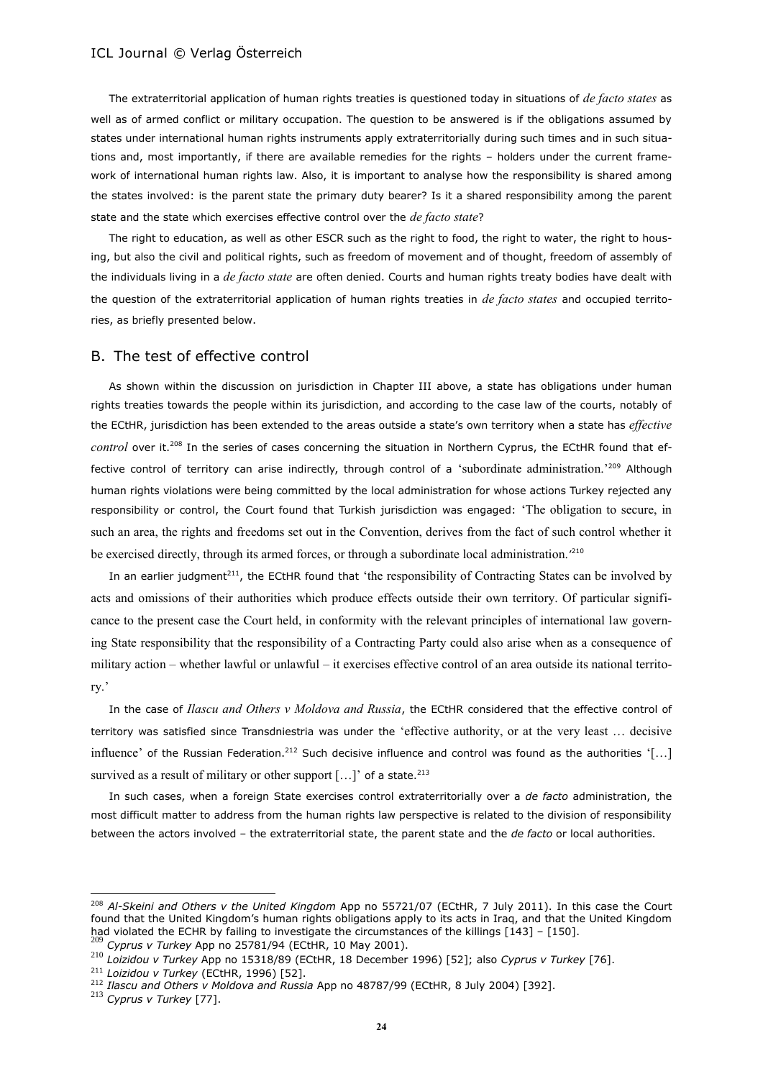The extraterritorial application of human rights treaties is questioned today in situations of *de facto states* as well as of armed conflict or military occupation. The question to be answered is if the obligations assumed by states under international human rights instruments apply extraterritorially during such times and in such situations and, most importantly, if there are available remedies for the rights – holders under the current framework of international human rights law. Also, it is important to analyse how the responsibility is shared among the states involved: is the parent state the primary duty bearer? Is it a shared responsibility among the parent state and the state which exercises effective control over the *de facto state*?

The right to education, as well as other ESCR such as the right to food, the right to water, the right to housing, but also the civil and political rights, such as freedom of movement and of thought, freedom of assembly of the individuals living in a *de facto state* are often denied. Courts and human rights treaty bodies have dealt with the question of the extraterritorial application of human rights treaties in *de facto states* and occupied territories, as briefly presented below.

### B. The test of effective control

As shown within the discussion on jurisdiction in Chapter III above, a state has obligations under human rights treaties towards the people within its jurisdiction, and according to the case law of the courts, notably of the ECtHR, jurisdiction has been extended to the areas outside a state's own territory when a state has *effective control* over it.<sup>208</sup> In the series of cases concerning the situation in Northern Cyprus, the ECtHR found that effective control of territory can arise indirectly, through control of a 'subordinate administration.'<sup>209</sup> Although human rights violations were being committed by the local administration for whose actions Turkey rejected any responsibility or control, the Court found that Turkish jurisdiction was engaged: 'The obligation to secure, in such an area, the rights and freedoms set out in the Convention, derives from the fact of such control whether it be exercised directly, through its armed forces, or through a subordinate local administration.<sup>'210</sup>

In an earlier judgment<sup>211</sup>, the ECtHR found that 'the responsibility of Contracting States can be involved by acts and omissions of their authorities which produce effects outside their own territory. Of particular significance to the present case the Court held, in conformity with the relevant principles of international law governing State responsibility that the responsibility of a Contracting Party could also arise when as a consequence of military action – whether lawful or unlawful – it exercises effective control of an area outside its national territory.'

In the case of *Ilascu and Others v Moldova and Russia*, the ECtHR considered that the effective control of territory was satisfied since Transdniestria was under the 'effective authority, or at the very least … decisive influence' of the Russian Federation.<sup>212</sup> Such decisive influence and control was found as the authorities '[...] survived as a result of military or other support [...]' of a state.<sup>213</sup>

In such cases, when a foreign State exercises control extraterritorially over a *de facto* administration, the most difficult matter to address from the human rights law perspective is related to the division of responsibility between the actors involved – the extraterritorial state, the parent state and the *de facto* or local authorities.

<sup>208</sup> *Al-Skeini and Others v the United Kingdom* App no 55721/07 (ECtHR, 7 July 2011). In this case the Court found that the United Kingdom's human rights obligations apply to its acts in Iraq, and that the United Kingdom had violated the ECHR by failing to investigate the circumstances of the killings [143] – [150].

<sup>209</sup> *Cyprus v Turkey* App no 25781/94 (ECtHR, 10 May 2001).

<sup>210</sup> *Loizidou v Turkey* App no 15318/89 (ECtHR, 18 December 1996) [52]; also *Cyprus v Turkey* [76].

<sup>211</sup> *Loizidou v Turkey* (ECtHR, 1996) [52].

<sup>212</sup> *Ilascu and Others v Moldova and Russia* App no 48787/99 (ECtHR, 8 July 2004) [392].

<sup>213</sup> *Cyprus v Turkey* [77].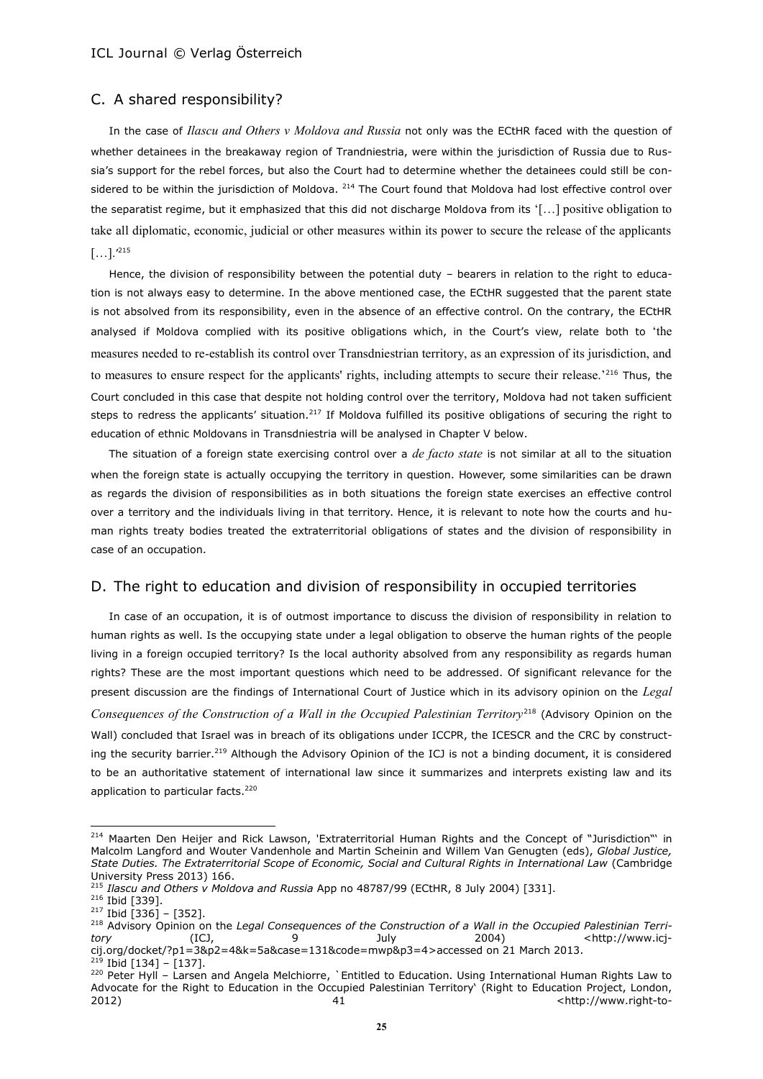### C. A shared responsibility?

In the case of *Ilascu and Others v Moldova and Russia* not only was the ECtHR faced with the question of whether detainees in the breakaway region of Trandniestria, were within the jurisdiction of Russia due to Russia's support for the rebel forces, but also the Court had to determine whether the detainees could still be considered to be within the jurisdiction of Moldova. <sup>214</sup> The Court found that Moldova had lost effective control over the separatist regime, but it emphasized that this did not discharge Moldova from its '[…] positive obligation to take all diplomatic, economic, judicial or other measures within its power to secure the release of the applicants  $[\ldots]$ .'<sup>215</sup>

Hence, the division of responsibility between the potential duty – bearers in relation to the right to education is not always easy to determine. In the above mentioned case, the ECtHR suggested that the parent state is not absolved from its responsibility, even in the absence of an effective control. On the contrary, the ECtHR analysed if Moldova complied with its positive obligations which, in the Court's view, relate both to 'the measures needed to re-establish its control over Transdniestrian territory, as an expression of its jurisdiction, and to measures to ensure respect for the applicants' rights, including attempts to secure their release.'216 Thus, the Court concluded in this case that despite not holding control over the territory, Moldova had not taken sufficient steps to redress the applicants' situation.<sup>217</sup> If Moldova fulfilled its positive obligations of securing the right to education of ethnic Moldovans in Transdniestria will be analysed in Chapter V below.

The situation of a foreign state exercising control over a *de facto state* is not similar at all to the situation when the foreign state is actually occupying the territory in question. However, some similarities can be drawn as regards the division of responsibilities as in both situations the foreign state exercises an effective control over a territory and the individuals living in that territory. Hence, it is relevant to note how the courts and human rights treaty bodies treated the extraterritorial obligations of states and the division of responsibility in case of an occupation.

# D. The right to education and division of responsibility in occupied territories

In case of an occupation, it is of outmost importance to discuss the division of responsibility in relation to human rights as well. Is the occupying state under a legal obligation to observe the human rights of the people living in a foreign occupied territory? Is the local authority absolved from any responsibility as regards human rights? These are the most important questions which need to be addressed. Of significant relevance for the present discussion are the findings of International Court of Justice which in its advisory opinion on the *Legal Consequences of the Construction of a Wall in the Occupied Palestinian Territory*<sup>218</sup> (Advisory Opinion on the Wall) concluded that Israel was in breach of its obligations under ICCPR, the ICESCR and the CRC by constructing the security barrier.<sup>219</sup> Although the Advisory Opinion of the ICJ is not a binding document, it is considered to be an authoritative statement of international law since it summarizes and interprets existing law and its application to particular facts.<sup>220</sup>

<sup>&</sup>lt;sup>214</sup> Maarten Den Heijer and Rick Lawson, 'Extraterritorial Human Rights and the Concept of "Jurisdiction"' in Malcolm Langford and Wouter Vandenhole and Martin Scheinin and Willem Van Genugten (eds), *Global Justice, State Duties. The Extraterritorial Scope of Economic, Social and Cultural Rights in International Law* (Cambridge University Press 2013) 166.

<sup>215</sup> *Ilascu and Others v Moldova and Russia* App no 48787/99 (ECtHR, 8 July 2004) [331].

<sup>216</sup> Ibid [339].

 $217$  Ibid [336] - [352].

<sup>218</sup> Advisory Opinion on the *Legal Consequences of the Construction of a Wall in the Occupied Palestinian Territory* (ICJ, 9 July 2004) [<http://www.icj](http://www.icj-cij.org/docket/?p1=3&p2=4&k=5a&case=131&code=mwp&p3=4)[cij.org/docket/?p1=3&p2=4&k=5a&case=131&code=mwp&p3=4>](http://www.icj-cij.org/docket/?p1=3&p2=4&k=5a&case=131&code=mwp&p3=4)accessed on 21 March 2013.

 $219$  Ibid [134] – [137].

<sup>&</sup>lt;sup>220</sup> Peter Hyll – Larsen and Angela Melchiorre, `Entitled to Education. Using International Human Rights Law to Advocate for the Right to Education in the Occupied Palestinian Territory' (Right to Education Project, London, 2012) 2012 41 Constant of the set of the set of the set of the set of the set of the set of the set of the set of the set of the set of the set of the set of the set of the set of the set of the set of the set of the set o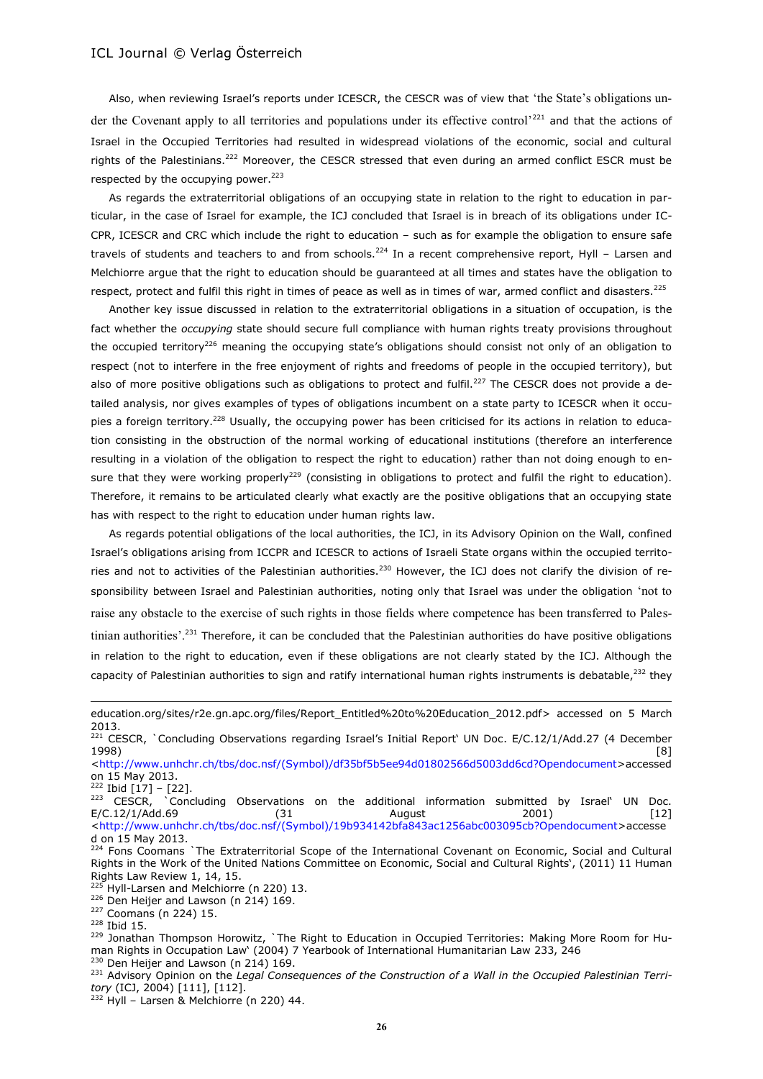Also, when reviewing Israel's reports under ICESCR, the CESCR was of view that 'the State's obligations under the Covenant apply to all territories and populations under its effective control'<sup>221</sup> and that the actions of Israel in the Occupied Territories had resulted in widespread violations of the economic, social and cultural rights of the Palestinians.<sup>222</sup> Moreover, the CESCR stressed that even during an armed conflict ESCR must be respected by the occupying power. $223$ 

As regards the extraterritorial obligations of an occupying state in relation to the right to education in particular, in the case of Israel for example, the ICJ concluded that Israel is in breach of its obligations under IC-CPR, ICESCR and CRC which include the right to education – such as for example the obligation to ensure safe travels of students and teachers to and from schools.<sup>224</sup> In a recent comprehensive report, Hyll - Larsen and Melchiorre argue that the right to education should be guaranteed at all times and states have the obligation to respect, protect and fulfil this right in times of peace as well as in times of war, armed conflict and disasters.<sup>225</sup>

Another key issue discussed in relation to the extraterritorial obligations in a situation of occupation, is the fact whether the *occupying* state should secure full compliance with human rights treaty provisions throughout the occupied territory<sup>226</sup> meaning the occupying state's obligations should consist not only of an obligation to respect (not to interfere in the free enjoyment of rights and freedoms of people in the occupied territory), but also of more positive obligations such as obligations to protect and fulfil.<sup>227</sup> The CESCR does not provide a detailed analysis, nor gives examples of types of obligations incumbent on a state party to ICESCR when it occupies a foreign territory.<sup>228</sup> Usually, the occupying power has been criticised for its actions in relation to education consisting in the obstruction of the normal working of educational institutions (therefore an interference resulting in a violation of the obligation to respect the right to education) rather than not doing enough to ensure that they were working properly<sup>229</sup> (consisting in obligations to protect and fulfil the right to education). Therefore, it remains to be articulated clearly what exactly are the positive obligations that an occupying state has with respect to the right to education under human rights law.

As regards potential obligations of the local authorities, the ICJ, in its Advisory Opinion on the Wall, confined Israel's obligations arising from ICCPR and ICESCR to actions of Israeli State organs within the occupied territories and not to activities of the Palestinian authorities.<sup>230</sup> However, the ICJ does not clarify the division of responsibility between Israel and Palestinian authorities, noting only that Israel was under the obligation 'not to raise any obstacle to the exercise of such rights in those fields where competence has been transferred to Palestinian authorities'.<sup>231</sup> Therefore, it can be concluded that the Palestinian authorities do have positive obligations in relation to the right to education, even if these obligations are not clearly stated by the ICJ. Although the capacity of Palestinian authorities to sign and ratify international human rights instruments is debatable, $^{232}$  they

 $222$  Ibid [17] - [22].

[education.org/sites/r2e.gn.apc.org/files/Report\\_Entitled%20to%20Education\\_2012.pdf>](http://www.right-to-education.org/sites/r2e.gn.apc.org/files/Report_Entitled%20to%20Education_2012.pdf) accessed on 5 March 2013.

<sup>&</sup>lt;sup>221</sup> CESCR, `Concluding Observations regarding Israel's Initial Report` UN Doc. E/C.12/1/Add.27 (4 December 1998) [8] [<http://www.unhchr.ch/tbs/doc.nsf/\(Symbol\)/df35bf5b5ee94d01802566d5003dd6cd?Opendocument>](http://www.unhchr.ch/tbs/doc.nsf/(Symbol)/df35bf5b5ee94d01802566d5003dd6cd?Opendocument)accessed

on 15 May 2013.

<sup>&</sup>lt;sup>223</sup> CESCR, `Concluding Observations on the additional information submitted by Israel' UN Doc. E/C.12/1/Add.69 (31 August 2001) [12] [<http://www.unhchr.ch/tbs/doc.nsf/\(Symbol\)/19b934142bfa843ac1256abc003095cb?Opendocument>](http://www.unhchr.ch/tbs/doc.nsf/(Symbol)/19b934142bfa843ac1256abc003095cb?Opendocument)accesse d on 15 May 2013.

<sup>&</sup>lt;sup>224</sup> Fons Coomans `The Extraterritorial Scope of the International Covenant on Economic, Social and Cultural Rights in the Work of the United Nations Committee on Economic, Social and Cultural Rights', (2011) 11 Human Rights Law Review 1, 14, 15.

 $225$  Hyll-Larsen and Melchiorre (n 220) 13.

<sup>&</sup>lt;sup>226</sup> Den Heijer and Lawson (n 214) 169. <sup>227</sup> Coomans (n 224) 15.

<sup>228</sup> Ibid 15.

<sup>229</sup> Jonathan Thompson Horowitz, `The Right to Education in Occupied Territories: Making More Room for Human Rights in Occupation Law' (2004) 7 Yearbook of International Humanitarian Law 233, 246  $230$  Den Heijer and Lawson (n 214) 169.

<sup>&</sup>lt;sup>231</sup> Advisory Opinion on the *Legal Consequences of the Construction of a Wall in the Occupied Palestinian Territory* (ICJ, 2004) [111], [112].

 $232$  Hyll – Larsen & Melchiorre (n 220) 44.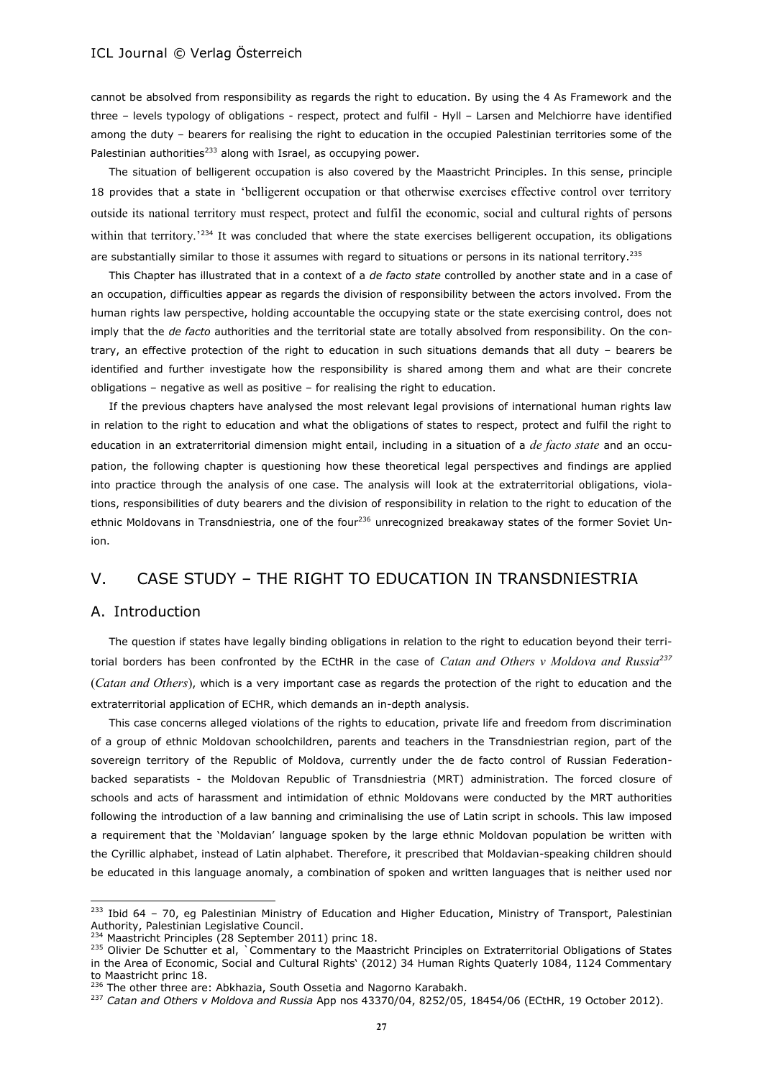cannot be absolved from responsibility as regards the right to education. By using the 4 As Framework and the three – levels typology of obligations - respect, protect and fulfil - Hyll – Larsen and Melchiorre have identified among the duty – bearers for realising the right to education in the occupied Palestinian territories some of the Palestinian authorities<sup>233</sup> along with Israel, as occupying power.

The situation of belligerent occupation is also covered by the Maastricht Principles. In this sense, principle 18 provides that a state in 'belligerent occupation or that otherwise exercises effective control over territory outside its national territory must respect, protect and fulfil the economic, social and cultural rights of persons within that territory.<sup>234</sup> It was concluded that where the state exercises belligerent occupation, its obligations are substantially similar to those it assumes with regard to situations or persons in its national territory.<sup>235</sup>

This Chapter has illustrated that in a context of a *de facto state* controlled by another state and in a case of an occupation, difficulties appear as regards the division of responsibility between the actors involved. From the human rights law perspective, holding accountable the occupying state or the state exercising control, does not imply that the *de facto* authorities and the territorial state are totally absolved from responsibility. On the contrary, an effective protection of the right to education in such situations demands that all duty – bearers be identified and further investigate how the responsibility is shared among them and what are their concrete obligations – negative as well as positive – for realising the right to education.

If the previous chapters have analysed the most relevant legal provisions of international human rights law in relation to the right to education and what the obligations of states to respect, protect and fulfil the right to education in an extraterritorial dimension might entail, including in a situation of a *de facto state* and an occupation, the following chapter is questioning how these theoretical legal perspectives and findings are applied into practice through the analysis of one case. The analysis will look at the extraterritorial obligations, violations, responsibilities of duty bearers and the division of responsibility in relation to the right to education of the ethnic Moldovans in Transdniestria, one of the four<sup>236</sup> unrecognized breakaway states of the former Soviet Union.

# V. CASE STUDY – THE RIGHT TO EDUCATION IN TRANSDNIESTRIA

# A. Introduction

 $\overline{a}$ 

The question if states have legally binding obligations in relation to the right to education beyond their territorial borders has been confronted by the ECtHR in the case of *Catan and Others v Moldova and Russia<sup>237</sup>* (*Catan and Others*), which is a very important case as regards the protection of the right to education and the extraterritorial application of ECHR, which demands an in-depth analysis.

This case concerns alleged violations of the rights to education, private life and freedom from discrimination of a group of ethnic Moldovan schoolchildren, parents and teachers in the Transdniestrian region, part of the sovereign territory of the Republic of Moldova, currently under the de facto control of Russian Federationbacked separatists - the Moldovan Republic of Transdniestria (MRT) administration. The forced closure of schools and acts of harassment and intimidation of ethnic Moldovans were conducted by the MRT authorities following the introduction of a law banning and criminalising the use of Latin script in schools. This law imposed a requirement that the 'Moldavian' language spoken by the large ethnic Moldovan population be written with the Cyrillic alphabet, instead of Latin alphabet. Therefore, it prescribed that Moldavian-speaking children should be educated in this language anomaly, a combination of spoken and written languages that is neither used nor

<sup>&</sup>lt;sup>233</sup> Ibid 64 - 70, eg Palestinian Ministry of Education and Higher Education, Ministry of Transport, Palestinian Authority, Palestinian Legislative Council.

<sup>234</sup> Maastricht Principles (28 September 2011) princ 18.

<sup>&</sup>lt;sup>235</sup> Olivier De Schutter et al, `Commentary to the Maastricht Principles on Extraterritorial Obligations of States in the Area of Economic, Social and Cultural Rights' (2012) 34 Human Rights Quaterly 1084, 1124 Commentary to Maastricht princ 18.

<sup>&</sup>lt;sup>236</sup> The other three are: Abkhazia, South Ossetia and Nagorno Karabakh.

<sup>237</sup> *Catan and Others v Moldova and Russia* App nos 43370/04, 8252/05, 18454/06 (ECtHR, 19 October 2012).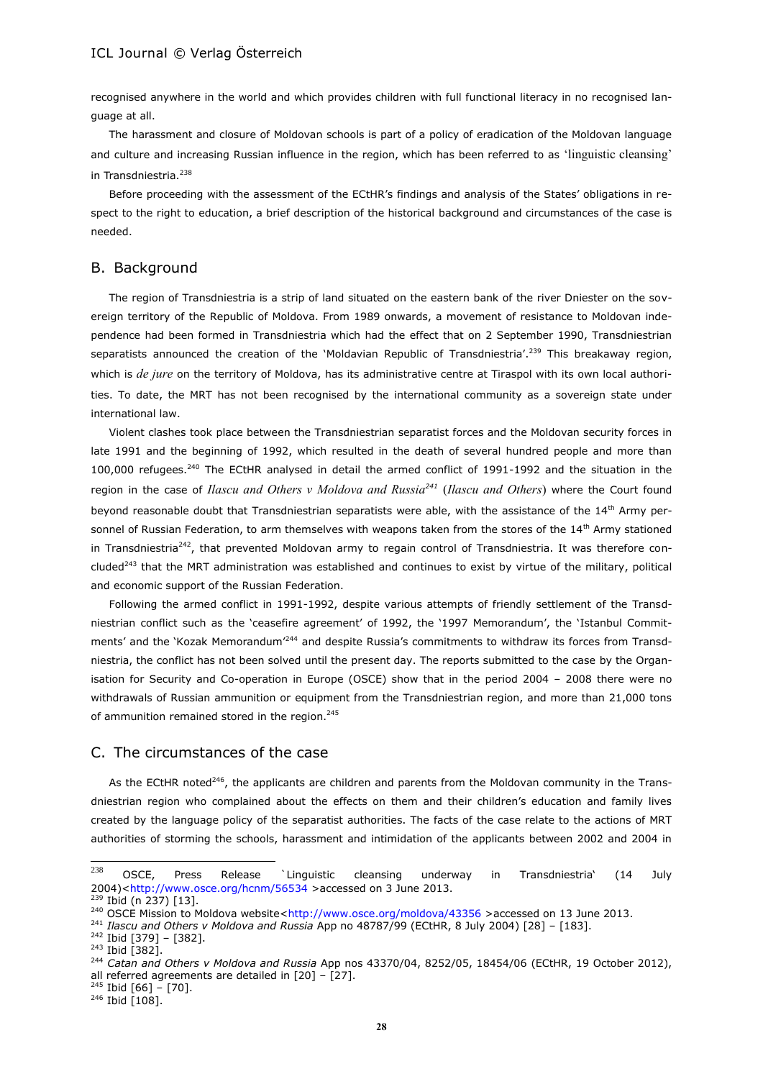recognised anywhere in the world and which provides children with full functional literacy in no recognised language at all.

The harassment and closure of Moldovan schools is part of a policy of eradication of the Moldovan language and culture and increasing Russian influence in the region, which has been referred to as 'linguistic cleansing' in Transdniestria.<sup>238</sup>

Before proceeding with the assessment of the ECtHR's findings and analysis of the States' obligations in respect to the right to education, a brief description of the historical background and circumstances of the case is needed.

#### B. Background

The region of Transdniestria is a strip of land situated on the eastern bank of the river Dniester on the sovereign territory of the Republic of Moldova. From 1989 onwards, a movement of resistance to Moldovan independence had been formed in Transdniestria which had the effect that on 2 September 1990, Transdniestrian separatists announced the creation of the 'Moldavian Republic of Transdniestria'.<sup>239</sup> This breakaway region, which is *de jure* on the territory of Moldova, has its administrative centre at Tiraspol with its own local authorities. To date, the MRT has not been recognised by the international community as a sovereign state under international law.

Violent clashes took place between the Transdniestrian separatist forces and the Moldovan security forces in late 1991 and the beginning of 1992, which resulted in the death of several hundred people and more than 100,000 refugees.<sup>240</sup> The ECtHR analysed in detail the armed conflict of 1991-1992 and the situation in the region in the case of *Ilascu and Others v Moldova and Russia<sup>241</sup>* (*Ilascu and Others*) where the Court found beyond reasonable doubt that Transdniestrian separatists were able, with the assistance of the 14<sup>th</sup> Army personnel of Russian Federation, to arm themselves with weapons taken from the stores of the 14<sup>th</sup> Army stationed in Transdniestria<sup>242</sup>, that prevented Moldovan army to regain control of Transdniestria. It was therefore concluded<sup>243</sup> that the MRT administration was established and continues to exist by virtue of the military, political and economic support of the Russian Federation.

Following the armed conflict in 1991-1992, despite various attempts of friendly settlement of the Transdniestrian conflict such as the 'ceasefire agreement' of 1992, the '1997 Memorandum', the 'Istanbul Commitments' and the 'Kozak Memorandum<sup>'244</sup> and despite Russia's commitments to withdraw its forces from Transdniestria, the conflict has not been solved until the present day. The reports submitted to the case by the Organisation for Security and Co-operation in Europe (OSCE) show that in the period 2004 – 2008 there were no withdrawals of Russian ammunition or equipment from the Transdniestrian region, and more than 21,000 tons of ammunition remained stored in the region.<sup>245</sup>

### C. The circumstances of the case

As the ECtHR noted<sup>246</sup>, the applicants are children and parents from the Moldovan community in the Transdniestrian region who complained about the effects on them and their children's education and family lives created by the language policy of the separatist authorities. The facts of the case relate to the actions of MRT authorities of storming the schools, harassment and intimidation of the applicants between 2002 and 2004 in

<sup>238</sup>  $^{238}$  OSCE, Press Release `Linguistic cleansing underway in Transdniestria` (14 July 2004)[<http://www.osce.org/hcnm/56534](http://www.osce.org/hcnm/56534) >accessed on 3 June 2013.

<sup>239</sup> Ibid (n 237) [13].

<sup>&</sup>lt;sup>240</sup> OSCE Mission to Moldova website[<http://www.osce.org/moldova/43356](http://www.osce.org/moldova/43356) >accessed on 13 June 2013.

<sup>241</sup> *Ilascu and Others v Moldova and Russia* App no 48787/99 (ECtHR, 8 July 2004) [28] – [183].

 $242$  Ibid [379] – [382].

 $243$  Ibid [382].

<sup>244</sup> *Catan and Others v Moldova and Russia* App nos 43370/04, 8252/05, 18454/06 (ECtHR, 19 October 2012), all referred agreements are detailed in [20] – [27].

 $245$  Ibid [66] - [70].

 $246$  Ibid [108].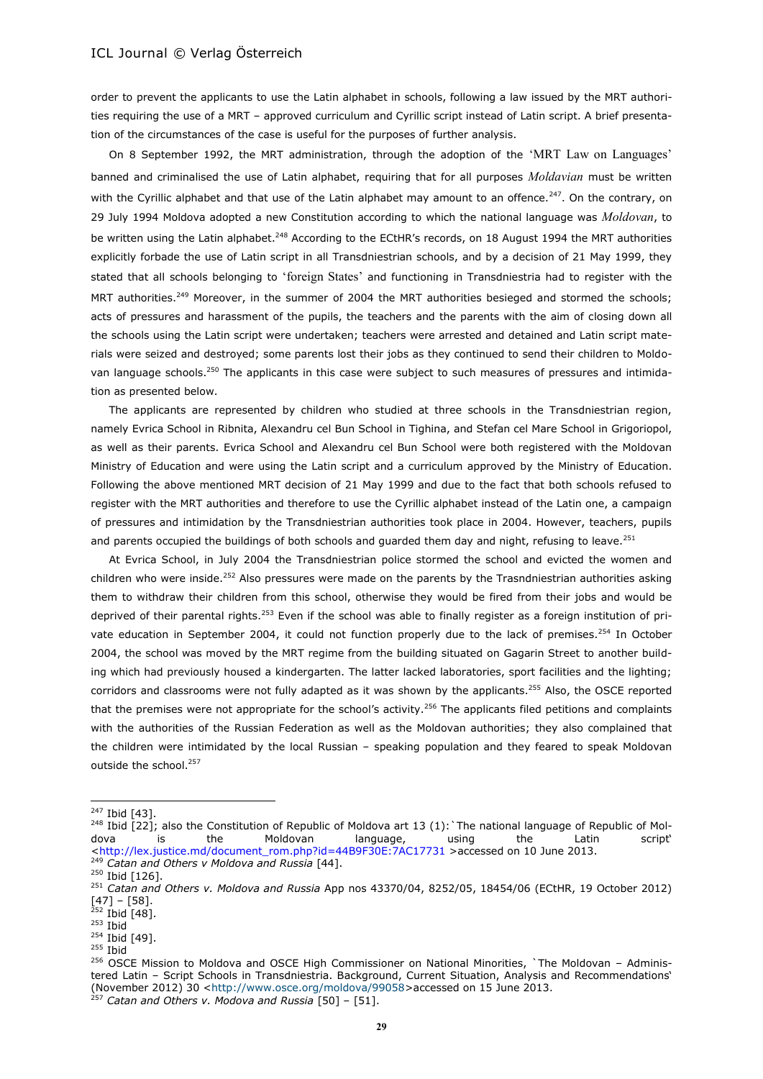order to prevent the applicants to use the Latin alphabet in schools, following a law issued by the MRT authorities requiring the use of a MRT – approved curriculum and Cyrillic script instead of Latin script. A brief presentation of the circumstances of the case is useful for the purposes of further analysis.

On 8 September 1992, the MRT administration, through the adoption of the 'MRT Law on Languages' banned and criminalised the use of Latin alphabet, requiring that for all purposes *Moldavian* must be written with the Cyrillic alphabet and that use of the Latin alphabet may amount to an offence.<sup>247</sup>. On the contrary, on 29 July 1994 Moldova adopted a new Constitution according to which the national language was *Moldovan*, to be written using the Latin alphabet.<sup>248</sup> According to the ECtHR's records, on 18 August 1994 the MRT authorities explicitly forbade the use of Latin script in all Transdniestrian schools, and by a decision of 21 May 1999, they stated that all schools belonging to 'foreign States' and functioning in Transdniestria had to register with the MRT authorities.<sup>249</sup> Moreover, in the summer of 2004 the MRT authorities besieged and stormed the schools; acts of pressures and harassment of the pupils, the teachers and the parents with the aim of closing down all the schools using the Latin script were undertaken; teachers were arrested and detained and Latin script materials were seized and destroyed; some parents lost their jobs as they continued to send their children to Moldovan language schools.<sup>250</sup> The applicants in this case were subject to such measures of pressures and intimidation as presented below.

The applicants are represented by children who studied at three schools in the Transdniestrian region, namely Evrica School in Ribnita, Alexandru cel Bun School in Tighina, and Stefan cel Mare School in Grigoriopol, as well as their parents. Evrica School and Alexandru cel Bun School were both registered with the Moldovan Ministry of Education and were using the Latin script and a curriculum approved by the Ministry of Education. Following the above mentioned MRT decision of 21 May 1999 and due to the fact that both schools refused to register with the MRT authorities and therefore to use the Cyrillic alphabet instead of the Latin one, a campaign of pressures and intimidation by the Transdniestrian authorities took place in 2004. However, teachers, pupils and parents occupied the buildings of both schools and quarded them day and night, refusing to leave.<sup>251</sup>

At Evrica School, in July 2004 the Transdniestrian police stormed the school and evicted the women and children who were inside.<sup>252</sup> Also pressures were made on the parents by the Trasndniestrian authorities asking them to withdraw their children from this school, otherwise they would be fired from their jobs and would be deprived of their parental rights.<sup>253</sup> Even if the school was able to finally register as a foreign institution of private education in September 2004, it could not function properly due to the lack of premises.<sup>254</sup> In October 2004, the school was moved by the MRT regime from the building situated on Gagarin Street to another building which had previously housed a kindergarten. The latter lacked laboratories, sport facilities and the lighting; corridors and classrooms were not fully adapted as it was shown by the applicants.<sup>255</sup> Also, the OSCE reported that the premises were not appropriate for the school's activity.<sup>256</sup> The applicants filed petitions and complaints with the authorities of the Russian Federation as well as the Moldovan authorities; they also complained that the children were intimidated by the local Russian – speaking population and they feared to speak Moldovan outside the school.<sup>257</sup>

<sup>&</sup>lt;sup>247</sup> Ibid [43].

 $^{248}$  Ibid [22]; also the Constitution of Republic of Moldova art 13 (1): The national language of Republic of Moldova is the Moldovan language, using the Latin script' [<http://lex.justice.md/document\\_rom.php?id=44B9F30E:7AC17731](http://lex.justice.md/document_rom.php?id=44B9F30E:7AC17731) >accessed on 10 June 2013.

<sup>249</sup> *Catan and Others v Moldova and Russia* [44].

 $250$  Ibid [126].

<sup>251</sup> *Catan and Others v. Moldova and Russia* App nos 43370/04, 8252/05, 18454/06 (ECtHR, 19 October 2012) [47] – [58].

<sup>&</sup>lt;sup>252</sup> Ibid [48].

 $253$  Ibid

<sup>254</sup> Ibid [49].  $255$  Ibid

<sup>256</sup> OSCE Mission to Moldova and OSCE High Commissioner on National Minorities, `The Moldovan – Administered Latin – Script Schools in Transdniestria. Background, Current Situation, Analysis and Recommendations' (November 2012) 30 [<http://www.osce.org/moldova/99058>](http://www.osce.org/moldova/99058)accessed on 15 June 2013.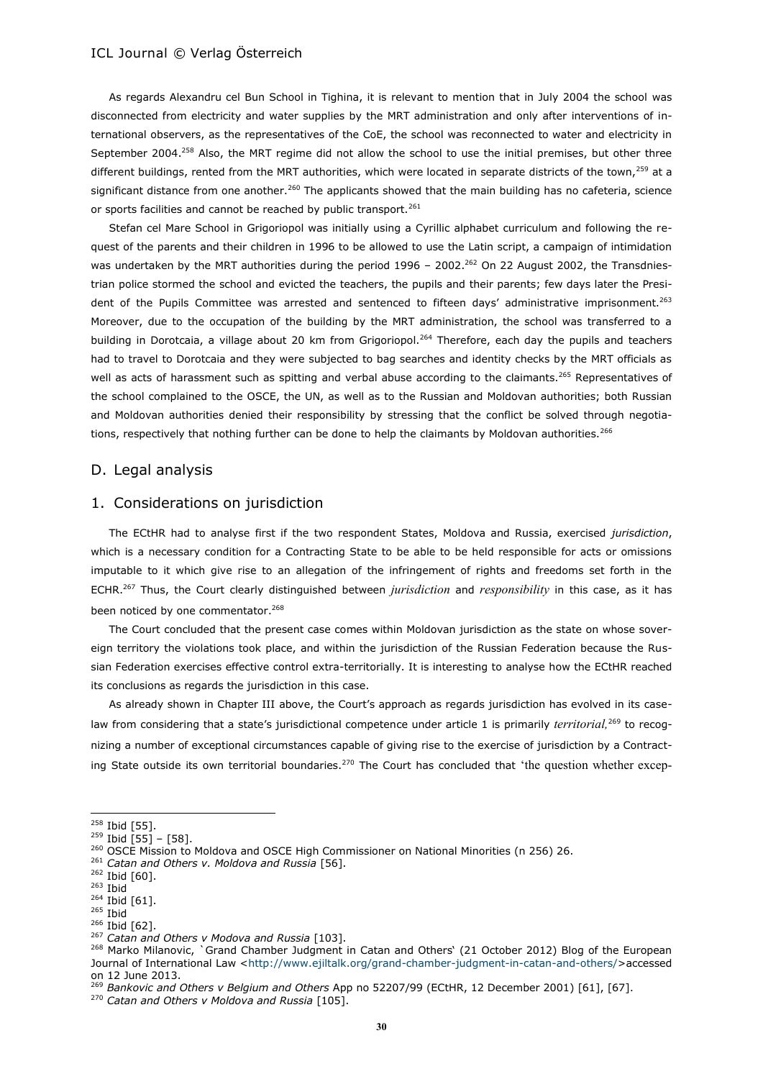As regards Alexandru cel Bun School in Tighina, it is relevant to mention that in July 2004 the school was disconnected from electricity and water supplies by the MRT administration and only after interventions of international observers, as the representatives of the CoE, the school was reconnected to water and electricity in September 2004.<sup>258</sup> Also, the MRT regime did not allow the school to use the initial premises, but other three different buildings, rented from the MRT authorities, which were located in separate districts of the town,<sup>259</sup> at a significant distance from one another.<sup>260</sup> The applicants showed that the main building has no cafeteria, science or sports facilities and cannot be reached by public transport.<sup>261</sup>

Stefan cel Mare School in Grigoriopol was initially using a Cyrillic alphabet curriculum and following the request of the parents and their children in 1996 to be allowed to use the Latin script, a campaign of intimidation was undertaken by the MRT authorities during the period 1996 - 2002.<sup>262</sup> On 22 August 2002, the Transdniestrian police stormed the school and evicted the teachers, the pupils and their parents; few days later the President of the Pupils Committee was arrested and sentenced to fifteen days' administrative imprisonment.<sup>263</sup> Moreover, due to the occupation of the building by the MRT administration, the school was transferred to a building in Dorotcaia, a village about 20 km from Grigoriopol.<sup>264</sup> Therefore, each day the pupils and teachers had to travel to Dorotcaia and they were subjected to bag searches and identity checks by the MRT officials as well as acts of harassment such as spitting and verbal abuse according to the claimants.<sup>265</sup> Representatives of the school complained to the OSCE, the UN, as well as to the Russian and Moldovan authorities; both Russian and Moldovan authorities denied their responsibility by stressing that the conflict be solved through negotiations, respectively that nothing further can be done to help the claimants by Moldovan authorities.<sup>266</sup>

#### D. Legal analysis

# 1. Considerations on jurisdiction

The ECtHR had to analyse first if the two respondent States, Moldova and Russia, exercised *jurisdiction*, which is a necessary condition for a Contracting State to be able to be held responsible for acts or omissions imputable to it which give rise to an allegation of the infringement of rights and freedoms set forth in the ECHR.<sup>267</sup> Thus, the Court clearly distinguished between *jurisdiction* and *responsibility* in this case, as it has been noticed by one commentator.<sup>268</sup>

The Court concluded that the present case comes within Moldovan jurisdiction as the state on whose sovereign territory the violations took place, and within the jurisdiction of the Russian Federation because the Russian Federation exercises effective control extra-territorially. It is interesting to analyse how the ECtHR reached its conclusions as regards the jurisdiction in this case.

As already shown in Chapter III above, the Court's approach as regards jurisdiction has evolved in its caselaw from considering that a state's jurisdictional competence under article 1 is primarily *territorial,*<sup>269</sup> to recognizing a number of exceptional circumstances capable of giving rise to the exercise of jurisdiction by a Contracting State outside its own territorial boundaries.<sup>270</sup> The Court has concluded that 'the question whether excep-

<sup>261</sup> *Catan and Others v. Moldova and Russia* [56].

<sup>&</sup>lt;sup>258</sup> Ibid [55].

 $259$  Ibid [55] - [58].

<sup>260</sup> OSCE Mission to Moldova and OSCE High Commissioner on National Minorities (n 256) 26.

<sup>262</sup> Ibid [60].

<sup>263</sup> Ibid

<sup>264</sup> Ibid [61].

<sup>265</sup> Ibid

<sup>&</sup>lt;sup>266</sup> Ibid [62].

<sup>267</sup> *Catan and Others v Modova and Russia* [103].

<sup>268</sup> Marko Milanovic, `Grand Chamber Judgment in Catan and Others' (21 October 2012) Blog of the European Journal of International Law [<http://www.ejiltalk.org/grand-chamber-judgment-in-catan-and-others/>](http://www.ejiltalk.org/grand-chamber-judgment-in-catan-and-others/)accessed on 12 June 2013.

<sup>269</sup> *Bankovic and Others v Belgium and Others* App no 52207/99 (ECtHR, 12 December 2001) [61], [67].

<sup>270</sup> *Catan and Others v Moldova and Russia* [105].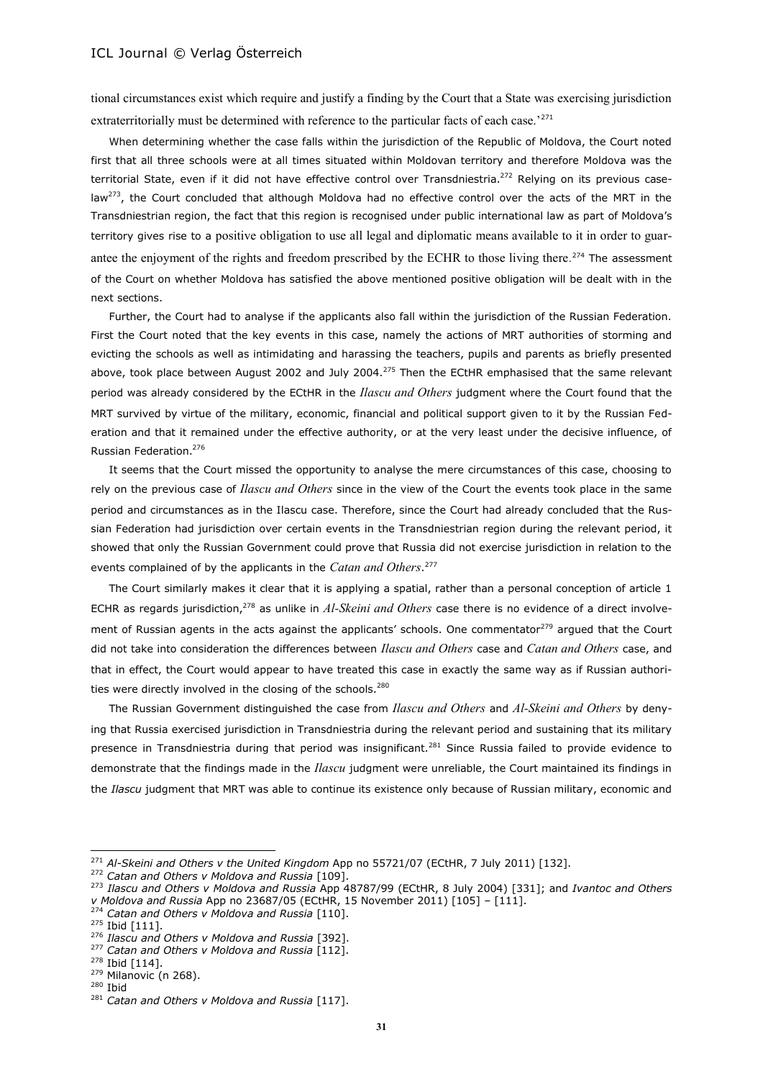tional circumstances exist which require and justify a finding by the Court that a State was exercising jurisdiction extraterritorially must be determined with reference to the particular facts of each case.<sup>'271</sup>

When determining whether the case falls within the jurisdiction of the Republic of Moldova, the Court noted first that all three schools were at all times situated within Moldovan territory and therefore Moldova was the territorial State, even if it did not have effective control over Transdniestria.<sup>272</sup> Relying on its previous caselaw<sup>273</sup>, the Court concluded that although Moldova had no effective control over the acts of the MRT in the Transdniestrian region, the fact that this region is recognised under public international law as part of Moldova's territory gives rise to a positive obligation to use all legal and diplomatic means available to it in order to guarantee the enjoyment of the rights and freedom prescribed by the ECHR to those living there*.* <sup>274</sup> The assessment of the Court on whether Moldova has satisfied the above mentioned positive obligation will be dealt with in the next sections.

Further, the Court had to analyse if the applicants also fall within the jurisdiction of the Russian Federation. First the Court noted that the key events in this case, namely the actions of MRT authorities of storming and evicting the schools as well as intimidating and harassing the teachers, pupils and parents as briefly presented above, took place between August 2002 and July 2004.<sup>275</sup> Then the ECtHR emphasised that the same relevant period was already considered by the ECtHR in the *Ilascu and Others* judgment where the Court found that the MRT survived by virtue of the military, economic, financial and political support given to it by the Russian Federation and that it remained under the effective authority, or at the very least under the decisive influence, of Russian Federation.<sup>276</sup>

It seems that the Court missed the opportunity to analyse the mere circumstances of this case, choosing to rely on the previous case of *Ilascu and Others* since in the view of the Court the events took place in the same period and circumstances as in the Ilascu case. Therefore, since the Court had already concluded that the Russian Federation had jurisdiction over certain events in the Transdniestrian region during the relevant period, it showed that only the Russian Government could prove that Russia did not exercise jurisdiction in relation to the events complained of by the applicants in the *Catan and Others*. 277

The Court similarly makes it clear that it is applying a spatial, rather than a personal conception of article 1 ECHR as regards jurisdiction,<sup>278</sup> as unlike in *Al-Skeini and Others* case there is no evidence of a direct involvement of Russian agents in the acts against the applicants' schools. One commentator<sup>279</sup> argued that the Court did not take into consideration the differences between *Ilascu and Others* case and *Catan and Others* case, and that in effect, the Court would appear to have treated this case in exactly the same way as if Russian authorities were directly involved in the closing of the schools.<sup>280</sup>

The Russian Government distinguished the case from *Ilascu and Others* and *Al-Skeini and Others* by denying that Russia exercised jurisdiction in Transdniestria during the relevant period and sustaining that its military presence in Transdniestria during that period was insignificant.<sup>281</sup> Since Russia failed to provide evidence to demonstrate that the findings made in the *Ilascu* judgment were unreliable, the Court maintained its findings in the *Ilascu* judgment that MRT was able to continue its existence only because of Russian military, economic and

<sup>271</sup> *Al-Skeini and Others v the United Kingdom* App no 55721/07 (ECtHR, 7 July 2011) [132].

<sup>272</sup> *Catan and Others v Moldova and Russia* [109].

<sup>273</sup> *Ilascu and Others v Moldova and Russia* App 48787/99 (ECtHR, 8 July 2004) [331]; and *Ivantoc and Others v Moldova and Russia* App no 23687/05 (ECtHR, 15 November 2011) [105] – [111].

<sup>274</sup> *Catan and Others v Moldova and Russia* [110].

<sup>&</sup>lt;sup>275</sup> Ibid [111].

<sup>276</sup> *Ilascu and Others v Moldova and Russia* [392].

<sup>277</sup> *Catan and Others v Moldova and Russia* [112].

 $278$  Ibid [114].

<sup>279</sup> Milanovic (n 268).

<sup>280</sup> Ibid

<sup>281</sup> *Catan and Others v Moldova and Russia* [117].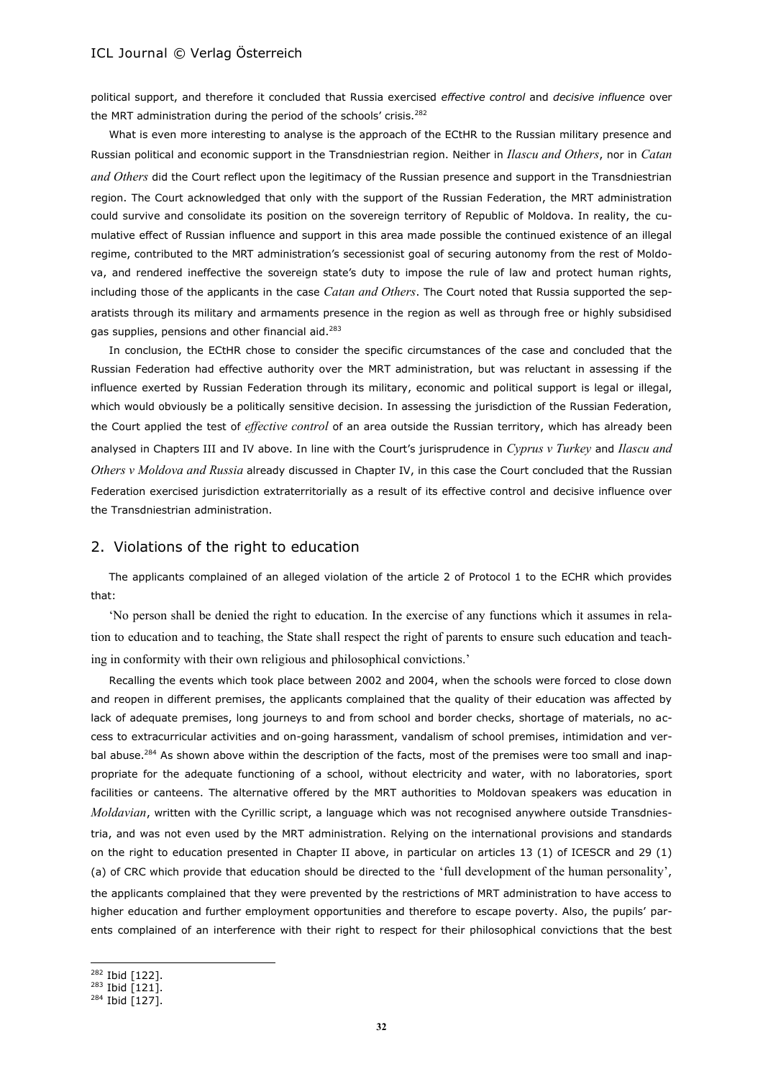political support, and therefore it concluded that Russia exercised *effective control* and *decisive influence* over the MRT administration during the period of the schools' crisis.<sup>282</sup>

What is even more interesting to analyse is the approach of the ECtHR to the Russian military presence and Russian political and economic support in the Transdniestrian region. Neither in *Ilascu and Others*, nor in *Catan and Others* did the Court reflect upon the legitimacy of the Russian presence and support in the Transdniestrian region. The Court acknowledged that only with the support of the Russian Federation, the MRT administration could survive and consolidate its position on the sovereign territory of Republic of Moldova. In reality, the cumulative effect of Russian influence and support in this area made possible the continued existence of an illegal regime, contributed to the MRT administration's secessionist goal of securing autonomy from the rest of Moldova, and rendered ineffective the sovereign state's duty to impose the rule of law and protect human rights, including those of the applicants in the case *Catan and Others*. The Court noted that Russia supported the separatists through its military and armaments presence in the region as well as through free or highly subsidised gas supplies, pensions and other financial aid.<sup>283</sup>

In conclusion, the ECtHR chose to consider the specific circumstances of the case and concluded that the Russian Federation had effective authority over the MRT administration, but was reluctant in assessing if the influence exerted by Russian Federation through its military, economic and political support is legal or illegal, which would obviously be a politically sensitive decision. In assessing the jurisdiction of the Russian Federation, the Court applied the test of *effective control* of an area outside the Russian territory, which has already been analysed in Chapters III and IV above. In line with the Court's jurisprudence in *Cyprus v Turkey* and *Ilascu and Others v Moldova and Russia* already discussed in Chapter IV, in this case the Court concluded that the Russian Federation exercised jurisdiction extraterritorially as a result of its effective control and decisive influence over the Transdniestrian administration.

### 2. Violations of the right to education

The applicants complained of an alleged violation of the article 2 of Protocol 1 to the ECHR which provides that:

'No person shall be denied the right to education. In the exercise of any functions which it assumes in relation to education and to teaching, the State shall respect the right of parents to ensure such education and teaching in conformity with their own religious and philosophical convictions.'

Recalling the events which took place between 2002 and 2004, when the schools were forced to close down and reopen in different premises, the applicants complained that the quality of their education was affected by lack of adequate premises, long journeys to and from school and border checks, shortage of materials, no access to extracurricular activities and on-going harassment, vandalism of school premises, intimidation and verbal abuse.<sup>284</sup> As shown above within the description of the facts, most of the premises were too small and inappropriate for the adequate functioning of a school, without electricity and water, with no laboratories, sport facilities or canteens. The alternative offered by the MRT authorities to Moldovan speakers was education in *Moldavian*, written with the Cyrillic script, a language which was not recognised anywhere outside Transdniestria, and was not even used by the MRT administration. Relying on the international provisions and standards on the right to education presented in Chapter II above, in particular on articles 13 (1) of ICESCR and 29 (1) (a) of CRC which provide that education should be directed to the 'full development of the human personality', the applicants complained that they were prevented by the restrictions of MRT administration to have access to higher education and further employment opportunities and therefore to escape poverty. Also, the pupils' parents complained of an interference with their right to respect for their philosophical convictions that the best

l

<sup>282</sup> Ibid [122].

 $283$  Ibid [121].

 $284$  Ibid [127].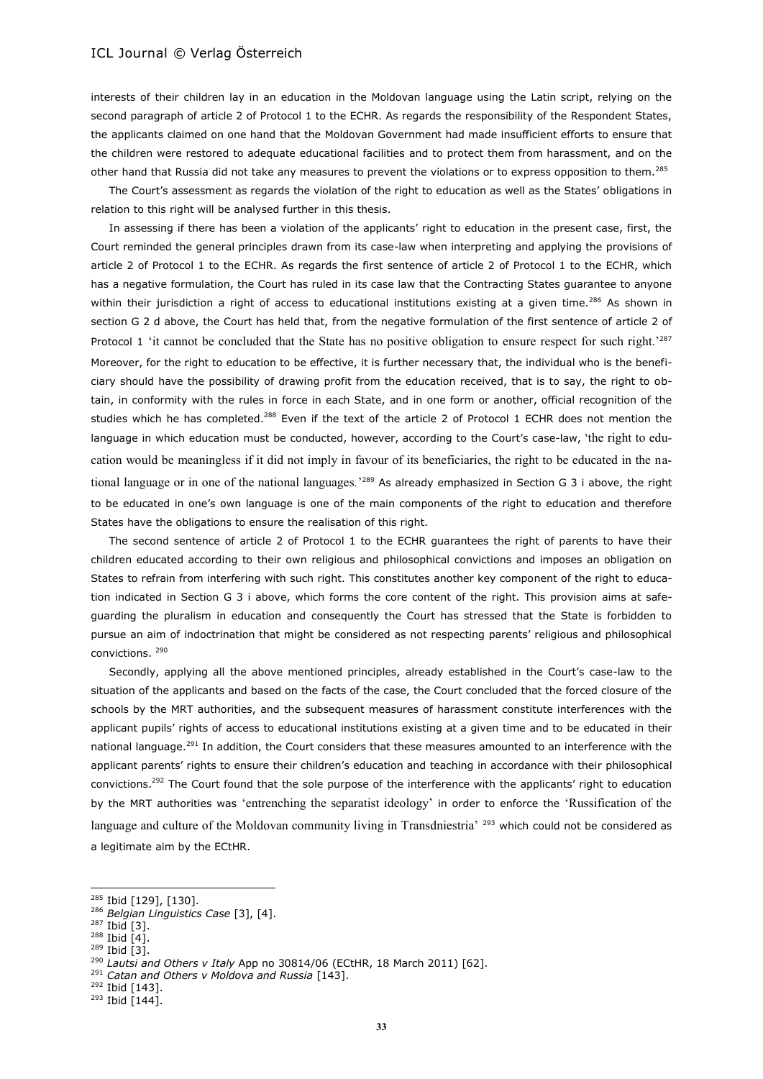interests of their children lay in an education in the Moldovan language using the Latin script, relying on the second paragraph of article 2 of Protocol 1 to the ECHR. As regards the responsibility of the Respondent States, the applicants claimed on one hand that the Moldovan Government had made insufficient efforts to ensure that the children were restored to adequate educational facilities and to protect them from harassment, and on the other hand that Russia did not take any measures to prevent the violations or to express opposition to them.<sup>285</sup>

The Court's assessment as regards the violation of the right to education as well as the States' obligations in relation to this right will be analysed further in this thesis.

In assessing if there has been a violation of the applicants' right to education in the present case, first, the Court reminded the general principles drawn from its case-law when interpreting and applying the provisions of article 2 of Protocol 1 to the ECHR. As regards the first sentence of article 2 of Protocol 1 to the ECHR, which has a negative formulation, the Court has ruled in its case law that the Contracting States guarantee to anyone within their jurisdiction a right of access to educational institutions existing at a given time.<sup>286</sup> As shown in section G 2 d above, the Court has held that, from the negative formulation of the first sentence of article 2 of Protocol 1 'it cannot be concluded that the State has no positive obligation to ensure respect for such right.<sup>'287</sup> Moreover, for the right to education to be effective, it is further necessary that, the individual who is the beneficiary should have the possibility of drawing profit from the education received, that is to say, the right to obtain, in conformity with the rules in force in each State, and in one form or another, official recognition of the studies which he has completed.<sup>288</sup> Even if the text of the article 2 of Protocol 1 ECHR does not mention the language in which education must be conducted, however, according to the Court's case-law, 'the right to education would be meaningless if it did not imply in favour of its beneficiaries, the right to be educated in the national language or in one of the national languages*.*' <sup>289</sup> As already emphasized in Section G 3 i above, the right to be educated in one's own language is one of the main components of the right to education and therefore States have the obligations to ensure the realisation of this right.

The second sentence of article 2 of Protocol 1 to the ECHR guarantees the right of parents to have their children educated according to their own religious and philosophical convictions and imposes an obligation on States to refrain from interfering with such right. This constitutes another key component of the right to education indicated in Section G 3 i above, which forms the core content of the right. This provision aims at safeguarding the pluralism in education and consequently the Court has stressed that the State is forbidden to pursue an aim of indoctrination that might be considered as not respecting parents' religious and philosophical convictions. <sup>290</sup>

Secondly, applying all the above mentioned principles, already established in the Court's case-law to the situation of the applicants and based on the facts of the case, the Court concluded that the forced closure of the schools by the MRT authorities, and the subsequent measures of harassment constitute interferences with the applicant pupils' rights of access to educational institutions existing at a given time and to be educated in their national language.<sup>291</sup> In addition, the Court considers that these measures amounted to an interference with the applicant parents' rights to ensure their children's education and teaching in accordance with their philosophical convictions.<sup>292</sup> The Court found that the sole purpose of the interference with the applicants' right to education by the MRT authorities was 'entrenching the separatist ideology' in order to enforce the 'Russification of the language and culture of the Moldovan community living in Transdniestria' <sup>293</sup> which could not be considered as a legitimate aim by the ECtHR.

<sup>&</sup>lt;sup>285</sup> Ibid [129], [130].

<sup>286</sup> *Belgian Linguistics Case* [3], [4].

<sup>287</sup> Ibid [3].

 $288$  Ibid [4].

<sup>289</sup> Ibid [3].

<sup>290</sup> *Lautsi and Others v Italy* App no 30814/06 (ECtHR, 18 March 2011) [62].

<sup>291</sup> *Catan and Others v Moldova and Russia* [143].

 $292$  Ibid [143].

 $293$  Ibid [144].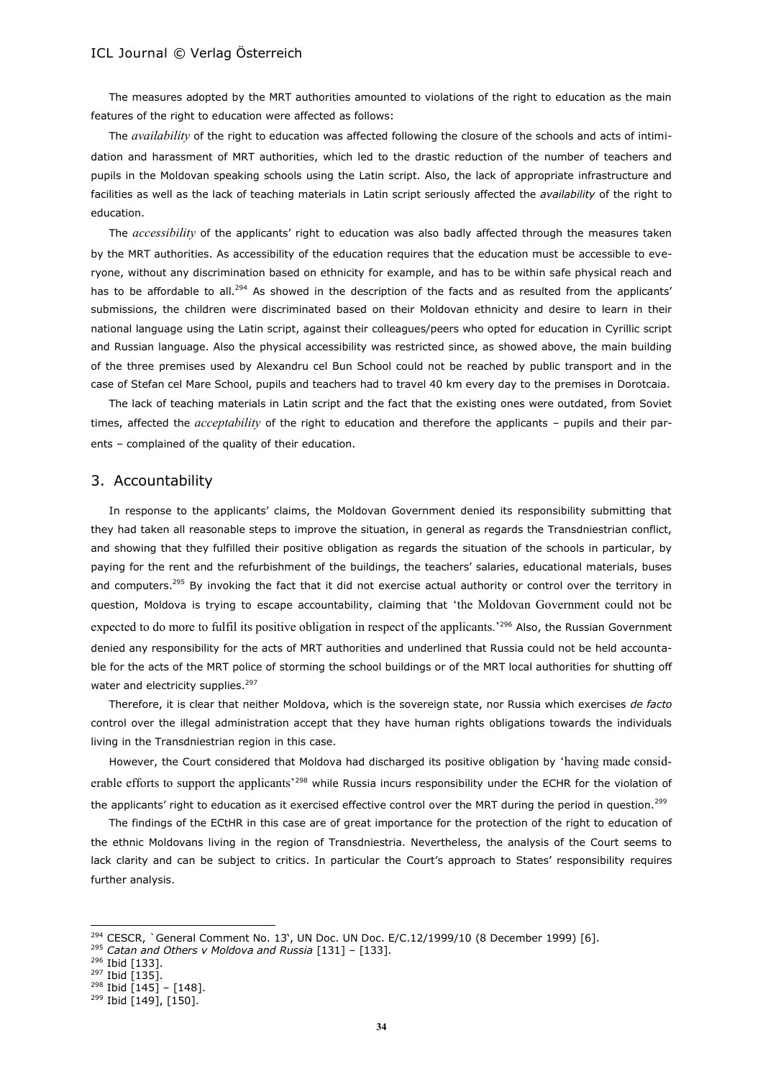The measures adopted by the MRT authorities amounted to violations of the right to education as the main features of the right to education were affected as follows:

The *availability* of the right to education was affected following the closure of the schools and acts of intimidation and harassment of MRT authorities, which led to the drastic reduction of the number of teachers and pupils in the Moldovan speaking schools using the Latin script. Also, the lack of appropriate infrastructure and facilities as well as the lack of teaching materials in Latin script seriously affected the *availability* of the right to education.

The *accessibility* of the applicants' right to education was also badly affected through the measures taken by the MRT authorities. As accessibility of the education requires that the education must be accessible to everyone, without any discrimination based on ethnicity for example, and has to be within safe physical reach and has to be affordable to all.<sup>294</sup> As showed in the description of the facts and as resulted from the applicants' submissions, the children were discriminated based on their Moldovan ethnicity and desire to learn in their national language using the Latin script, against their colleagues/peers who opted for education in Cyrillic script and Russian language. Also the physical accessibility was restricted since, as showed above, the main building of the three premises used by Alexandru cel Bun School could not be reached by public transport and in the case of Stefan cel Mare School, pupils and teachers had to travel 40 km every day to the premises in Dorotcaia.

The lack of teaching materials in Latin script and the fact that the existing ones were outdated, from Soviet times, affected the *acceptability* of the right to education and therefore the applicants – pupils and their parents – complained of the quality of their education.

#### 3. Accountability

In response to the applicants' claims, the Moldovan Government denied its responsibility submitting that they had taken all reasonable steps to improve the situation, in general as regards the Transdniestrian conflict, and showing that they fulfilled their positive obligation as regards the situation of the schools in particular, by paying for the rent and the refurbishment of the buildings, the teachers' salaries, educational materials, buses and computers.<sup>295</sup> By invoking the fact that it did not exercise actual authority or control over the territory in question, Moldova is trying to escape accountability, claiming that 'the Moldovan Government could not be expected to do more to fulfil its positive obligation in respect of the applicants.<sup>'296</sup> Also, the Russian Government denied any responsibility for the acts of MRT authorities and underlined that Russia could not be held accountable for the acts of the MRT police of storming the school buildings or of the MRT local authorities for shutting off water and electricity supplies.<sup>297</sup>

Therefore, it is clear that neither Moldova, which is the sovereign state, nor Russia which exercises *de facto*  control over the illegal administration accept that they have human rights obligations towards the individuals living in the Transdniestrian region in this case.

However, the Court considered that Moldova had discharged its positive obligation by 'having made considerable efforts to support the applicants'<sup>298</sup> while Russia incurs responsibility under the ECHR for the violation of the applicants' right to education as it exercised effective control over the MRT during the period in question.<sup>299</sup>

The findings of the ECtHR in this case are of great importance for the protection of the right to education of the ethnic Moldovans living in the region of Transdniestria. Nevertheless, the analysis of the Court seems to lack clarity and can be subject to critics. In particular the Court's approach to States' responsibility requires further analysis.

<sup>294</sup> CESCR, `General Comment No. 13', UN Doc. UN Doc. E/C.12/1999/10 (8 December 1999) [6].

<sup>295</sup> *Catan and Others v Moldova and Russia* [131] – [133].

<sup>296</sup> Ibid [133].

<sup>&</sup>lt;sup>297</sup> Ibid [135].

 $298$  Ibid [145] – [148].

<sup>&</sup>lt;sup>299</sup> Ibid [149], [150].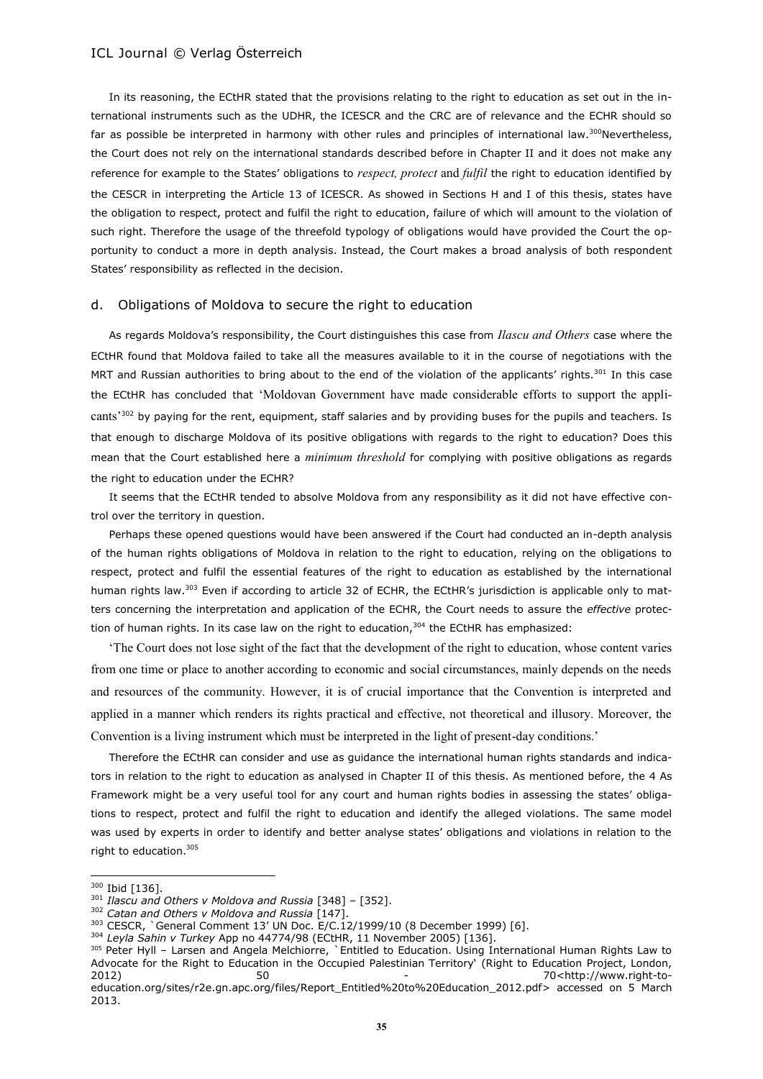In its reasoning, the ECtHR stated that the provisions relating to the right to education as set out in the international instruments such as the UDHR, the ICESCR and the CRC are of relevance and the ECHR should so far as possible be interpreted in harmony with other rules and principles of international law.<sup>300</sup>Nevertheless, the Court does not rely on the international standards described before in Chapter II and it does not make any reference for example to the States' obligations to *respect, protect* and *fulfil* the right to education identified by the CESCR in interpreting the Article 13 of ICESCR. As showed in Sections H and I of this thesis, states have the obligation to respect, protect and fulfil the right to education, failure of which will amount to the violation of such right. Therefore the usage of the threefold typology of obligations would have provided the Court the opportunity to conduct a more in depth analysis. Instead, the Court makes a broad analysis of both respondent States' responsibility as reflected in the decision.

#### d. Obligations of Moldova to secure the right to education

As regards Moldova's responsibility, the Court distinguishes this case from *Ilascu and Others* case where the ECtHR found that Moldova failed to take all the measures available to it in the course of negotiations with the MRT and Russian authorities to bring about to the end of the violation of the applicants' rights.<sup>301</sup> In this case the ECtHR has concluded that 'Moldovan Government have made considerable efforts to support the applicants<sup>'302</sup> by paying for the rent, equipment, staff salaries and by providing buses for the pupils and teachers. Is that enough to discharge Moldova of its positive obligations with regards to the right to education? Does this mean that the Court established here a *minimum threshold* for complying with positive obligations as regards the right to education under the ECHR?

It seems that the ECtHR tended to absolve Moldova from any responsibility as it did not have effective control over the territory in question.

Perhaps these opened questions would have been answered if the Court had conducted an in-depth analysis of the human rights obligations of Moldova in relation to the right to education, relying on the obligations to respect, protect and fulfil the essential features of the right to education as established by the international human rights law.<sup>303</sup> Even if according to article 32 of ECHR, the ECtHR's jurisdiction is applicable only to matters concerning the interpretation and application of the ECHR, the Court needs to assure the *effective* protection of human rights. In its case law on the right to education, $304$  the ECtHR has emphasized:

'The Court does not lose sight of the fact that the development of the right to education, whose content varies from one time or place to another according to economic and social circumstances, mainly depends on the needs and resources of the community. However, it is of crucial importance that the Convention is interpreted and applied in a manner which renders its rights practical and effective, not theoretical and illusory. Moreover, the Convention is a living instrument which must be interpreted in the light of present-day conditions.'

Therefore the ECtHR can consider and use as guidance the international human rights standards and indicators in relation to the right to education as analysed in Chapter II of this thesis. As mentioned before, the 4 As Framework might be a very useful tool for any court and human rights bodies in assessing the states' obligations to respect, protect and fulfil the right to education and identify the alleged violations. The same model was used by experts in order to identify and better analyse states' obligations and violations in relation to the right to education.<sup>305</sup>

<sup>300</sup> Ibid [136].

<sup>301</sup> *Ilascu and Others v Moldova and Russia* [348] – [352].

<sup>302</sup> *Catan and Others v Moldova and Russia* [147].

<sup>303</sup> CESCR, `General Comment 13' UN Doc. E/C.12/1999/10 (8 December 1999) [6].

<sup>304</sup> *Leyla Sahin v Turkey* App no 44774/98 (ECtHR, 11 November 2005) [136].

<sup>305</sup> Peter Hyll – Larsen and Angela Melchiorre, `Entitled to Education. Using International Human Rights Law to Advocate for the Right to Education in the Occupied Palestinian Territory' (Right to Education Project, London,  $2012$ ) 50  $50$  -  $70 \lt h$ ttp://www.right-to[education.org/sites/r2e.gn.apc.org/files/Report\\_Entitled%20to%20Education\\_2012.pdf>](http://www.right-to-education.org/sites/r2e.gn.apc.org/files/Report_Entitled%20to%20Education_2012.pdf) accessed on 5 March 2013.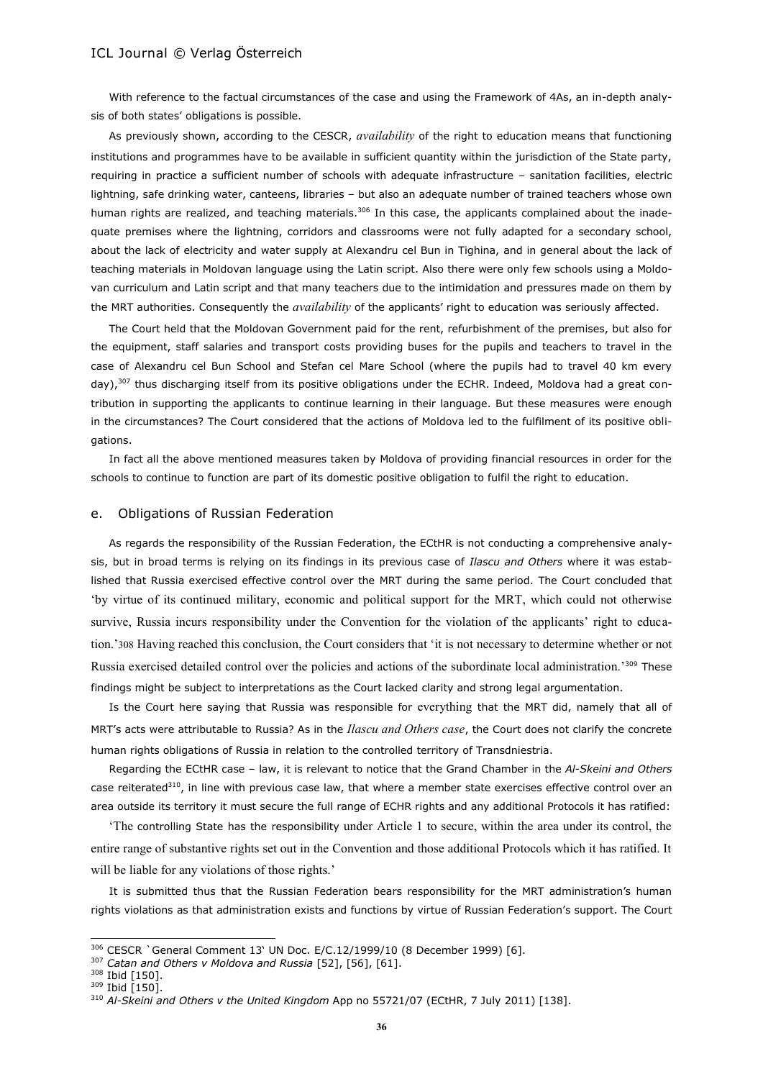With reference to the factual circumstances of the case and using the Framework of 4As, an in-depth analysis of both states' obligations is possible.

As previously shown, according to the CESCR, *availability* of the right to education means that functioning institutions and programmes have to be available in sufficient quantity within the jurisdiction of the State party, requiring in practice a sufficient number of schools with adequate infrastructure – sanitation facilities, electric lightning, safe drinking water, canteens, libraries – but also an adequate number of trained teachers whose own human rights are realized, and teaching materials. $306$  In this case, the applicants complained about the inadequate premises where the lightning, corridors and classrooms were not fully adapted for a secondary school, about the lack of electricity and water supply at Alexandru cel Bun in Tighina, and in general about the lack of teaching materials in Moldovan language using the Latin script. Also there were only few schools using a Moldovan curriculum and Latin script and that many teachers due to the intimidation and pressures made on them by the MRT authorities. Consequently the *availability* of the applicants' right to education was seriously affected.

The Court held that the Moldovan Government paid for the rent, refurbishment of the premises, but also for the equipment, staff salaries and transport costs providing buses for the pupils and teachers to travel in the case of Alexandru cel Bun School and Stefan cel Mare School (where the pupils had to travel 40 km every day),<sup>307</sup> thus discharging itself from its positive obligations under the ECHR. Indeed, Moldova had a great contribution in supporting the applicants to continue learning in their language. But these measures were enough in the circumstances? The Court considered that the actions of Moldova led to the fulfilment of its positive obligations.

In fact all the above mentioned measures taken by Moldova of providing financial resources in order for the schools to continue to function are part of its domestic positive obligation to fulfil the right to education.

#### e. Obligations of Russian Federation

As regards the responsibility of the Russian Federation, the ECtHR is not conducting a comprehensive analysis, but in broad terms is relying on its findings in its previous case of *Ilascu and Others* where it was established that Russia exercised effective control over the MRT during the same period. The Court concluded that 'by virtue of its continued military, economic and political support for the MRT, which could not otherwise survive, Russia incurs responsibility under the Convention for the violation of the applicants' right to education.'308 Having reached this conclusion, the Court considers that 'it is not necessary to determine whether or not Russia exercised detailed control over the policies and actions of the subordinate local administration.'309 These findings might be subject to interpretations as the Court lacked clarity and strong legal argumentation.

Is the Court here saying that Russia was responsible for everything that the MRT did, namely that all of MRT's acts were attributable to Russia? As in the *Ilascu and Others case*, the Court does not clarify the concrete human rights obligations of Russia in relation to the controlled territory of Transdniestria.

Regarding the ECtHR case – law, it is relevant to notice that the Grand Chamber in the *Al-Skeini and Others* case reiterated<sup>310</sup>, in line with previous case law, that where a member state exercises effective control over an area outside its territory it must secure the full range of ECHR rights and any additional Protocols it has ratified:

'The controlling State has the responsibility under Article 1 to secure, within the area under its control, the entire range of substantive rights set out in the Convention and those additional Protocols which it has ratified. It will be liable for any violations of those rights.'

It is submitted thus that the Russian Federation bears responsibility for the MRT administration's human rights violations as that administration exists and functions by virtue of Russian Federation's support. The Court

<sup>306</sup> CESCR `General Comment 13' UN Doc. E/C.12/1999/10 (8 December 1999) [6].

<sup>307</sup> *Catan and Others v Moldova and Russia* [52], [56], [61].

<sup>308</sup> Ibid [150].

<sup>309</sup> Ibid [150].

<sup>310</sup> *Al-Skeini and Others v the United Kingdom* App no 55721/07 (ECtHR, 7 July 2011) [138].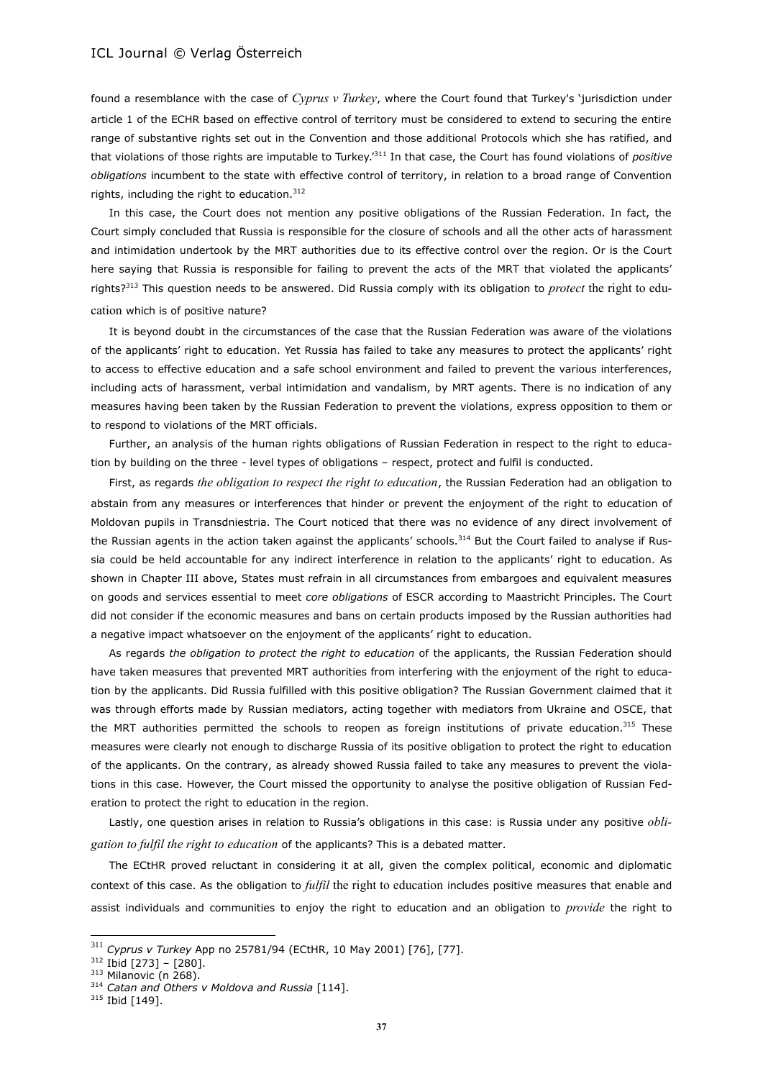found a resemblance with the case of *Cyprus v Turkey*, where the Court found that Turkey's 'jurisdiction under article 1 of the ECHR based on effective control of territory must be considered to extend to securing the entire range of substantive rights set out in the Convention and those additional Protocols which she has ratified, and that violations of those rights are imputable to Turkey.'<sup>311</sup> In that case, the Court has found violations of *positive obligations* incumbent to the state with effective control of territory, in relation to a broad range of Convention rights, including the right to education. $312$ 

In this case, the Court does not mention any positive obligations of the Russian Federation. In fact, the Court simply concluded that Russia is responsible for the closure of schools and all the other acts of harassment and intimidation undertook by the MRT authorities due to its effective control over the region. Or is the Court here saying that Russia is responsible for failing to prevent the acts of the MRT that violated the applicants' rights?<sup>313</sup> This question needs to be answered. Did Russia comply with its obligation to *protect* the right to education which is of positive nature?

It is beyond doubt in the circumstances of the case that the Russian Federation was aware of the violations of the applicants' right to education. Yet Russia has failed to take any measures to protect the applicants' right to access to effective education and a safe school environment and failed to prevent the various interferences, including acts of harassment, verbal intimidation and vandalism, by MRT agents. There is no indication of any measures having been taken by the Russian Federation to prevent the violations, express opposition to them or to respond to violations of the MRT officials.

Further, an analysis of the human rights obligations of Russian Federation in respect to the right to education by building on the three - level types of obligations – respect, protect and fulfil is conducted.

First, as regards *the obligation to respect the right to education*, the Russian Federation had an obligation to abstain from any measures or interferences that hinder or prevent the enjoyment of the right to education of Moldovan pupils in Transdniestria. The Court noticed that there was no evidence of any direct involvement of the Russian agents in the action taken against the applicants' schools.<sup>314</sup> But the Court failed to analyse if Russia could be held accountable for any indirect interference in relation to the applicants' right to education. As shown in Chapter III above, States must refrain in all circumstances from embargoes and equivalent measures on goods and services essential to meet *core obligations* of ESCR according to Maastricht Principles. The Court did not consider if the economic measures and bans on certain products imposed by the Russian authorities had a negative impact whatsoever on the enjoyment of the applicants' right to education.

As regards *the obligation to protect the right to education* of the applicants, the Russian Federation should have taken measures that prevented MRT authorities from interfering with the enjoyment of the right to education by the applicants. Did Russia fulfilled with this positive obligation? The Russian Government claimed that it was through efforts made by Russian mediators, acting together with mediators from Ukraine and OSCE, that the MRT authorities permitted the schools to reopen as foreign institutions of private education.<sup>315</sup> These measures were clearly not enough to discharge Russia of its positive obligation to protect the right to education of the applicants. On the contrary, as already showed Russia failed to take any measures to prevent the violations in this case. However, the Court missed the opportunity to analyse the positive obligation of Russian Federation to protect the right to education in the region.

Lastly, one question arises in relation to Russia's obligations in this case: is Russia under any positive *obligation to fulfil the right to education* of the applicants? This is a debated matter.

The ECtHR proved reluctant in considering it at all, given the complex political, economic and diplomatic context of this case. As the obligation to *fulfil* the right to education includes positive measures that enable and assist individuals and communities to enjoy the right to education and an obligation to *provide* the right to

<sup>311</sup> *Cyprus v Turkey* App no 25781/94 (ECtHR, 10 May 2001) [76], [77].

 $312$  Ibid [273] - [280].

 $313$  Milanovic (n 268).

<sup>314</sup> *Catan and Others v Moldova and Russia* [114].

<sup>&</sup>lt;sup>315</sup> Ibid [149].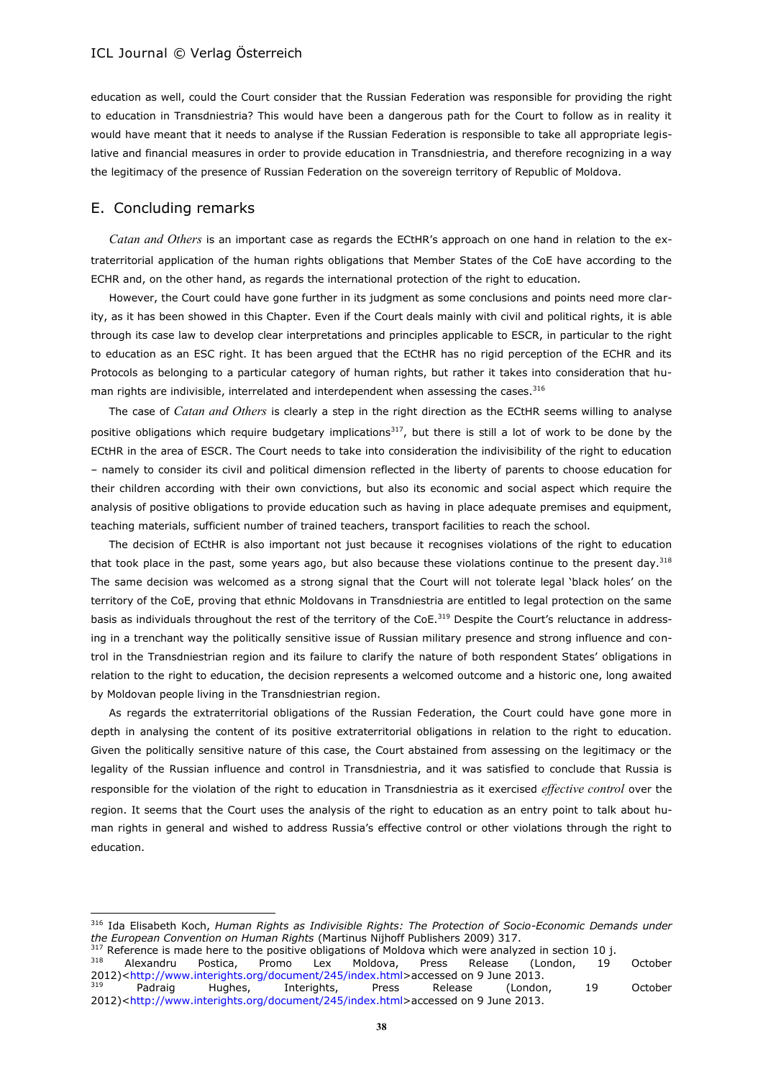education as well, could the Court consider that the Russian Federation was responsible for providing the right to education in Transdniestria? This would have been a dangerous path for the Court to follow as in reality it would have meant that it needs to analyse if the Russian Federation is responsible to take all appropriate legislative and financial measures in order to provide education in Transdniestria, and therefore recognizing in a way the legitimacy of the presence of Russian Federation on the sovereign territory of Republic of Moldova.

#### E. Concluding remarks

 $\overline{a}$ 

*Catan and Others* is an important case as regards the ECtHR's approach on one hand in relation to the extraterritorial application of the human rights obligations that Member States of the CoE have according to the ECHR and, on the other hand, as regards the international protection of the right to education.

However, the Court could have gone further in its judgment as some conclusions and points need more clarity, as it has been showed in this Chapter. Even if the Court deals mainly with civil and political rights, it is able through its case law to develop clear interpretations and principles applicable to ESCR, in particular to the right to education as an ESC right. It has been argued that the ECtHR has no rigid perception of the ECHR and its Protocols as belonging to a particular category of human rights, but rather it takes into consideration that human rights are indivisible, interrelated and interdependent when assessing the cases.<sup>316</sup>

The case of *Catan and Others* is clearly a step in the right direction as the ECtHR seems willing to analyse positive obligations which require budgetary implications<sup>317</sup>, but there is still a lot of work to be done by the ECtHR in the area of ESCR. The Court needs to take into consideration the indivisibility of the right to education – namely to consider its civil and political dimension reflected in the liberty of parents to choose education for their children according with their own convictions, but also its economic and social aspect which require the analysis of positive obligations to provide education such as having in place adequate premises and equipment, teaching materials, sufficient number of trained teachers, transport facilities to reach the school.

The decision of ECtHR is also important not just because it recognises violations of the right to education that took place in the past, some years ago, but also because these violations continue to the present day.<sup>318</sup> The same decision was welcomed as a strong signal that the Court will not tolerate legal 'black holes' on the territory of the CoE, proving that ethnic Moldovans in Transdniestria are entitled to legal protection on the same basis as individuals throughout the rest of the territory of the CoE.<sup>319</sup> Despite the Court's reluctance in addressing in a trenchant way the politically sensitive issue of Russian military presence and strong influence and control in the Transdniestrian region and its failure to clarify the nature of both respondent States' obligations in relation to the right to education, the decision represents a welcomed outcome and a historic one, long awaited by Moldovan people living in the Transdniestrian region.

As regards the extraterritorial obligations of the Russian Federation, the Court could have gone more in depth in analysing the content of its positive extraterritorial obligations in relation to the right to education. Given the politically sensitive nature of this case, the Court abstained from assessing on the legitimacy or the legality of the Russian influence and control in Transdniestria, and it was satisfied to conclude that Russia is responsible for the violation of the right to education in Transdniestria as it exercised *effective control* over the region. It seems that the Court uses the analysis of the right to education as an entry point to talk about human rights in general and wished to address Russia's effective control or other violations through the right to education.

<sup>316</sup> Ida Elisabeth Koch, *Human Rights as Indivisible Rights: The Protection of Socio-Economic Demands under the European Convention on Human Rights* (Martinus Nijhoff Publishers 2009) 317.

<sup>&</sup>lt;sup>317</sup> Reference is made here to the positive obligations of Moldova which were analyzed in section 10 j.

<sup>&</sup>lt;sup>318</sup> Alexandru Postica, Promo Lex Moldova, Press Release (London, 19 October 2012)[<http://www.interights.org/document/245/index.html>](http://www.interights.org/document/245/index.html)accessed on 9 June 2013.

<sup>&</sup>lt;sup>319</sup> Padraig Hughes, Interights, Press Release (London, 19 October 2012)[<http://www.interights.org/document/245/index.html>](http://www.interights.org/document/245/index.html)accessed on 9 June 2013.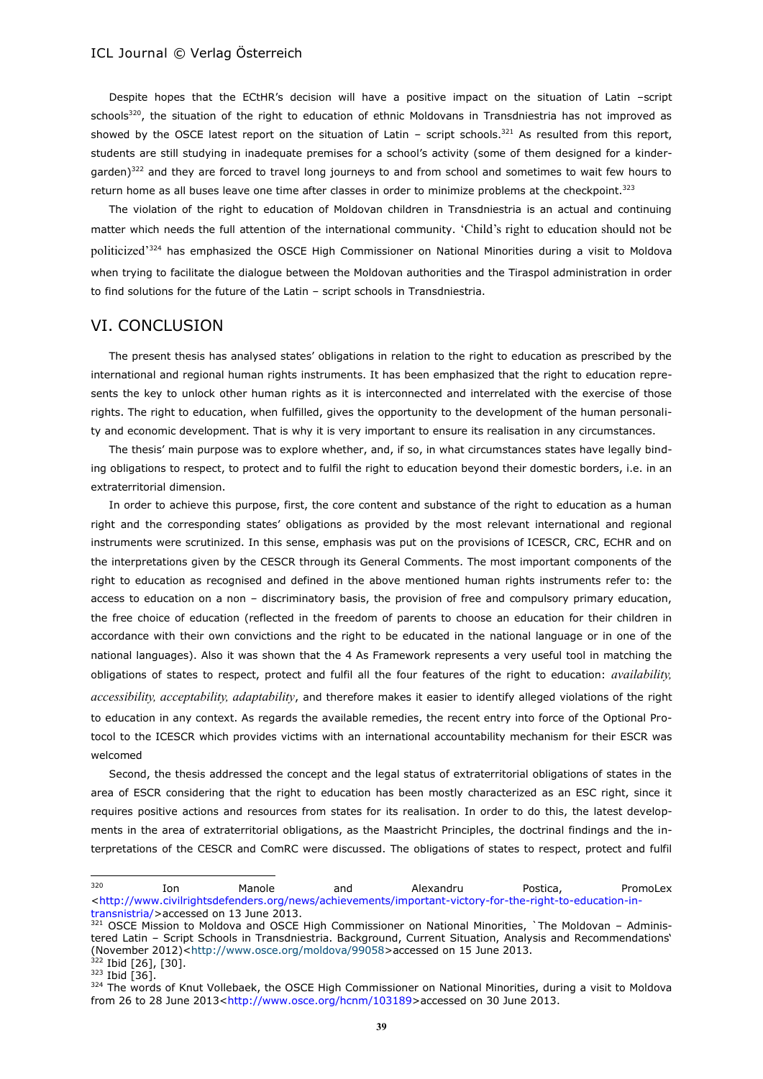Despite hopes that the ECtHR's decision will have a positive impact on the situation of Latin –script schools<sup>320</sup>, the situation of the right to education of ethnic Moldovans in Transdniestria has not improved as showed by the OSCE latest report on the situation of Latin – script schools.<sup>321</sup> As resulted from this report, students are still studying in inadequate premises for a school's activity (some of them designed for a kindergarden)<sup>322</sup> and they are forced to travel long journeys to and from school and sometimes to wait few hours to return home as all buses leave one time after classes in order to minimize problems at the checkpoint.<sup>323</sup>

The violation of the right to education of Moldovan children in Transdniestria is an actual and continuing matter which needs the full attention of the international community. 'Child's right to education should not be politicized'<sup>324</sup> has emphasized the OSCE High Commissioner on National Minorities during a visit to Moldova when trying to facilitate the dialogue between the Moldovan authorities and the Tiraspol administration in order to find solutions for the future of the Latin – script schools in Transdniestria.

### VI. CONCLUSION

The present thesis has analysed states' obligations in relation to the right to education as prescribed by the international and regional human rights instruments. It has been emphasized that the right to education represents the key to unlock other human rights as it is interconnected and interrelated with the exercise of those rights. The right to education, when fulfilled, gives the opportunity to the development of the human personality and economic development. That is why it is very important to ensure its realisation in any circumstances.

The thesis' main purpose was to explore whether, and, if so, in what circumstances states have legally binding obligations to respect, to protect and to fulfil the right to education beyond their domestic borders, i.e. in an extraterritorial dimension.

In order to achieve this purpose, first, the core content and substance of the right to education as a human right and the corresponding states' obligations as provided by the most relevant international and regional instruments were scrutinized. In this sense, emphasis was put on the provisions of ICESCR, CRC, ECHR and on the interpretations given by the CESCR through its General Comments. The most important components of the right to education as recognised and defined in the above mentioned human rights instruments refer to: the access to education on a non – discriminatory basis, the provision of free and compulsory primary education, the free choice of education (reflected in the freedom of parents to choose an education for their children in accordance with their own convictions and the right to be educated in the national language or in one of the national languages). Also it was shown that the 4 As Framework represents a very useful tool in matching the obligations of states to respect, protect and fulfil all the four features of the right to education: *availability, accessibility, acceptability, adaptability*, and therefore makes it easier to identify alleged violations of the right to education in any context. As regards the available remedies, the recent entry into force of the Optional Protocol to the ICESCR which provides victims with an international accountability mechanism for their ESCR was welcomed

Second, the thesis addressed the concept and the legal status of extraterritorial obligations of states in the area of ESCR considering that the right to education has been mostly characterized as an ESC right, since it requires positive actions and resources from states for its realisation. In order to do this, the latest developments in the area of extraterritorial obligations, as the Maastricht Principles, the doctrinal findings and the interpretations of the CESCR and ComRC were discussed. The obligations of states to respect, protect and fulfil

<sup>&</sup>lt;sup>320</sup> Ion Manole and Alexandru Postica, PromoLex [<http://www.civilrightsdefenders.org/news/achievements/important-victory-for-the-right-to-education-in](http://www.civilrightsdefenders.org/news/achievements/important-victory-for-the-right-to-education-in-transnistria/)[transnistria/>](http://www.civilrightsdefenders.org/news/achievements/important-victory-for-the-right-to-education-in-transnistria/)accessed on 13 June 2013.

<sup>321</sup> OSCE Mission to Moldova and OSCE High Commissioner on National Minorities, `The Moldovan - Administered Latin – Script Schools in Transdniestria. Background, Current Situation, Analysis and Recommendations' (November 2012)[<http://www.osce.org/moldova/99058>](http://www.osce.org/moldova/99058)accessed on 15 June 2013.  $322$  Ibid [26], [30].

 $323$  Ibid [36].

<sup>324</sup> The words of Knut Vollebaek, the OSCE High Commissioner on National Minorities, during a visit to Moldova from 26 to 28 June 2013[<http://www.osce.org/hcnm/103189>](http://www.osce.org/hcnm/103189)accessed on 30 June 2013.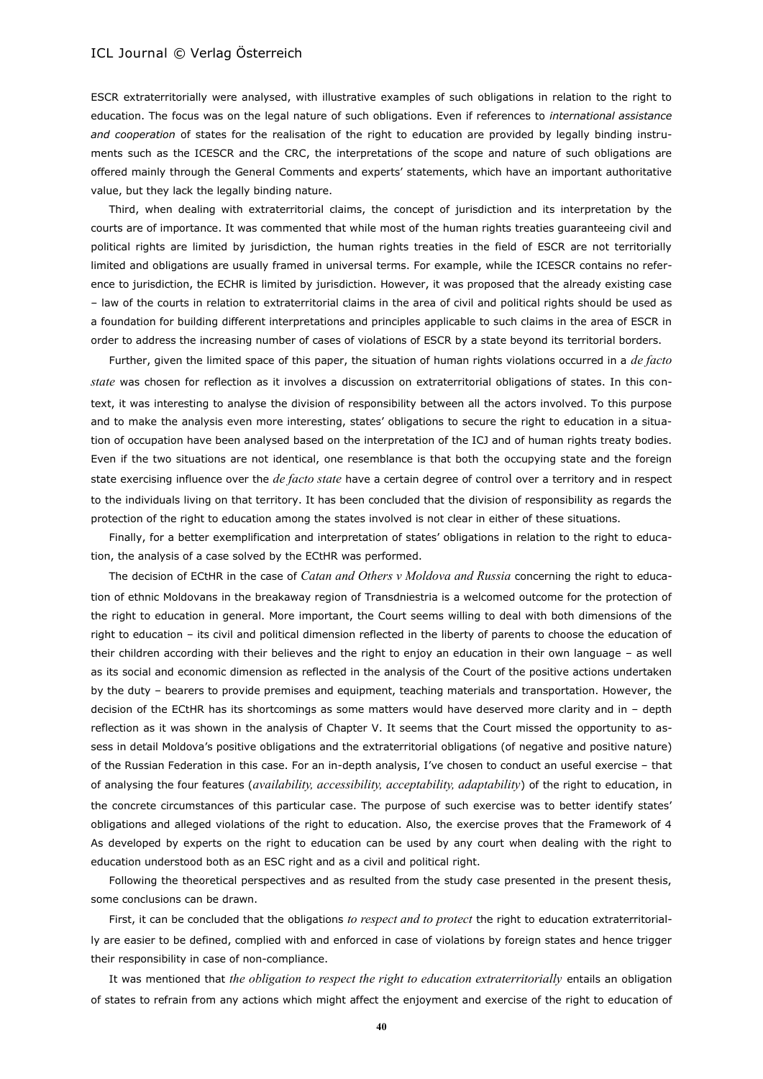ESCR extraterritorially were analysed, with illustrative examples of such obligations in relation to the right to education. The focus was on the legal nature of such obligations. Even if references to *international assistance and cooperation* of states for the realisation of the right to education are provided by legally binding instruments such as the ICESCR and the CRC, the interpretations of the scope and nature of such obligations are offered mainly through the General Comments and experts' statements, which have an important authoritative value, but they lack the legally binding nature.

Third, when dealing with extraterritorial claims, the concept of jurisdiction and its interpretation by the courts are of importance. It was commented that while most of the human rights treaties guaranteeing civil and political rights are limited by jurisdiction, the human rights treaties in the field of ESCR are not territorially limited and obligations are usually framed in universal terms. For example, while the ICESCR contains no reference to jurisdiction, the ECHR is limited by jurisdiction. However, it was proposed that the already existing case – law of the courts in relation to extraterritorial claims in the area of civil and political rights should be used as a foundation for building different interpretations and principles applicable to such claims in the area of ESCR in order to address the increasing number of cases of violations of ESCR by a state beyond its territorial borders.

Further, given the limited space of this paper, the situation of human rights violations occurred in a *de facto state* was chosen for reflection as it involves a discussion on extraterritorial obligations of states. In this context, it was interesting to analyse the division of responsibility between all the actors involved. To this purpose and to make the analysis even more interesting, states' obligations to secure the right to education in a situation of occupation have been analysed based on the interpretation of the ICJ and of human rights treaty bodies. Even if the two situations are not identical, one resemblance is that both the occupying state and the foreign state exercising influence over the *de facto state* have a certain degree of control over a territory and in respect to the individuals living on that territory. It has been concluded that the division of responsibility as regards the protection of the right to education among the states involved is not clear in either of these situations.

Finally, for a better exemplification and interpretation of states' obligations in relation to the right to education, the analysis of a case solved by the ECtHR was performed.

The decision of ECtHR in the case of *Catan and Others v Moldova and Russia* concerning the right to education of ethnic Moldovans in the breakaway region of Transdniestria is a welcomed outcome for the protection of the right to education in general. More important, the Court seems willing to deal with both dimensions of the right to education – its civil and political dimension reflected in the liberty of parents to choose the education of their children according with their believes and the right to enjoy an education in their own language – as well as its social and economic dimension as reflected in the analysis of the Court of the positive actions undertaken by the duty – bearers to provide premises and equipment, teaching materials and transportation. However, the decision of the ECtHR has its shortcomings as some matters would have deserved more clarity and in – depth reflection as it was shown in the analysis of Chapter V. It seems that the Court missed the opportunity to assess in detail Moldova's positive obligations and the extraterritorial obligations (of negative and positive nature) of the Russian Federation in this case. For an in-depth analysis, I've chosen to conduct an useful exercise – that of analysing the four features (*availability, accessibility, acceptability, adaptability*) of the right to education, in the concrete circumstances of this particular case. The purpose of such exercise was to better identify states' obligations and alleged violations of the right to education. Also, the exercise proves that the Framework of 4 As developed by experts on the right to education can be used by any court when dealing with the right to education understood both as an ESC right and as a civil and political right.

Following the theoretical perspectives and as resulted from the study case presented in the present thesis, some conclusions can be drawn.

First, it can be concluded that the obligations *to respect and to protect* the right to education extraterritorially are easier to be defined, complied with and enforced in case of violations by foreign states and hence trigger their responsibility in case of non-compliance.

It was mentioned that *the obligation to respect the right to education extraterritorially* entails an obligation of states to refrain from any actions which might affect the enjoyment and exercise of the right to education of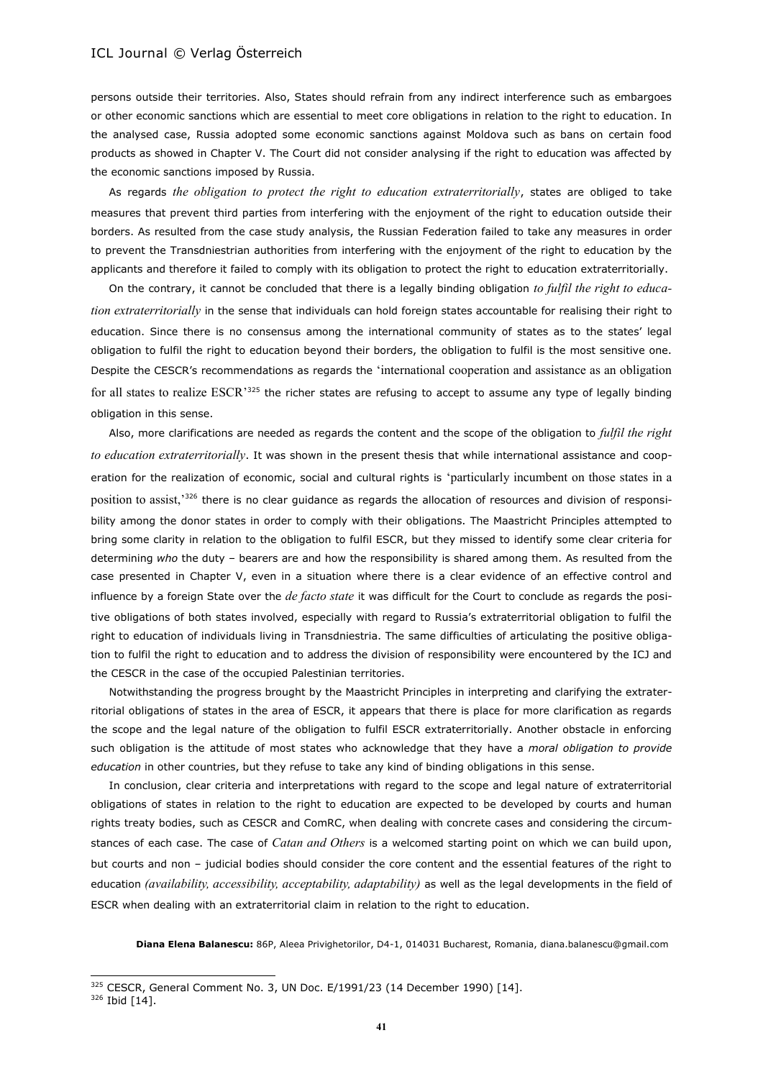persons outside their territories. Also, States should refrain from any indirect interference such as embargoes or other economic sanctions which are essential to meet core obligations in relation to the right to education. In the analysed case, Russia adopted some economic sanctions against Moldova such as bans on certain food products as showed in Chapter V. The Court did not consider analysing if the right to education was affected by the economic sanctions imposed by Russia.

As regards *the obligation to protect the right to education extraterritorially*, states are obliged to take measures that prevent third parties from interfering with the enjoyment of the right to education outside their borders. As resulted from the case study analysis, the Russian Federation failed to take any measures in order to prevent the Transdniestrian authorities from interfering with the enjoyment of the right to education by the applicants and therefore it failed to comply with its obligation to protect the right to education extraterritorially.

On the contrary, it cannot be concluded that there is a legally binding obligation *to fulfil the right to education extraterritorially* in the sense that individuals can hold foreign states accountable for realising their right to education. Since there is no consensus among the international community of states as to the states' legal obligation to fulfil the right to education beyond their borders, the obligation to fulfil is the most sensitive one. Despite the CESCR's recommendations as regards the 'international cooperation and assistance as an obligation for all states to realize ESCR'<sup>325</sup> the richer states are refusing to accept to assume any type of legally binding obligation in this sense.

Also, more clarifications are needed as regards the content and the scope of the obligation to *fulfil the right to education extraterritorially*. It was shown in the present thesis that while international assistance and cooperation for the realization of economic, social and cultural rights is 'particularly incumbent on those states in a position to assist,<sup>336</sup> there is no clear guidance as regards the allocation of resources and division of responsibility among the donor states in order to comply with their obligations. The Maastricht Principles attempted to bring some clarity in relation to the obligation to fulfil ESCR, but they missed to identify some clear criteria for determining *who* the duty – bearers are and how the responsibility is shared among them. As resulted from the case presented in Chapter V, even in a situation where there is a clear evidence of an effective control and influence by a foreign State over the *de facto state* it was difficult for the Court to conclude as regards the positive obligations of both states involved, especially with regard to Russia's extraterritorial obligation to fulfil the right to education of individuals living in Transdniestria. The same difficulties of articulating the positive obligation to fulfil the right to education and to address the division of responsibility were encountered by the ICJ and the CESCR in the case of the occupied Palestinian territories.

Notwithstanding the progress brought by the Maastricht Principles in interpreting and clarifying the extraterritorial obligations of states in the area of ESCR, it appears that there is place for more clarification as regards the scope and the legal nature of the obligation to fulfil ESCR extraterritorially. Another obstacle in enforcing such obligation is the attitude of most states who acknowledge that they have a *moral obligation to provide education* in other countries, but they refuse to take any kind of binding obligations in this sense.

In conclusion, clear criteria and interpretations with regard to the scope and legal nature of extraterritorial obligations of states in relation to the right to education are expected to be developed by courts and human rights treaty bodies, such as CESCR and ComRC, when dealing with concrete cases and considering the circumstances of each case. The case of *Catan and Others* is a welcomed starting point on which we can build upon, but courts and non – judicial bodies should consider the core content and the essential features of the right to education *(availability, accessibility, acceptability, adaptability)* as well as the legal developments in the field of ESCR when dealing with an extraterritorial claim in relation to the right to education.

**Diana Elena Balanescu:** 86P, Aleea Privighetorilor, D4-1, 014031 Bucharest, Romania, diana.balanescu@gmail.com

<sup>325</sup> CESCR, General Comment No. 3, UN Doc. E/1991/23 (14 December 1990) [14].

<sup>326</sup> Ibid [14].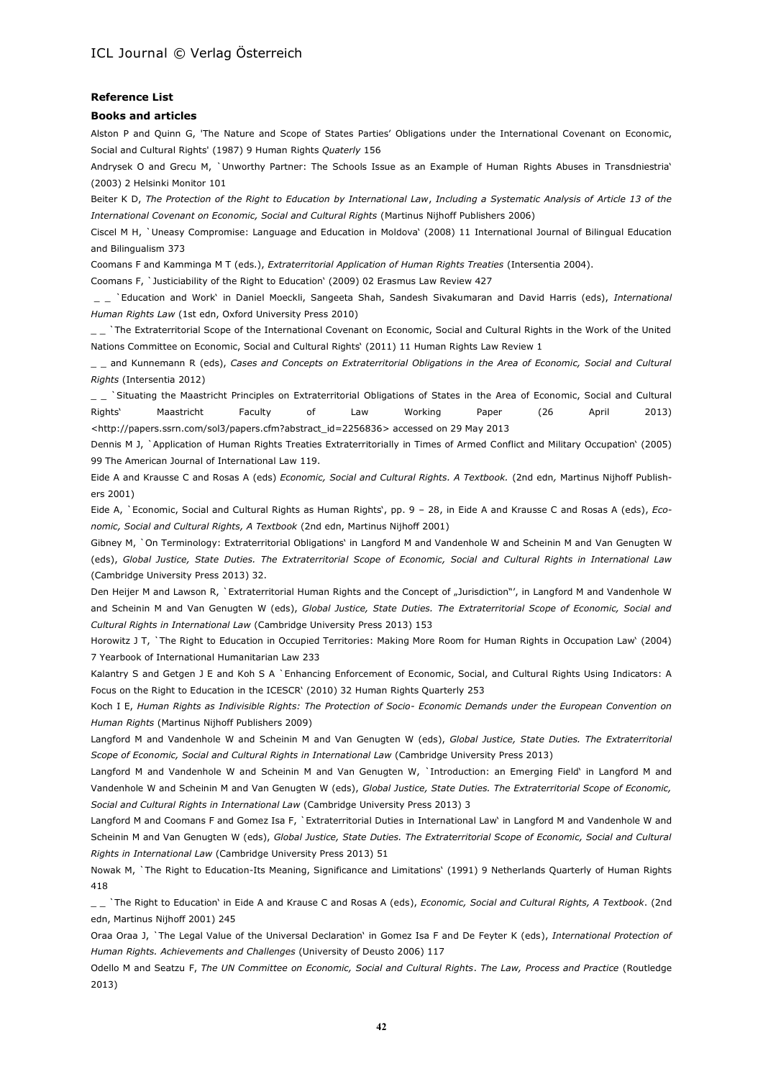#### **Reference List**

#### **Books and articles**

Alston P and Quinn G, 'The Nature and Scope of States Parties' Obligations under the International Covenant on Economic, Social and Cultural Rights' (1987) 9 Human Rights *Quaterly* 156

Andrysek O and Grecu M, `Unworthy Partner: The Schools Issue as an Example of Human Rights Abuses in Transdniestria' (2003) 2 Helsinki Monitor 101

Beiter K D, *The Protection of the Right to Education by International Law*, *Including a Systematic Analysis of Article 13 of the International Covenant on Economic, Social and Cultural Rights* (Martinus Nijhoff Publishers 2006)

Ciscel M H, `Uneasy Compromise: Language and Education in Moldova' (2008) 11 International Journal of Bilingual Education and Bilingualism 373

Coomans F and Kamminga M T (eds.), *Extraterritorial Application of Human Rights Treaties* (Intersentia 2004).

Coomans F, `Justiciability of the Right to Education' (2009) 02 Erasmus Law Review 427

\_ \_ `Education and Work' in Daniel Moeckli, Sangeeta Shah, Sandesh Sivakumaran and David Harris (eds), *International Human Rights Law* (1st edn, Oxford University Press 2010)

\_ \_ `The Extraterritorial Scope of the International Covenant on Economic, Social and Cultural Rights in the Work of the United Nations Committee on Economic, Social and Cultural Rights' (2011) 11 Human Rights Law Review 1

\_ \_ and Kunnemann R (eds), *Cases and Concepts on Extraterritorial Obligations in the Area of Economic, Social and Cultural Rights* (Intersentia 2012)

\_ \_ `Situating the Maastricht Principles on Extraterritorial Obligations of States in the Area of Economic, Social and Cultural Rights' Maastricht Faculty of Law Working Paper (26 April 2013) [<http://papers.ssrn.com/sol3/papers.cfm?abstract\\_id=2256836>](http://papers.ssrn.com/sol3/papers.cfm?abstract_id=2256836) accessed on 29 May 2013

Dennis M J, `Application of Human Rights Treaties Extraterritorially in Times of Armed Conflict and Military Occupation' (2005) 99 The American Journal of International Law 119.

Eide A and Krausse C and Rosas A (eds) *Economic, Social and Cultural Rights. A Textbook.* (2nd edn*,* Martinus Nijhoff Publishers 2001)

Eide A, `Economic, Social and Cultural Rights as Human Rights', pp. 9 – 28, in Eide A and Krausse C and Rosas A (eds), *Economic, Social and Cultural Rights, A Textbook* (2nd edn, Martinus Nijhoff 2001)

Gibney M, `On Terminology: Extraterritorial Obligations' in Langford M and Vandenhole W and Scheinin M and Van Genugten W (eds), *Global Justice, State Duties. The Extraterritorial Scope of Economic, Social and Cultural Rights in International Law*  (Cambridge University Press 2013) 32.

Den Heijer M and Lawson R, `Extraterritorial Human Rights and the Concept of "Jurisdiction"', in Langford M and Vandenhole W and Scheinin M and Van Genugten W (eds), *Global Justice, State Duties. The Extraterritorial Scope of Economic, Social and Cultural Rights in International Law* (Cambridge University Press 2013) 153

Horowitz J T, `The Right to Education in Occupied Territories: Making More Room for Human Rights in Occupation Law' (2004) 7 Yearbook of International Humanitarian Law 233

[Kalantry](http://muse.jhu.edu/results?section1=author&search1=Sital%20Kalantry) S and [Getgen](http://muse.jhu.edu/results?section1=author&search1=Jocelyn%20E.%20Getgen) J E and [Koh](http://muse.jhu.edu/results?section1=author&search1=Steven%20Arrigg%20Koh) S A `Enhancing Enforcement of Economic, Social, and Cultural Rights Using Indicators: A Focus on the Right to Education in the ICESCR' (2010) 32 [Human Rights Quarterly](http://muse.jhu.edu/journals/human_rights_quarterly) 253

Koch [I E,](http://uu.summon.serialssolutions.com/en/search?s.dym=false&s.q=Author%3A%22Ida+Elisabeth+Koch%22) *Human Rights as Indivisible Rights: The Protection of Socio- Economic Demands under the European Convention on Human Rights* (Martinus Nijhoff Publishers 2009)

Langford M and Vandenhole W and Scheinin M and Van Genugten W (eds), *Global Justice, State Duties. The Extraterritorial Scope of Economic, Social and Cultural Rights in International Law* (Cambridge University Press 2013)

Langford M and Vandenhole W and Scheinin M and Van Genugten W, `Introduction: an Emerging Field' in Langford M and Vandenhole W and Scheinin M and Van Genugten W (eds), *Global Justice, State Duties. The Extraterritorial Scope of Economic, Social and Cultural Rights in International Law* (Cambridge University Press 2013) 3

Langford M and Coomans F and Gomez Isa F, `Extraterritorial Duties in International Law' in Langford M and Vandenhole W and Scheinin M and Van Genugten W (eds), *Global Justice, State Duties. The Extraterritorial Scope of Economic, Social and Cultural Rights in International Law* (Cambridge University Press 2013) 51

Nowak M, `The Right to Education-Its Meaning, Significance and Limitations' (1991) 9 Netherlands Quarterly of Human Rights 418

\_ \_ `The Right to Education' in Eide A and Krause C and Rosas A (eds), *Economic, Social and Cultural Rights, A Textbook*. (2nd edn, Martinus Nijhoff 2001) 245

Oraa Oraa J, `The Legal Value of the Universal Declaration' in Gomez Isa F and De Feyter K (eds), *International Protection of Human Rights. Achievements and Challenges* (University of Deusto 2006) 117

Odello M and Seatzu F, *The UN Committee on Economic, Social and Cultural Rights*. *The Law, Process and Practice* (Routledge 2013)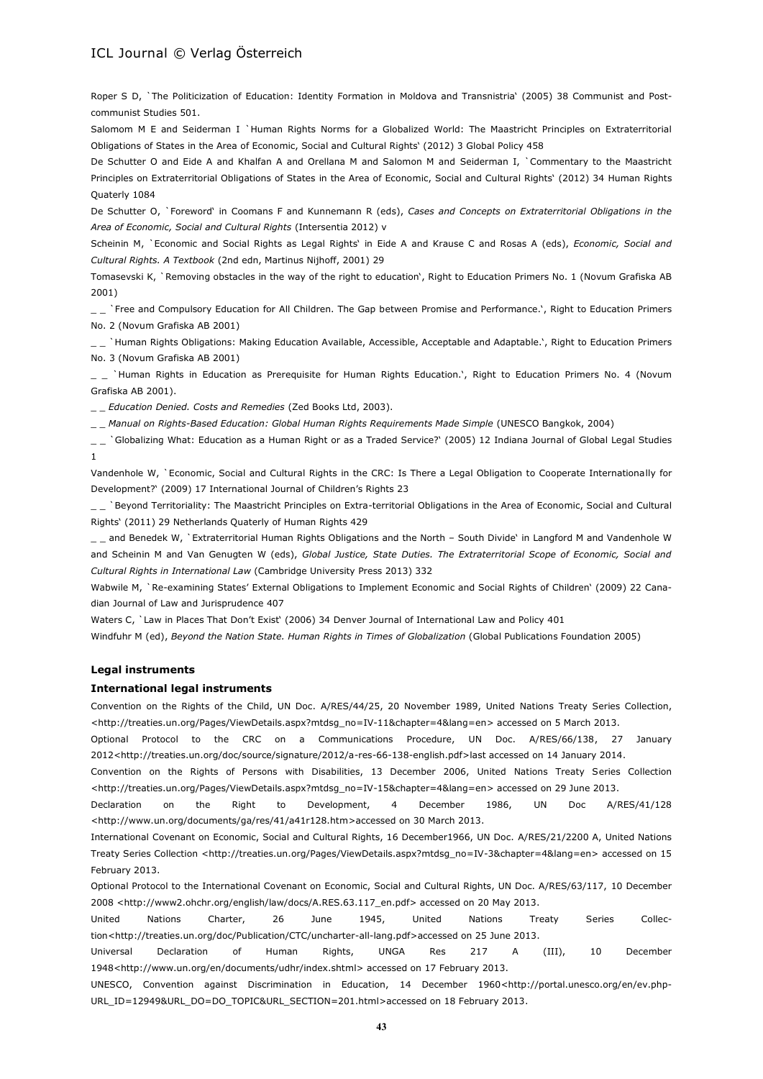Roper S D, `The Politicization of Education: Identity Formation in Moldova and Transnistria' (2005) 38 Communist and Postcommunist Studies 501.

Salomom M E and Seiderman I `Human Rights Norms for a Globalized World: The Maastricht Principles on Extraterritorial Obligations of States in the Area of Economic, Social and Cultural Rights' (2012) 3 Global Policy 458

De Schutter O and Eide A and Khalfan A and Orellana M and Salomon M and Seiderman I, `Commentary to the Maastricht Principles on Extraterritorial Obligations of States in the Area of Economic, Social and Cultural Rights' (2012) 34 Human Rights Quaterly 1084

De Schutter O, `Foreword' in Coomans F and Kunnemann R (eds), *Cases and Concepts on Extraterritorial Obligations in the Area of Economic, Social and Cultural Rights* (Intersentia 2012) v

Scheinin M, `Economic and Social Rights as Legal Rights' in Eide A and Krause C and Rosas A (eds), *Economic, Social and Cultural Rights. A Textbook* (2nd edn, Martinus Nijhoff, 2001) 29

Tomasevski K, `Removing obstacles in the way of the right to education', Right to Education Primers No. 1 (Novum Grafiska AB 2001)

\_ \_ `Free and Compulsory Education for All Children. The Gap between Promise and Performance.', Right to Education Primers No. 2 (Novum Grafiska AB 2001)

\_ \_ `Human Rights Obligations: Making Education Available, Accessible, Acceptable and Adaptable.', Right to Education Primers No. 3 (Novum Grafiska AB 2001)

\_ \_ `Human Rights in Education as Prerequisite for Human Rights Education.', Right to Education Primers No. 4 (Novum Grafiska AB 2001).

\_ \_ *Education Denied. Costs and Remedies* (Zed Books Ltd, 2003).

\_ \_ *Manual on Rights-Based Education: Global Human Rights Requirements Made Simple* (UNESCO Bangkok, 2004)

\_ \_ `Globalizing What: Education as a Human Right or as a Traded Service?' (2005) 12 [Indiana Journal of Global Legal Studies](http://muse.jhu.edu/journals/indiana_journal_of_global_legal_studies) 1

Vandenhole W, `Economic, Social and Cultural Rights in the CRC: Is There a Legal Obligation to Cooperate Internationally for Development?' (2009) 17 International Journal of Children's Rights 23

\_ \_ `Beyond Territoriality: The Maastricht Principles on Extra-territorial Obligations in the Area of Economic, Social and Cultural Rights' (2011) 29 Netherlands Quaterly of Human Rights 429

\_ \_ and Benedek W, `Extraterritorial Human Rights Obligations and the North - South Divide' in Langford M and Vandenhole W and Scheinin M and Van Genugten W (eds), *Global Justice, State Duties. The Extraterritorial Scope of Economic, Social and Cultural Rights in International Law* (Cambridge University Press 2013) 332

Wabwile M, `Re-examining States' External Obligations to Implement Economic and Social Rights of Children' (2009) 22 Canadian Journal of Law and Jurisprudence 407

Waters C, `Law in Places That Don't Exist' (2006) 34 Denver Journal of International Law and Policy 401

Windfuhr M (ed), *Beyond the Nation State. Human Rights in Times of Globalization* (Global Publications Foundation 2005)

#### **Legal instruments**

#### **International legal instruments**

Convention on the Rights of the Child, UN Doc. A/RES/44/25, 20 November 1989, United Nations Treaty Series Collection, [<http://treaties.un.org/Pages/ViewDetails.aspx?mtdsg\\_no=IV-11&chapter=4&lang=en>](http://treaties.un.org/Pages/ViewDetails.aspx?mtdsg_no=IV-11&chapter=4&lang=en) accessed on 5 March 2013.

Optional Protocol to the CRC on a Communications Procedure, UN Doc. A/RES/66/138, 27 January 2012[<http://treaties.un.org/doc/source/signature/2012/a-res-66-138-english.pdf>](http://treaties.un.org/doc/source/signature/2012/a-res-66-138-english.pdf)last accessed on 14 January 2014.

Convention on the Rights of Persons with Disabilities, 13 December 2006, United Nations Treaty Series Collection [<http://treaties.un.org/Pages/ViewDetails.aspx?mtdsg\\_no=IV-15&chapter=4&lang=en>](http://treaties.un.org/Pages/ViewDetails.aspx?mtdsg_no=IV-15&chapter=4&lang=en) accessed on 29 June 2013.

Declaration on the Right to Development, 4 December 1986, UN Doc A/RES/41/128 [<http://www.un.org/documents/ga/res/41/a41r128.htm>](http://www.un.org/documents/ga/res/41/a41r128.htm)accessed on 30 March 2013.

International Covenant on Economic, Social and Cultural Rights, 16 December1966, UN Doc. A/RES/21/2200 A, United Nations Treaty Series Collection [<http://treaties.un.org/Pages/ViewDetails.aspx?mtdsg\\_no=IV-3&chapter=4&lang=en>](http://treaties.un.org/Pages/ViewDetails.aspx?mtdsg_no=IV-3&chapter=4&lang=en) accessed on 15 February 2013.

Optional Protocol to the International Covenant on Economic, Social and Cultural Rights, UN Doc. A/RES/63/117, 10 December 2008 [<http://www2.ohchr.org/english/law/docs/A.RES.63.117\\_en.pdf>](http://www2.ohchr.org/english/law/docs/A.RES.63.117_en.pdf) accessed on 20 May 2013.

United Nations Charter, 26 June 1945, United Nations Treaty Series Collec-tion[<http://treaties.un.org/doc/Publication/CTC/uncharter-all-lang.pdf>](http://treaties.un.org/doc/Publication/CTC/uncharter-all-lang.pdf)accessed on 25 June 2013.

Universal Declaration of Human Rights, UNGA Res 217 A (III), 10 December 1948[<http://www.un.org/en/documents/udhr/index.shtml>](http://www.un.org/en/documents/udhr/index.shtml) accessed on 17 February 2013.

UNESCO, Convention against Discrimination in Education, 14 December 1960[<http://portal.unesco.org/en/ev.php-](http://portal.unesco.org/en/ev.php-URL_ID=12949&URL_DO=DO_TOPIC&URL_SECTION=201.html)[URL\\_ID=12949&URL\\_DO=DO\\_TOPIC&URL\\_SECTION=201.html>](http://portal.unesco.org/en/ev.php-URL_ID=12949&URL_DO=DO_TOPIC&URL_SECTION=201.html)accessed on 18 February 2013.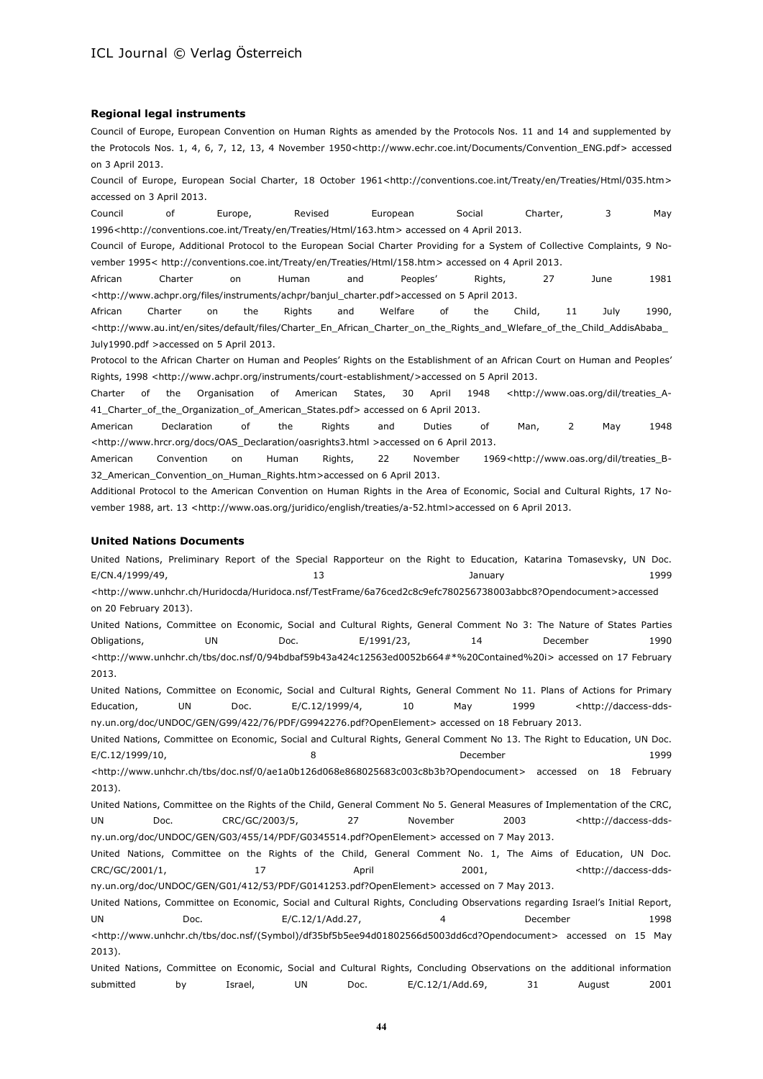#### **Regional legal instruments**

Council of Europe, European Convention on Human Rights as amended by the Protocols Nos. 11 and 14 and supplemented by the Protocols Nos. 1, 4, 6, 7, 12, 13, 4 November 1950[<http://www.echr.coe.int/Documents/Convention\\_ENG.pdf>](http://www.echr.coe.int/Documents/Convention_ENG.pdf) accessed on 3 April 2013.

Council of Europe, European Social Charter, 18 October 1961[<http://conventions.coe.int/Treaty/en/Treaties/Html/035.htm>](http://conventions.coe.int/Treaty/en/Treaties/Html/035.htm) accessed on 3 April 2013.

Council of Europe, Revised European Social Charter, 3 May 1996[<http://conventions.coe.int/Treaty/en/Treaties/Html/163.htm>](http://conventions.coe.int/Treaty/en/Treaties/Html/163.htm) accessed on 4 April 2013.

Council of Europe, Additional Protocol to the European Social Charter Providing for a System of Collective Complaints, 9 November 1995< [http://conventions.coe.int/Treaty/en/Treaties/Html/158.htm>](http://conventions.coe.int/Treaty/en/Treaties/Html/158.htm) accessed on 4 April 2013.

African Charter on Human and Peoples' Rights, 27 June 1981 [<http://www.achpr.org/files/instruments/achpr/banjul\\_charter.pdf>](http://www.achpr.org/files/instruments/achpr/banjul_charter.pdf)accessed on 5 April 2013.

African Charter on the Rights and Welfare of the Child, 11 July 1990, [<http://www.au.int/en/sites/default/files/Charter\\_En\\_African\\_Charter\\_on\\_the\\_Rights\\_and\\_Wlefare\\_of\\_the\\_Child\\_AddisAbaba\\_](http://www.au.int/en/sites/default/files/Charter_En_African_Charter_on_the_Rights_and_Wlefare_of_the_Child_AddisAbaba_July1990.pdf) [July1990.pdf](http://www.au.int/en/sites/default/files/Charter_En_African_Charter_on_the_Rights_and_Wlefare_of_the_Child_AddisAbaba_July1990.pdf) >accessed on 5 April 2013.

Protocol to the African Charter on Human and Peoples' Rights on the Establishment of an African Court on Human and Peoples' Rights, 1998 [<http://www.achpr.org/instruments/court-establishment/>](http://www.achpr.org/instruments/court-establishment/)accessed on 5 April 2013.

Charter of the Organisation of American States, 30 April 1948 [<http://www.oas.org/dil/treaties\\_A-](http://www.oas.org/dil/treaties_A-41_Charter_of_the_Organization_of_American_States.pdf)[41\\_Charter\\_of\\_the\\_Organization\\_of\\_American\\_States.pdf>](http://www.oas.org/dil/treaties_A-41_Charter_of_the_Organization_of_American_States.pdf) accessed on 6 April 2013.

American Declaration of the Rights and Duties of Man, 2 May 1948 [<http://www.hrcr.org/docs/OAS\\_Declaration/oasrights3.html](http://www.hrcr.org/docs/OAS_Declaration/oasrights3.html) >accessed on 6 April 2013.

American Convention on Human Rights, 22 November 1969[<http://www.oas.org/dil/treaties\\_B-](http://www.oas.org/dil/treaties_B-32_American_Convention_on_Human_Rights.htm)[32\\_American\\_Convention\\_on\\_Human\\_Rights.htm>](http://www.oas.org/dil/treaties_B-32_American_Convention_on_Human_Rights.htm)accessed on 6 April 2013.

Additional Protocol to the American Convention on Human Rights in the Area of Economic, Social and Cultural Rights, 17 No-vember 1988, art. 13 [<http://www.oas.org/juridico/english/treaties/a-52.html>](http://www.oas.org/juridico/english/treaties/a-52.html)accessed on 6 April 2013.

#### **United Nations Documents**

United Nations, Preliminary Report of the Special Rapporteur on the Right to Education, Katarina Tomasevsky, UN Doc. E/CN.4/1999/49, 2009 13 13 13 January 1999 1999 [<http://www.unhchr.ch/Huridocda/Huridoca.nsf/TestFrame/6a76ced2c8c9efc780256738003abbc8?Opendocument>](http://www.unhchr.ch/Huridocda/Huridoca.nsf/TestFrame/6a76ced2c8c9efc780256738003abbc8?Opendocument)accessed

on 20 February 2013).

United Nations, Committee on Economic, Social and Cultural Rights, General Comment No 3: The Nature of States Parties Obligations, UN Doc. E/1991/23, 14 December 1990 [<http://www.unhchr.ch/tbs/doc.nsf/0/94bdbaf59b43a424c12563ed0052b664#\\*%20Contained%20i>](http://www.unhchr.ch/tbs/doc.nsf/0/94bdbaf59b43a424c12563ed0052b664#*%20Contained%20i) accessed on 17 February 2013.

United Nations, Committee on Economic, Social and Cultural Rights, General Comment No 11. Plans of Actions for Primary Education, UN Doc. E/C.12/1999/4, 10 May 1999 [<http://daccess-dds](http://daccess-dds-ny.un.org/doc/UNDOC/GEN/G99/422/76/PDF/G9942276.pdf?OpenElement)[ny.un.org/doc/UNDOC/GEN/G99/422/76/PDF/G9942276.pdf?OpenElement>](http://daccess-dds-ny.un.org/doc/UNDOC/GEN/G99/422/76/PDF/G9942276.pdf?OpenElement) accessed on 18 February 2013.

United Nations, Committee on Economic, Social and Cultural Rights, General Comment No 13. The Right to Education, UN Doc. E/C.12/1999/10, 8 December 1999 [<http://www.unhchr.ch/tbs/doc.nsf/0/ae1a0b126d068e868025683c003c8b3b?Opendocument>](http://www.unhchr.ch/tbs/doc.nsf/0/ae1a0b126d068e868025683c003c8b3b?Opendocument) accessed on 18 February 2013).

United Nations, Committee on the Rights of the Child, General Comment No 5. General Measures of Implementation of the CRC, UN Doc. CRC/GC/2003/5, 27 November 2003 [<http://daccess-dds](http://daccess-dds-ny.un.org/doc/UNDOC/GEN/G03/455/14/PDF/G0345514.pdf?OpenElement)[ny.un.org/doc/UNDOC/GEN/G03/455/14/PDF/G0345514.pdf?OpenElement>](http://daccess-dds-ny.un.org/doc/UNDOC/GEN/G03/455/14/PDF/G0345514.pdf?OpenElement) accessed on 7 May 2013.

United Nations, Committee on the Rights of the Child, General Comment No. 1, The Aims of Education, UN Doc. CRC/GC/2001/1, 17 April 2001, <a>>
April 2001,</a>
April 2001,</a>
April 2001,</a>
April 2001,</a>
April 2001, [ny.un.org/doc/UNDOC/GEN/G01/412/53/PDF/G0141253.pdf?OpenElement>](http://daccess-dds-ny.un.org/doc/UNDOC/GEN/G01/412/53/PDF/G0141253.pdf?OpenElement) accessed on 7 May 2013.

United Nations, Committee on Economic, Social and Cultural Rights, Concluding Observations regarding Israel's Initial Report, UN Doc. E/C.12/1/Add.27, 4 December 1998 [<http://www.unhchr.ch/tbs/doc.nsf/\(Symbol\)/df35bf5b5ee94d01802566d5003dd6cd?Opendocument>](http://www.unhchr.ch/tbs/doc.nsf/(Symbol)/df35bf5b5ee94d01802566d5003dd6cd?Opendocument) accessed on 15 May 2013).

United Nations, Committee on Economic, Social and Cultural Rights, Concluding Observations on the additional information submitted by Israel, UN Doc. E/C.12/1/Add.69, 31 August 2001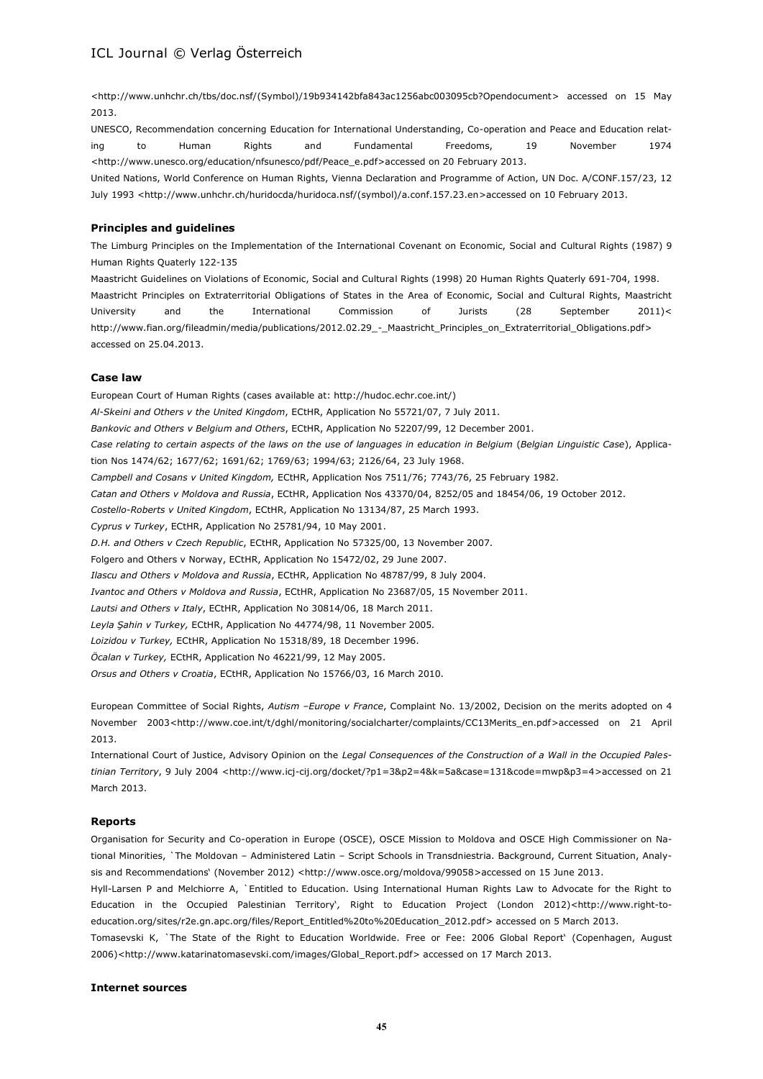[<http://www.unhchr.ch/tbs/doc.nsf/\(Symbol\)/19b934142bfa843ac1256abc003095cb?Opendocument>](http://www.unhchr.ch/tbs/doc.nsf/(Symbol)/19b934142bfa843ac1256abc003095cb?Opendocument) accessed on 15 May 2013.

UNESCO, Recommendation concerning Education for International Understanding, Co-operation and Peace and Education relating to Human Rights and Fundamental Freedoms, 19 November 1974 [<http://www.unesco.org/education/nfsunesco/pdf/Peace\\_e.pdf>](http://www.unesco.org/education/nfsunesco/pdf/Peace_e.pdf)accessed on 20 February 2013.

United Nations, World Conference on Human Rights, Vienna Declaration and Programme of Action, UN Doc. A/CONF.157/23, 12 July 1993 [<http://www.unhchr.ch/huridocda/huridoca.nsf/\(symbol\)/a.conf.157.23.en>](http://www.unhchr.ch/huridocda/huridoca.nsf/(symbol)/a.conf.157.23.en)accessed on 10 February 2013.

#### **Principles and guidelines**

The Limburg Principles on the Implementation of the International Covenant on Economic, Social and Cultural Rights (1987) 9 Human Rights Quaterly 122-135

Maastricht Guidelines on Violations of Economic, Social and Cultural Rights (1998) 20 Human Rights Quaterly 691-704, 1998. Maastricht Principles on Extraterritorial Obligations of States in the Area of Economic, Social and Cultural Rights, Maastricht University and the International Commission of Jurists (28 September 2011)< [http://www.fian.org/fileadmin/media/publications/2012.02.29\\_-\\_Maastricht\\_Principles\\_on\\_Extraterritorial\\_Obligations.pdf>](http://www.fian.org/fileadmin/media/publications/2012.02.29_-_Maastricht_Principles_on_Extraterritorial_Obligations.pdf) accessed on 25.04.2013.

#### **Case law**

European Court of Human Rights (cases available at: [http://hudoc.echr.coe.int/\)](http://hudoc.echr.coe.int/) *Al-Skeini and Others v the United Kingdom*, ECtHR, Application No 55721/07, 7 July 2011. *Bankovic and Others v Belgium and Others*, ECtHR, Application No 52207/99, 12 December 2001. *Case relating to certain aspects of the laws on the use of languages in education in Belgium* (*Belgian Linguistic Case*), Application Nos 1474/62; 1677/62; 1691/62; 1769/63; 1994/63; [2126/64,](http://hudoc.echr.coe.int/sites/eng/pages/search.aspx#{"appno":["2126/64"]}) 23 July 1968. *Campbell and Cosans v United Kingdom,* ECtHR, Application Nos 7511/76; [7743/76,](http://hudoc.echr.coe.int/sites/eng/pages/search.aspx#{"appno":["7743/76"]}) 25 February 1982. *Catan and Others v Moldova and Russia*, ECtHR, Application Nos [43370/04,](http://hudoc.echr.coe.int/sites/eng/pages/search.aspx#{"appno":["43370/04"]}) [8252/05](http://hudoc.echr.coe.int/sites/eng/pages/search.aspx#{"appno":["8252/05"]}) and [18454/06,](http://hudoc.echr.coe.int/sites/eng/pages/search.aspx#{"appno":["18454/06"]}) 19 October 2012. *Costello-Roberts v United Kingdom*, ECtHR, Application No [13134/87,](http://hudoc.echr.coe.int/sites/eng/pages/search.aspx#{"appno":["13134/87"]}) 25 March 1993. *Cyprus v Turkey*, ECtHR, Application No [25781/94,](http://hudoc.echr.coe.int/sites/eng-press/pages/search.aspx#{"appno":["25781/94"]}) 10 May 2001. *D.H. and Others v Czech Republic*, ECtHR, Application No [57325/00,](http://hudoc.echr.coe.int/sites/eng/pages/search.aspx#{"appno":["57325/00"]}) 13 November 2007. Folgero and Others v Norway, ECtHR, Application No [15472/02,](http://hudoc.echr.coe.int/sites/eng/pages/search.aspx#{"appno":["15472/02"]}) 29 June 2007. *Ilascu and Others v Moldova and Russia*, ECtHR, Application No 48787/99, 8 July 2004. *Ivantoc and Others v Moldova and Russia*, ECtHR, Application No 23687/05, 15 November 2011. *Lautsi and Others v Italy*, ECtHR, Application No [30814/06,](http://hudoc.echr.coe.int/sites/eng/pages/search.aspx#{"appno":["30814/06"]}) 18 March 2011. *Leyla Şahin v Turkey,* ECtHR, Application No 44774/98, 11 November 2005*. Loizidou v Turkey,* ECtHR, Application No [15318/89,](http://hudoc.echr.coe.int/sites/eng/Pages/search.aspx#{"appno":["15318/89"]}) 18 December 1996. *Öcalan v Turkey,* ECtHR, Application No [46221/99,](http://hudoc.echr.coe.int/sites/eng/pages/search.aspx#{"appno":["46221/99"]}) 12 May 2005. *Orsus and Others v Croatia*, ECtHR, Application No [15766/03,](http://hudoc.echr.coe.int/sites/eng/pages/search.aspx#{"appno":["15766/03"]}) 16 March 2010.

European Committee of Social Rights, *Autism –Europe v France*, Complaint No. 13/2002, Decision on the merits adopted on 4 November 2003[<http://www.coe.int/t/dghl/monitoring/socialcharter/complaints/CC13Merits\\_en.pdf>](http://www.coe.int/t/dghl/monitoring/socialcharter/complaints/CC13Merits_en.pdf)accessed on 21 April 2013.

International Court of Justice, Advisory Opinion on the *Legal Consequences of the Construction of a Wall in the Occupied Palestinian Territory*, 9 July 2004 [<http://www.icj-cij.org/docket/?p1=3&p2=4&k=5a&case=131&code=mwp&p3=4>](http://www.icj-cij.org/docket/?p1=3&p2=4&k=5a&case=131&code=mwp&p3=4)accessed on 21 March 2013.

#### **Reports**

Organisation for Security and Co-operation in Europe (OSCE), OSCE Mission to Moldova and OSCE High Commissioner on National Minorities, `The Moldovan – Administered Latin – Script Schools in Transdniestria. Background, Current Situation, Analy-sis and Recommendations' (November 2012) [<http://www.osce.org/moldova/99058>](http://www.osce.org/moldova/99058)accessed on 15 June 2013.

Hyll-Larsen P and Melchiorre A, `Entitled to Education. Using International Human Rights Law to Advocate for the Right to Education in the Occupied Palestinian Territory'*,* Right to Education Project (London 2012)[<http://www.right-to](http://www.right-to-education.org/sites/r2e.gn.apc.org/files/Report_Entitled%20to%20Education_2012.pdf)[education.org/sites/r2e.gn.apc.org/files/Report\\_Entitled%20to%20Education\\_2012.pdf>](http://www.right-to-education.org/sites/r2e.gn.apc.org/files/Report_Entitled%20to%20Education_2012.pdf) accessed on 5 March 2013.

Tomasevski K, `The State of the Right to Education Worldwide. Free or Fee: 2006 Global Report' (Copenhagen, August 2006)[<http://www.katarinatomasevski.com/images/Global\\_Report.pdf>](http://www.katarinatomasevski.com/images/Global_Report.pdf) accessed on 17 March 2013.

#### **Internet sources**